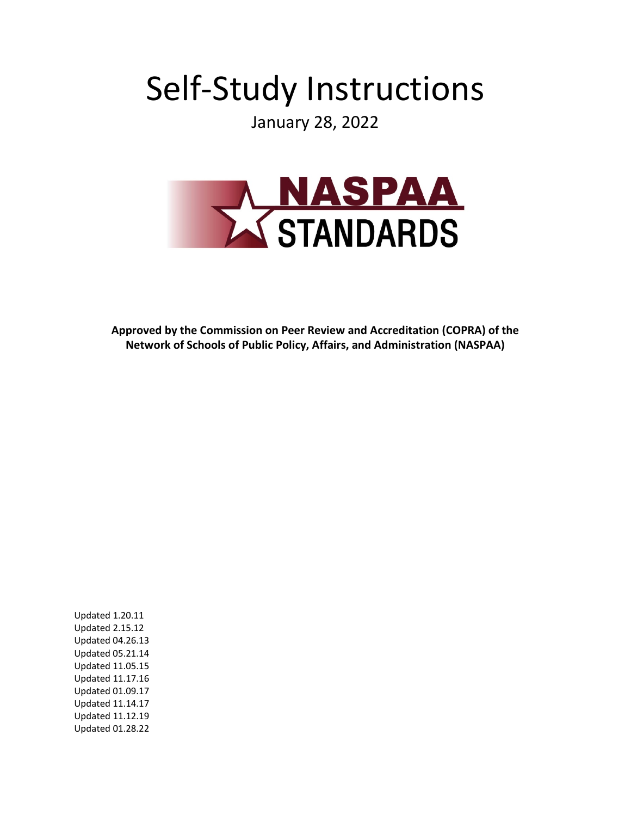# Self-Study Instructions

January 28, 2022



**Approved by the Commission on Peer Review and Accreditation (COPRA) of the Network of Schools of Public Policy, Affairs, and Administration (NASPAA)**

Updated 1.20.11 Updated 2.15.12 Updated 04.26.13 Updated 05.21.14 Updated 11.05.15 Updated 11.17.16 Updated 01.09.17 Updated 11.14.17 Updated 11.12.19 Updated 01.28.22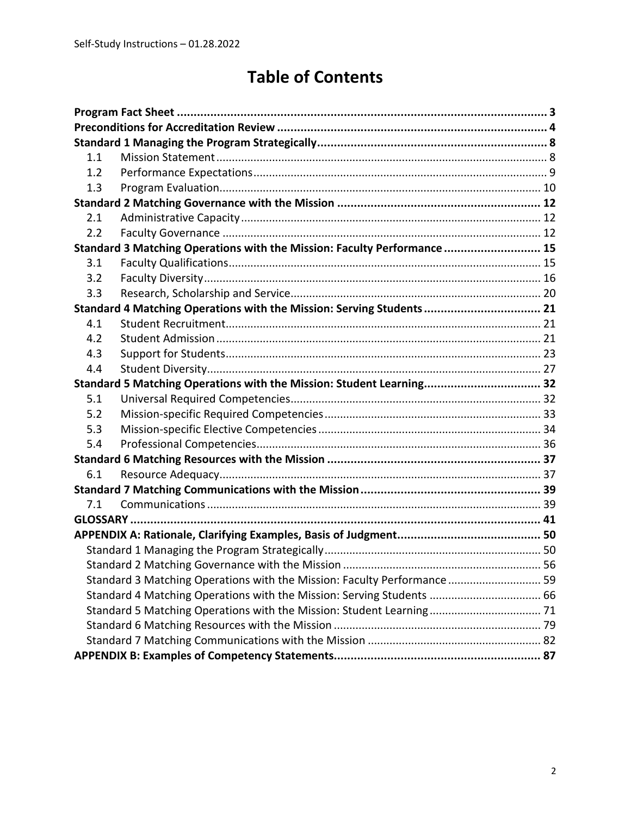# **Table of Contents**

| 1.1 |                                                                          |  |
|-----|--------------------------------------------------------------------------|--|
| 1.2 |                                                                          |  |
| 1.3 |                                                                          |  |
|     |                                                                          |  |
| 2.1 |                                                                          |  |
| 2.2 |                                                                          |  |
|     | Standard 3 Matching Operations with the Mission: Faculty Performance  15 |  |
| 3.1 |                                                                          |  |
| 3.2 |                                                                          |  |
| 3.3 |                                                                          |  |
|     | Standard 4 Matching Operations with the Mission: Serving Students 21     |  |
| 4.1 |                                                                          |  |
| 4.2 |                                                                          |  |
| 4.3 |                                                                          |  |
| 4.4 |                                                                          |  |
|     | Standard 5 Matching Operations with the Mission: Student Learning 32     |  |
| 5.1 |                                                                          |  |
| 5.2 |                                                                          |  |
| 5.3 |                                                                          |  |
| 5.4 |                                                                          |  |
|     |                                                                          |  |
| 6.1 |                                                                          |  |
|     |                                                                          |  |
| 7.1 |                                                                          |  |
|     |                                                                          |  |
|     |                                                                          |  |
|     |                                                                          |  |
|     |                                                                          |  |
|     | Standard 3 Matching Operations with the Mission: Faculty Performance  59 |  |
|     | Standard 4 Matching Operations with the Mission: Serving Students  66    |  |
|     |                                                                          |  |
|     |                                                                          |  |
|     |                                                                          |  |
|     |                                                                          |  |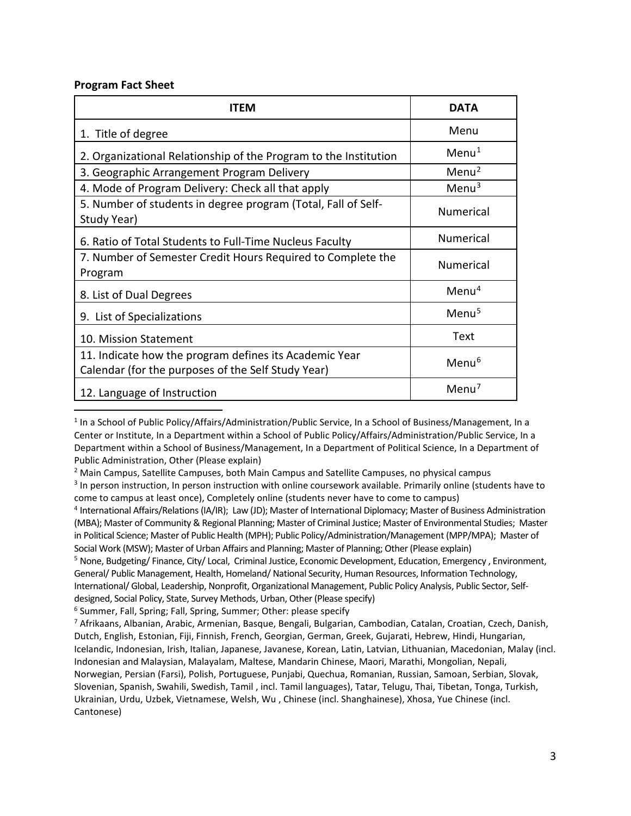#### <span id="page-2-0"></span>**Program Fact Sheet**

| <b>ITEM</b>                                                                                                  | <b>DATA</b>          |
|--------------------------------------------------------------------------------------------------------------|----------------------|
| 1. Title of degree                                                                                           | Menu                 |
| 2. Organizational Relationship of the Program to the Institution                                             | $M$ enu <sup>1</sup> |
| 3. Geographic Arrangement Program Delivery                                                                   | Menu <sup>2</sup>    |
| 4. Mode of Program Delivery: Check all that apply                                                            | Menu <sup>3</sup>    |
| 5. Number of students in degree program (Total, Fall of Self-<br>Study Year)                                 | <b>Numerical</b>     |
| 6. Ratio of Total Students to Full-Time Nucleus Faculty                                                      | <b>Numerical</b>     |
| 7. Number of Semester Credit Hours Required to Complete the<br>Program                                       | <b>Numerical</b>     |
| 8. List of Dual Degrees                                                                                      | $M$ enu <sup>4</sup> |
| 9. List of Specializations                                                                                   | $M$ enu $5$          |
| 10. Mission Statement                                                                                        | Text                 |
| 11. Indicate how the program defines its Academic Year<br>Calendar (for the purposes of the Self Study Year) | $M$ enu $6$          |
| 12. Language of Instruction                                                                                  | $M$ enu <sup>7</sup> |

<span id="page-2-1"></span><sup>1</sup> In a School of Public Policy/Affairs/Administration/Public Service, In a School of Business/Management, In a Center or Institute, In a Department within a School of Public Policy/Affairs/Administration/Public Service, In a Department within a School of Business/Management, In a Department of Political Science, In a Department of Public Administration, Other (Please explain)

<span id="page-2-5"></span><sup>5</sup> None, Budgeting/ Finance, City/ Local, Criminal Justice, Economic Development, Education, Emergency , Environment, General/ Public Management, Health, Homeland/ National Security, Human Resources, Information Technology, International/ Global, Leadership, Nonprofit, Organizational Management, Public Policy Analysis, Public Sector, Selfdesigned, Social Policy, State, Survey Methods, Urban, Other (Please specify)

<span id="page-2-6"></span><sup>6</sup> Summer, Fall, Spring; Fall, Spring, Summer; Other: please specify

<span id="page-2-7"></span><sup>7</sup> Afrikaans, Albanian, Arabic, Armenian, Basque, Bengali, Bulgarian, Cambodian, Catalan, Croatian, Czech, Danish, Dutch, English, Estonian, Fiji, Finnish, French, Georgian, German, Greek, Gujarati, Hebrew, Hindi, Hungarian, Icelandic, Indonesian, Irish, Italian, Japanese, Javanese, Korean, Latin, Latvian, Lithuanian, Macedonian, Malay (incl. Indonesian and Malaysian, Malayalam, Maltese, Mandarin Chinese, Maori, Marathi, Mongolian, Nepali, Norwegian, Persian (Farsi), Polish, Portuguese, Punjabi, Quechua, Romanian, Russian, Samoan, Serbian, Slovak, Slovenian, Spanish, Swahili, Swedish, Tamil , incl. Tamil languages), Tatar, Telugu, Thai, Tibetan, Tonga, Turkish, Ukrainian, Urdu, Uzbek, Vietnamese, Welsh, Wu , Chinese (incl. Shanghainese), Xhosa, Yue Chinese (incl. Cantonese)

<span id="page-2-2"></span> $<sup>2</sup>$  Main Campus, Satellite Campuses, both Main Campus and Satellite Campuses, no physical campus</sup>

<span id="page-2-3"></span><sup>&</sup>lt;sup>3</sup> In person instruction, In person instruction with online coursework available. Primarily online (students have to come to campus at least once), Completely online (students never have to come to campus)

<span id="page-2-4"></span><sup>4</sup> International Affairs/Relations (IA/IR); Law (JD); Master of International Diplomacy; Master of Business Administration (MBA); Master of Community & Regional Planning; Master of Criminal Justice; Master of Environmental Studies; Master in Political Science; Master of Public Health (MPH); Public Policy/Administration/Management (MPP/MPA); Master of Social Work (MSW); Master of Urban Affairs and Planning; Master of Planning; Other (Please explain)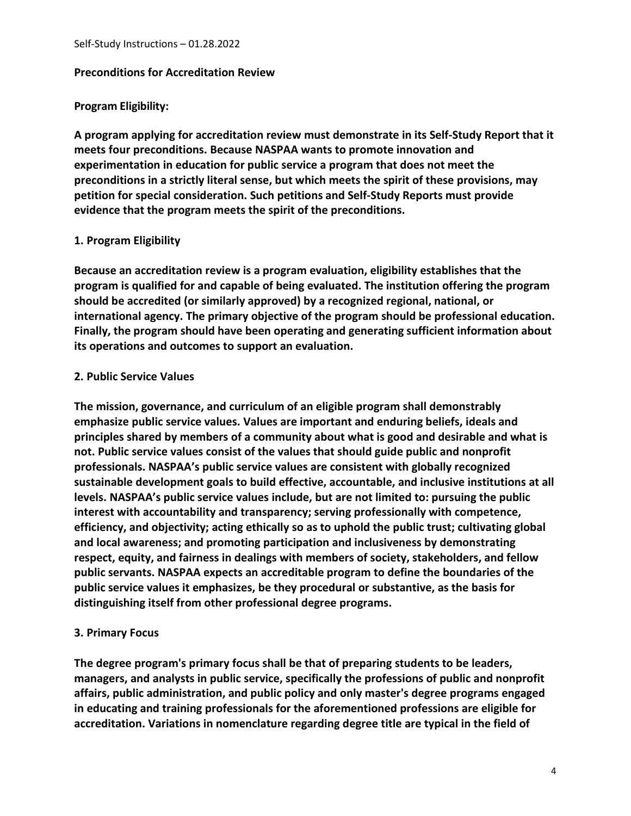#### <span id="page-3-0"></span>**Preconditions for Accreditation Review**

#### **Program Eligibility:**

**A program applying for accreditation review must demonstrate in its Self-Study Report that it meets four preconditions. Because NASPAA wants to promote innovation and experimentation in education for public service a program that does not meet the preconditions in a strictly literal sense, but which meets the spirit of these provisions, may petition for special consideration. Such petitions and Self-Study Reports must provide evidence that the program meets the spirit of the preconditions.**

# **1. Program Eligibility**

**Because an accreditation review is a program evaluation, eligibility establishes that the program is qualified for and capable of being evaluated. The institution offering the program should be accredited (or similarly approved) by a recognized regional, national, or international agency. The primary objective of the program should be professional education. Finally, the program should have been operating and generating sufficient information about its operations and outcomes to support an evaluation.**

#### **2. Public Service Values**

**The mission, governance, and curriculum of an eligible program shall demonstrably emphasize public service values. Values are important and enduring beliefs, ideals and principles shared by members of a community about what is good and desirable and what is not. Public service values consist of the values that should guide public and nonprofit professionals. NASPAA's public service values are consistent with globally recognized sustainable development goals to build effective, accountable, and inclusive institutions at all levels. NASPAA's public service values include, but are not limited to: pursuing the public interest with accountability and transparency; serving professionally with competence, efficiency, and objectivity; acting ethically so as to uphold the public trust; cultivating global and local awareness; and promoting participation and inclusiveness by demonstrating respect, equity, and fairness in dealings with members of society, stakeholders, and fellow public servants. NASPAA expects an accreditable program to define the boundaries of the public service values it emphasizes, be they procedural or substantive, as the basis for distinguishing itself from other professional degree programs.**

#### **3. Primary Focus**

**The degree program's primary focus shall be that of preparing students to be leaders, managers, and analysts in public service, specifically the professions of public and nonprofit affairs, public administration, and public policy and only master's degree programs engaged in educating and training professionals for the aforementioned professions are eligible for accreditation. Variations in nomenclature regarding degree title are typical in the field of**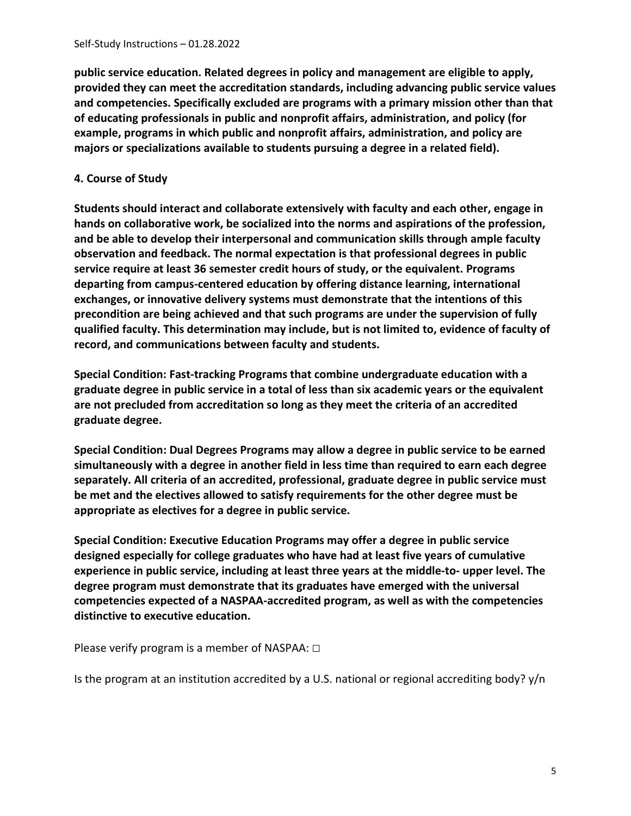**public service education. Related degrees in policy and management are eligible to apply, provided they can meet the accreditation standards, including advancing public service values and competencies. Specifically excluded are programs with a primary mission other than that of educating professionals in public and nonprofit affairs, administration, and policy (for example, programs in which public and nonprofit affairs, administration, and policy are majors or specializations available to students pursuing a degree in a related field).**

#### **4. Course of Study**

**Students should interact and collaborate extensively with faculty and each other, engage in hands on collaborative work, be socialized into the norms and aspirations of the profession, and be able to develop their interpersonal and communication skills through ample faculty observation and feedback. The normal expectation is that professional degrees in public service require at least 36 semester credit hours of study, or the equivalent. Programs departing from campus-centered education by offering distance learning, international exchanges, or innovative delivery systems must demonstrate that the intentions of this precondition are being achieved and that such programs are under the supervision of fully qualified faculty. This determination may include, but is not limited to, evidence of faculty of record, and communications between faculty and students.**

**Special Condition: Fast-tracking Programs that combine undergraduate education with a graduate degree in public service in a total of less than six academic years or the equivalent are not precluded from accreditation so long as they meet the criteria of an accredited graduate degree.**

**Special Condition: Dual Degrees Programs may allow a degree in public service to be earned simultaneously with a degree in another field in less time than required to earn each degree separately. All criteria of an accredited, professional, graduate degree in public service must be met and the electives allowed to satisfy requirements for the other degree must be appropriate as electives for a degree in public service.**

**Special Condition: Executive Education Programs may offer a degree in public service designed especially for college graduates who have had at least five years of cumulative experience in public service, including at least three years at the middle-to- upper level. The degree program must demonstrate that its graduates have emerged with the universal competencies expected of a NASPAA-accredited program, as well as with the competencies distinctive to executive education.**

Please verify program is a member of NASPAA: □

Is the program at an institution accredited by a U.S. national or regional accrediting body? y/n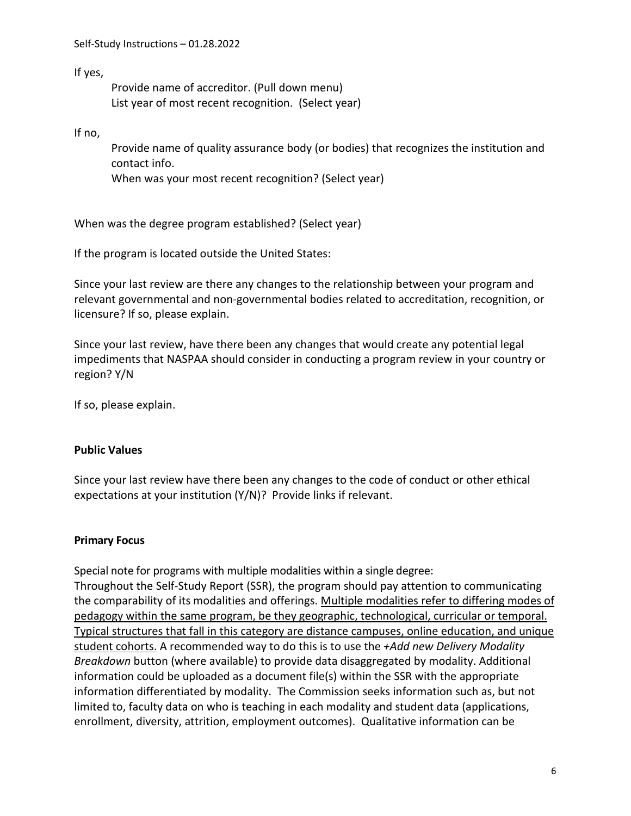If yes,

Provide name of accreditor. (Pull down menu) List year of most recent recognition. (Select year)

If no,

Provide name of quality assurance body (or bodies) that recognizes the institution and contact info.

When was your most recent recognition? (Select year)

When was the degree program established? (Select year)

If the program is located outside the United States:

Since your last review are there any changes to the relationship between your program and relevant governmental and non-governmental bodies related to accreditation, recognition, or licensure? If so, please explain.

Since your last review, have there been any changes that would create any potential legal impediments that NASPAA should consider in conducting a program review in your country or region? Y/N

If so, please explain.

#### **Public Values**

Since your last review have there been any changes to the code of conduct or other ethical expectations at your institution (Y/N)? Provide links if relevant.

# **Primary Focus**

Special note for programs with multiple modalities within a single degree: Throughout the Self-Study Report (SSR), the program should pay attention to communicating the comparability of its modalities and offerings. Multiple modalities refer to differing modes of pedagogy within the same program, be they geographic, technological, curricular or temporal. Typical structures that fall in this category are distance campuses, online education, and unique student cohorts. A recommended way to do this is to use the *+Add new Delivery Modality Breakdown* button (where available) to provide data disaggregated by modality. Additional information could be uploaded as a document file(s) within the SSR with the appropriate information differentiated by modality. The Commission seeks information such as, but not limited to, faculty data on who is teaching in each modality and student data (applications, enrollment, diversity, attrition, employment outcomes). Qualitative information can be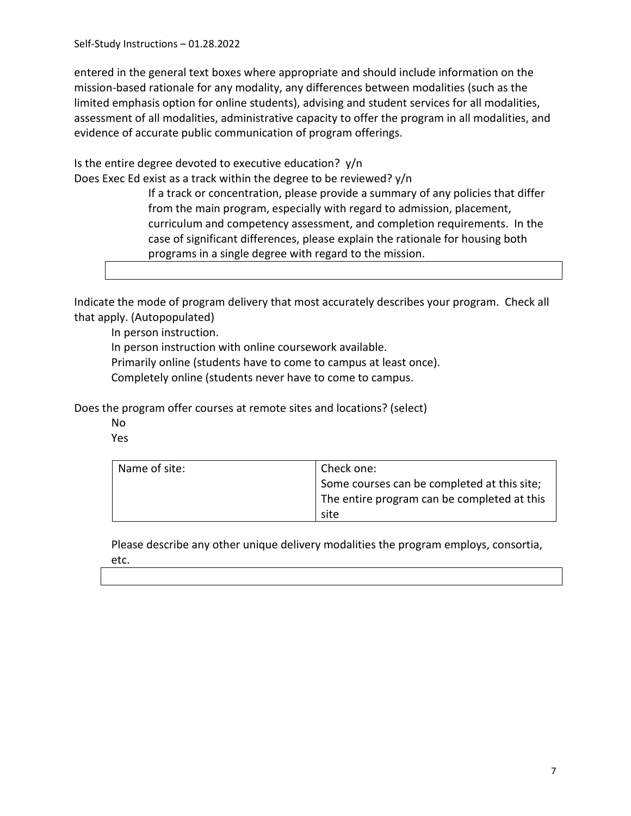Self-Study Instructions – 01.28.2022

entered in the general text boxes where appropriate and should include information on the mission-based rationale for any modality, any differences between modalities (such as the limited emphasis option for online students), advising and student services for all modalities, assessment of all modalities, administrative capacity to offer the program in all modalities, and evidence of accurate public communication of program offerings.

Is the entire degree devoted to executive education? y/n

Does Exec Ed exist as a track within the degree to be reviewed? y/n

If a track or concentration, please provide a summary of any policies that differ from the main program, especially with regard to admission, placement, curriculum and competency assessment, and completion requirements. In the case of significant differences, please explain the rationale for housing both programs in a single degree with regard to the mission.

Indicate the mode of program delivery that most accurately describes your program. Check all that apply. (Autopopulated)

In person instruction.

In person instruction with online coursework available.

Primarily online (students have to come to campus at least once).

Completely online (students never have to come to campus.

Does the program offer courses at remote sites and locations? (select)

- No
- Yes

| Name of site: | Check one:                                  |
|---------------|---------------------------------------------|
|               | Some courses can be completed at this site; |
|               | The entire program can be completed at this |
|               | site                                        |

Please describe any other unique delivery modalities the program employs, consortia, etc.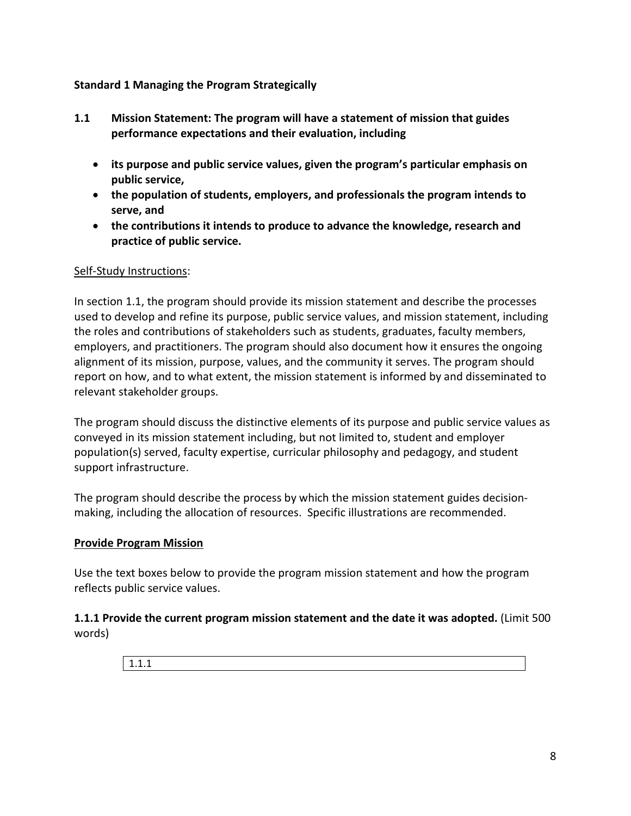#### <span id="page-7-0"></span>**Standard 1 Managing the Program Strategically**

- <span id="page-7-1"></span>**1.1 Mission Statement: The program will have a statement of mission that guides performance expectations and their evaluation, including** 
	- **its purpose and public service values, given the program's particular emphasis on public service,**
	- **the population of students, employers, and professionals the program intends to serve, and**
	- **the contributions it intends to produce to advance the knowledge, research and practice of public service.**

#### Self-Study Instructions:

In section 1.1, the program should provide its mission statement and describe the processes used to develop and refine its purpose, public service values, and mission statement, including the roles and contributions of stakeholders such as students, graduates, faculty members, employers, and practitioners. The program should also document how it ensures the ongoing alignment of its mission, purpose, values, and the community it serves. The program should report on how, and to what extent, the mission statement is informed by and disseminated to relevant stakeholder groups.

The program should discuss the distinctive elements of its purpose and public service values as conveyed in its mission statement including, but not limited to, student and employer population(s) served, faculty expertise, curricular philosophy and pedagogy, and student support infrastructure.

The program should describe the process by which the mission statement guides decisionmaking, including the allocation of resources. Specific illustrations are recommended.

#### **Provide Program Mission**

Use the text boxes below to provide the program mission statement and how the program reflects public service values.

**1.1.1 Provide the current program mission statement and the date it was adopted.** (Limit 500 words)

1.1.1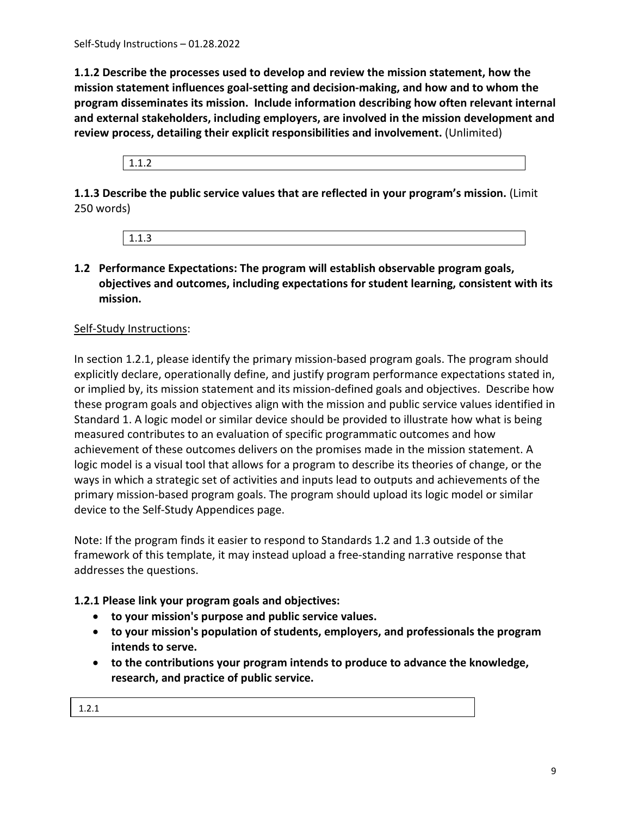**1.1.2 Describe the processes used to develop and review the mission statement, how the mission statement influences goal-setting and decision-making, and how and to whom the program disseminates its mission. Include information describing how often relevant internal and external stakeholders, including employers, are involved in the mission development and review process, detailing their explicit responsibilities and involvement.** (Unlimited)

1.1.2

**1.1.3 Describe the public service values that are reflected in your program's mission.** (Limit 250 words)



# <span id="page-8-0"></span>**1.2 Performance Expectations: The program will establish observable program goals, objectives and outcomes, including expectations for student learning, consistent with its mission.**

# Self-Study Instructions:

In section 1.2.1, please identify the primary mission-based program goals. The program should explicitly declare, operationally define, and justify program performance expectations stated in, or implied by, its mission statement and its mission-defined goals and objectives. Describe how these program goals and objectives align with the mission and public service values identified in Standard 1. A logic model or similar device should be provided to illustrate how what is being measured contributes to an evaluation of specific programmatic outcomes and how achievement of these outcomes delivers on the promises made in the mission statement. A logic model is a visual tool that allows for a program to describe its theories of change, or the ways in which a strategic set of activities and inputs lead to outputs and achievements of the primary mission-based program goals. The program should upload its logic model or similar device to the Self-Study Appendices page.

Note: If the program finds it easier to respond to Standards 1.2 and 1.3 outside of the framework of this template, it may instead upload a free-standing narrative response that addresses the questions.

# **1.2.1 Please link your program goals and objectives:**

- **to your mission's purpose and public service values.**
- **to your mission's population of students, employers, and professionals the program intends to serve.**
- **to the contributions your program intends to produce to advance the knowledge, research, and practice of public service.**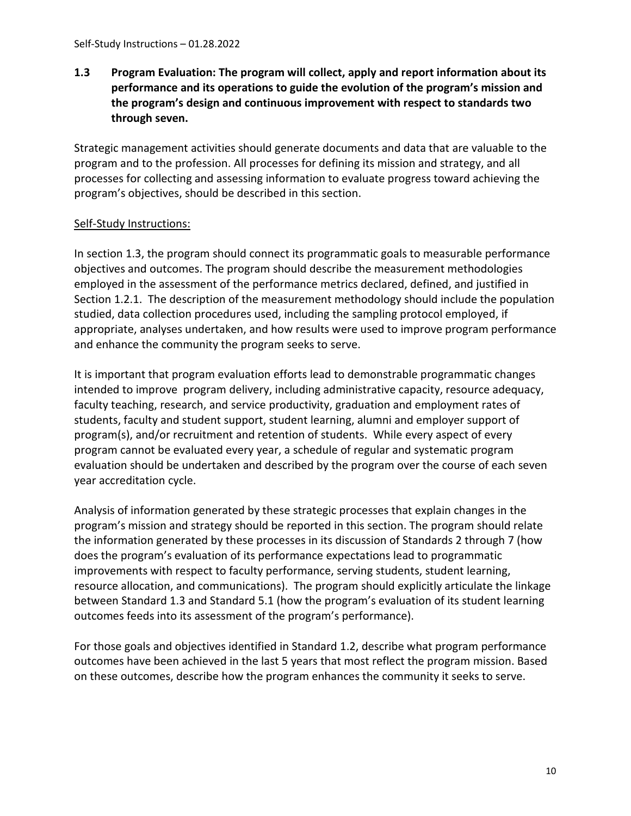# <span id="page-9-0"></span>**1.3 Program Evaluation: The program will collect, apply and report information about its performance and its operations to guide the evolution of the program's mission and the program's design and continuous improvement with respect to standards two through seven.**

Strategic management activities should generate documents and data that are valuable to the program and to the profession. All processes for defining its mission and strategy, and all processes for collecting and assessing information to evaluate progress toward achieving the program's objectives, should be described in this section.

# Self-Study Instructions:

In section 1.3, the program should connect its programmatic goals to measurable performance objectives and outcomes. The program should describe the measurement methodologies employed in the assessment of the performance metrics declared, defined, and justified in Section 1.2.1. The description of the measurement methodology should include the population studied, data collection procedures used, including the sampling protocol employed, if appropriate, analyses undertaken, and how results were used to improve program performance and enhance the community the program seeks to serve.

It is important that program evaluation efforts lead to demonstrable programmatic changes intended to improve program delivery, including administrative capacity, resource adequacy, faculty teaching, research, and service productivity, graduation and employment rates of students, faculty and student support, student learning, alumni and employer support of program(s), and/or recruitment and retention of students. While every aspect of every program cannot be evaluated every year, a schedule of regular and systematic program evaluation should be undertaken and described by the program over the course of each seven year accreditation cycle.

Analysis of information generated by these strategic processes that explain changes in the program's mission and strategy should be reported in this section. The program should relate the information generated by these processes in its discussion of Standards 2 through 7 (how does the program's evaluation of its performance expectations lead to programmatic improvements with respect to faculty performance, serving students, student learning, resource allocation, and communications). The program should explicitly articulate the linkage between Standard 1.3 and Standard 5.1 (how the program's evaluation of its student learning outcomes feeds into its assessment of the program's performance).

For those goals and objectives identified in Standard 1.2, describe what program performance outcomes have been achieved in the last 5 years that most reflect the program mission. Based on these outcomes, describe how the program enhances the community it seeks to serve.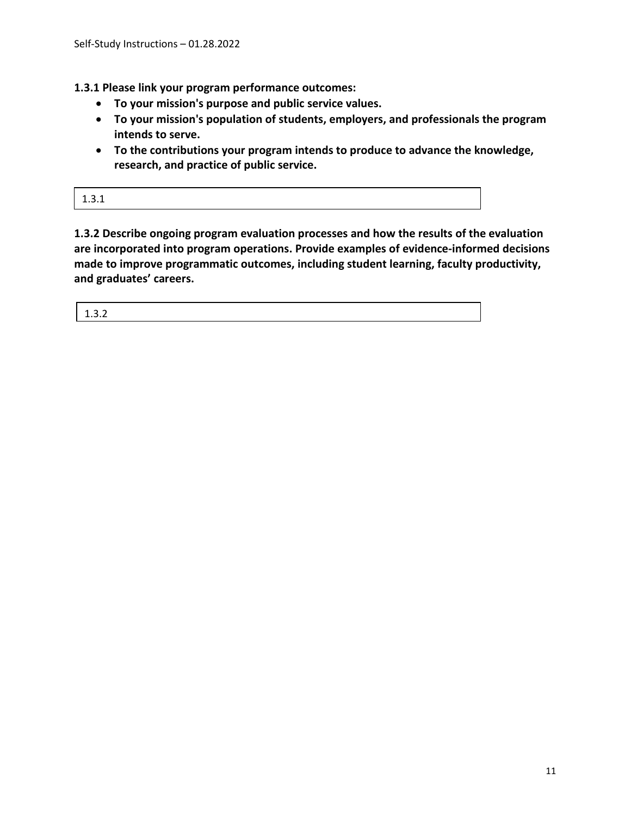**1.3.1 Please link your program performance outcomes:**

- **To your mission's purpose and public service values.**
- **To your mission's population of students, employers, and professionals the program intends to serve.**
- **To the contributions your program intends to produce to advance the knowledge, research, and practice of public service.**

| ----- |  |
|-------|--|
|-------|--|

**1.3.2 Describe ongoing program evaluation processes and how the results of the evaluation are incorporated into program operations. Provide examples of evidence-informed decisions made to improve programmatic outcomes, including student learning, faculty productivity, and graduates' careers.** 

| $\sim$ $\sim$<br>----- |
|------------------------|
|------------------------|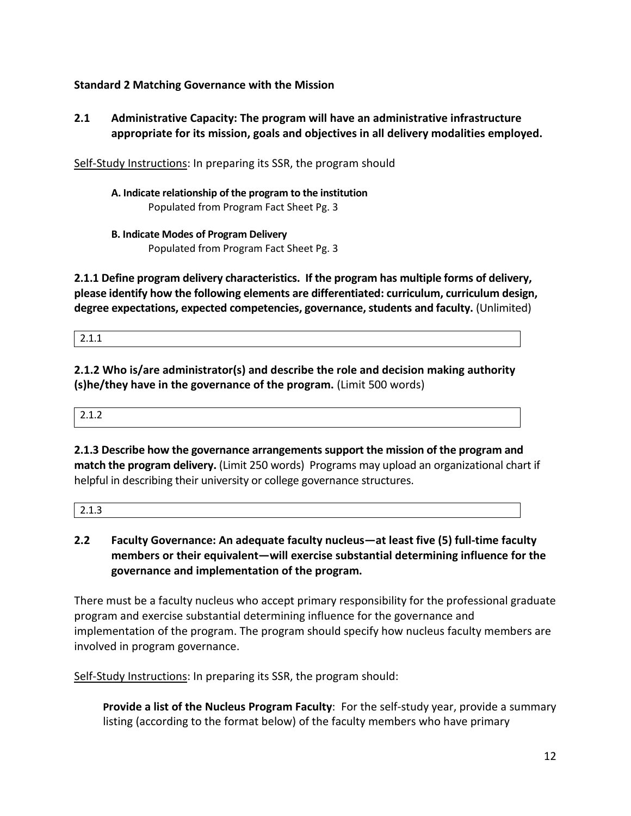# <span id="page-11-0"></span>**Standard 2 Matching Governance with the Mission**

<span id="page-11-1"></span>**2.1 Administrative Capacity: The program will have an administrative infrastructure appropriate for its mission, goals and objectives in all delivery modalities employed.**

Self-Study Instructions: In preparing its SSR, the program should

**A. Indicate relationship of the program to the institution** Populated from Program Fact Sheet Pg. 3

**B. Indicate Modes of Program Delivery**

Populated from Program Fact Sheet Pg. 3

**2.1.1 Define program delivery characteristics. If the program has multiple forms of delivery, please identify how the following elements are differentiated: curriculum, curriculum design, degree expectations, expected competencies, governance, students and faculty.** (Unlimited)

2.1.1

**2.1.2 Who is/are administrator(s) and describe the role and decision making authority (s)he/they have in the governance of the program.** (Limit 500 words)

2.1.2

**2.1.3 Describe how the governance arrangements support the mission of the program and match the program delivery.** (Limit 250 words) Programs may upload an organizational chart if helpful in describing their university or college governance structures.

|--|

<span id="page-11-2"></span>**2.2 Faculty Governance: An adequate faculty nucleus—at least five (5) full-time faculty members or their equivalent—will exercise substantial determining influence for the governance and implementation of the program.**

There must be a faculty nucleus who accept primary responsibility for the professional graduate program and exercise substantial determining influence for the governance and implementation of the program. The program should specify how nucleus faculty members are involved in program governance.

Self-Study Instructions: In preparing its SSR, the program should:

**Provide a list of the Nucleus Program Faculty**: For the self-study year, provide a summary listing (according to the format below) of the faculty members who have primary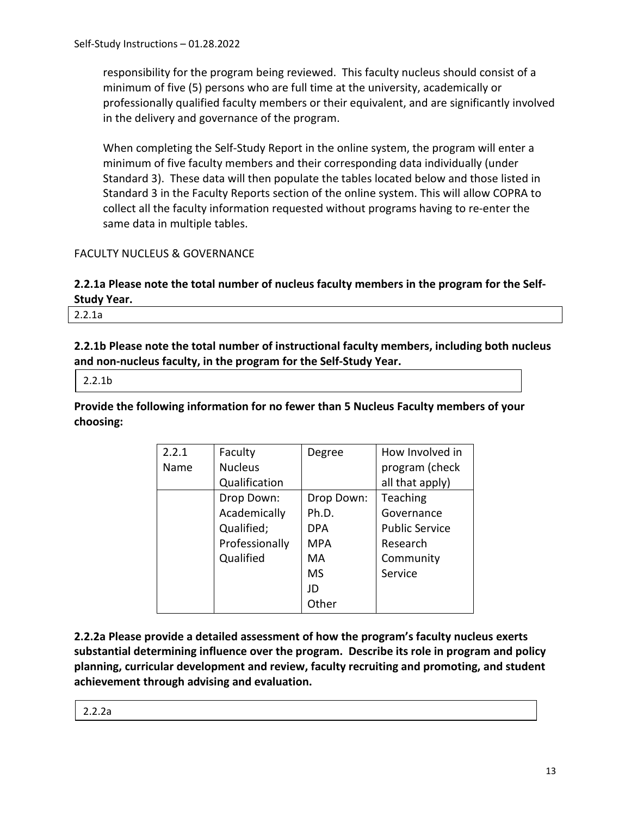responsibility for the program being reviewed. This faculty nucleus should consist of a minimum of five (5) persons who are full time at the university, academically or professionally qualified faculty members or their equivalent, and are significantly involved in the delivery and governance of the program.

When completing the Self-Study Report in the online system, the program will enter a minimum of five faculty members and their corresponding data individually (under Standard 3). These data will then populate the tables located below and those listed in Standard 3 in the Faculty Reports section of the online system. This will allow COPRA to collect all the faculty information requested without programs having to re-enter the same data in multiple tables.

# FACULTY NUCLEUS & GOVERNANCE

# **2.2.1a Please note the total number of nucleus faculty members in the program for the Self-Study Year.**

2.2.1a

**2.2.1b Please note the total number of instructional faculty members, including both nucleus and non-nucleus faculty, in the program for the Self-Study Year.**

2.2.1b

**Provide the following information for no fewer than 5 Nucleus Faculty members of your choosing:**

| 2.2.1 | Faculty        | Degree     | How Involved in       |
|-------|----------------|------------|-----------------------|
| Name  | <b>Nucleus</b> |            | program (check        |
|       | Qualification  |            | all that apply)       |
|       | Drop Down:     | Drop Down: | Teaching              |
|       | Academically   | Ph.D.      | Governance            |
|       | Qualified;     | <b>DPA</b> | <b>Public Service</b> |
|       | Professionally | <b>MPA</b> | Research              |
|       | Qualified      | MA         | Community             |
|       |                | <b>MS</b>  | Service               |
|       |                | JD         |                       |
|       |                | Other      |                       |

**2.2.2a Please provide a detailed assessment of how the program's faculty nucleus exerts substantial determining influence over the program. Describe its role in program and policy planning, curricular development and review, faculty recruiting and promoting, and student achievement through advising and evaluation.**

|  | ., |
|--|----|
|  |    |
|  |    |
|  |    |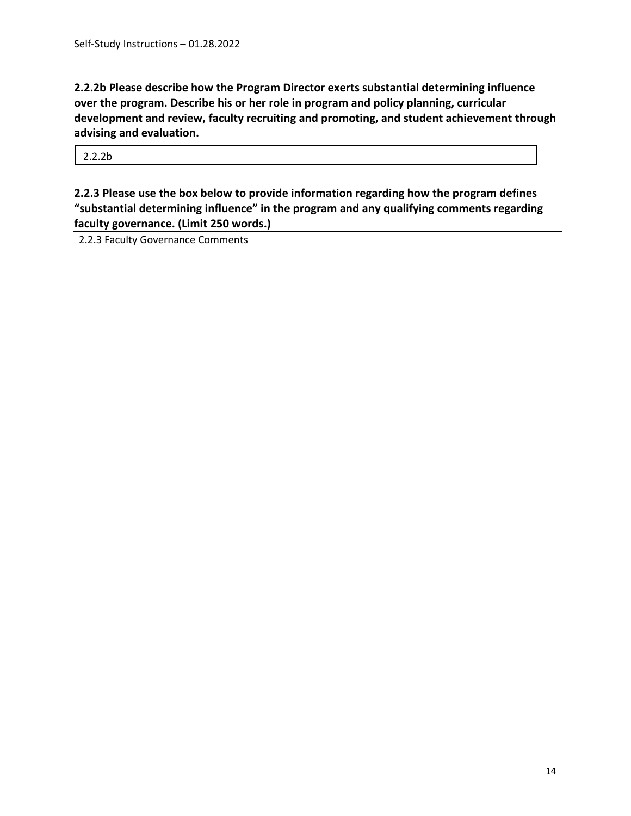**2.2.2b Please describe how the Program Director exerts substantial determining influence over the program. Describe his or her role in program and policy planning, curricular development and review, faculty recruiting and promoting, and student achievement through advising and evaluation.**

2.2.2b

**2.2.3 Please use the box below to provide information regarding how the program defines "substantial determining influence" in the program and any qualifying comments regarding faculty governance. (Limit 250 words.)**

2.2.3 Faculty Governance Comments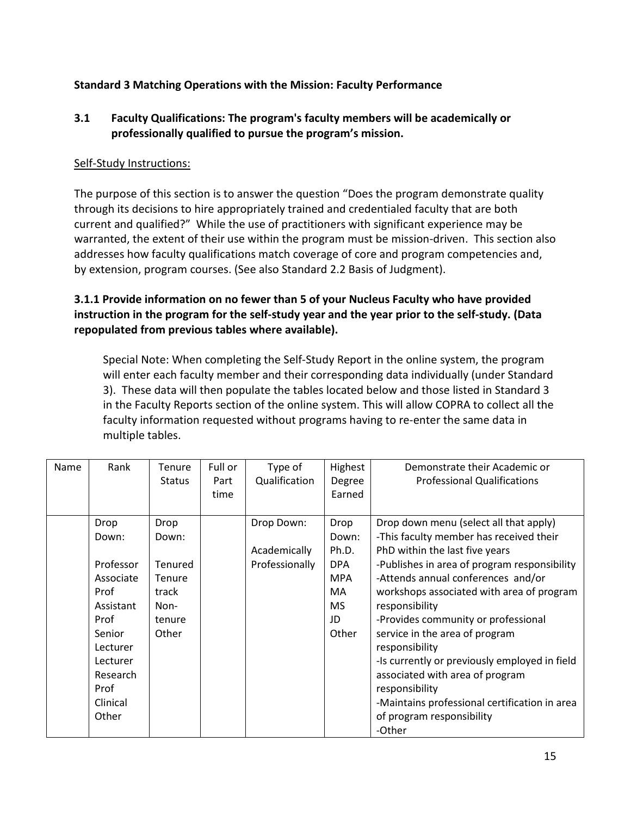# <span id="page-14-0"></span>**Standard 3 Matching Operations with the Mission: Faculty Performance**

# <span id="page-14-1"></span>**3.1 Faculty Qualifications: The program's faculty members will be academically or professionally qualified to pursue the program's mission.**

#### Self-Study Instructions:

The purpose of this section is to answer the question "Does the program demonstrate quality through its decisions to hire appropriately trained and credentialed faculty that are both current and qualified?" While the use of practitioners with significant experience may be warranted, the extent of their use within the program must be mission-driven. This section also addresses how faculty qualifications match coverage of core and program competencies and, by extension, program courses. (See also Standard 2.2 Basis of Judgment).

# **3.1.1 Provide information on no fewer than 5 of your Nucleus Faculty who have provided instruction in the program for the self-study year and the year prior to the self-study. (Data repopulated from previous tables where available).**

Special Note: When completing the Self-Study Report in the online system, the program will enter each faculty member and their corresponding data individually (under Standard 3). These data will then populate the tables located below and those listed in Standard 3 in the Faculty Reports section of the online system. This will allow COPRA to collect all the faculty information requested without programs having to re-enter the same data in multiple tables.

| Name | Rank                                                                                                                                            | Tenure<br><b>Status</b>                                                       | Full or<br>Part<br>time | Type of<br>Qualification                     | Highest<br>Degree<br>Earned                                                    | Demonstrate their Academic or<br><b>Professional Qualifications</b>                                                                                                                                                                                                                                                                                                                                                                                                                                                                                               |
|------|-------------------------------------------------------------------------------------------------------------------------------------------------|-------------------------------------------------------------------------------|-------------------------|----------------------------------------------|--------------------------------------------------------------------------------|-------------------------------------------------------------------------------------------------------------------------------------------------------------------------------------------------------------------------------------------------------------------------------------------------------------------------------------------------------------------------------------------------------------------------------------------------------------------------------------------------------------------------------------------------------------------|
|      | Drop<br>Down:<br>Professor<br>Associate<br>Prof<br>Assistant<br>Prof<br>Senior<br>Lecturer<br>Lecturer<br>Research<br>Prof<br>Clinical<br>Other | Drop<br>Down:<br><b>Tenured</b><br>Tenure<br>track<br>Non-<br>tenure<br>Other |                         | Drop Down:<br>Academically<br>Professionally | Drop<br>Down:<br>Ph.D.<br>DPA<br><b>MPA</b><br>MA.<br><b>MS</b><br>JD<br>Other | Drop down menu (select all that apply)<br>-This faculty member has received their<br>PhD within the last five years<br>-Publishes in area of program responsibility<br>-Attends annual conferences and/or<br>workshops associated with area of program<br>responsibility<br>-Provides community or professional<br>service in the area of program<br>responsibility<br>-Is currently or previously employed in field<br>associated with area of program<br>responsibility<br>-Maintains professional certification in area<br>of program responsibility<br>-Other |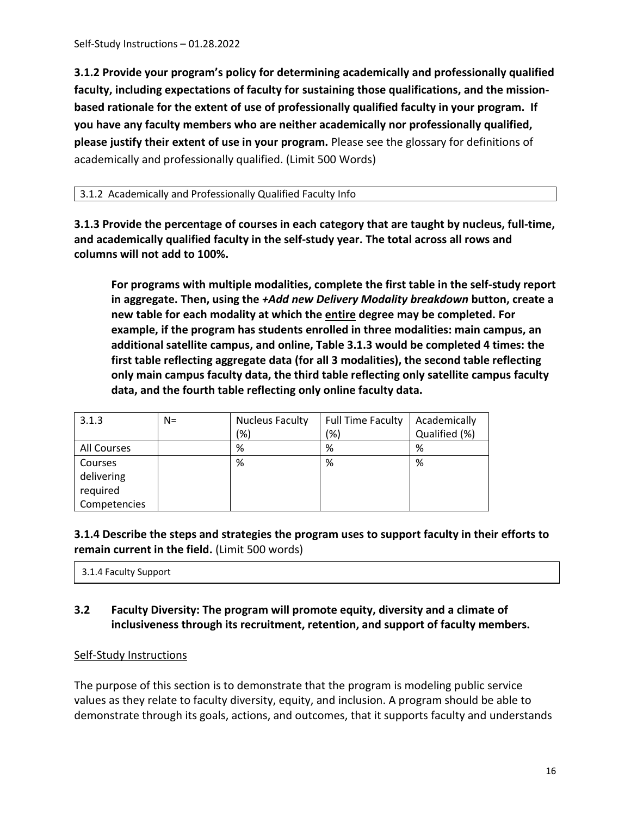**3.1.2 Provide your program's policy for determining academically and professionally qualified faculty, including expectations of faculty for sustaining those qualifications, and the missionbased rationale for the extent of use of professionally qualified faculty in your program. If you have any faculty members who are neither academically nor professionally qualified, please justify their extent of use in your program.** Please see the glossary for definitions of academically and professionally qualified. (Limit 500 Words)

#### 3.1.2 Academically and Professionally Qualified Faculty Info

**3.1.3 Provide the percentage of courses in each category that are taught by nucleus, full-time, and academically qualified faculty in the self-study year. The total across all rows and columns will not add to 100%.**

**For programs with multiple modalities, complete the first table in the self-study report in aggregate. Then, using the** *+Add new Delivery Modality breakdown* **button, create a new table for each modality at which the entire degree may be completed. For example, if the program has students enrolled in three modalities: main campus, an additional satellite campus, and online, Table 3.1.3 would be completed 4 times: the first table reflecting aggregate data (for all 3 modalities), the second table reflecting only main campus faculty data, the third table reflecting only satellite campus faculty data, and the fourth table reflecting only online faculty data.** 

| 3.1.3        | $N=$ | <b>Nucleus Faculty</b> | <b>Full Time Faculty</b> | Academically  |
|--------------|------|------------------------|--------------------------|---------------|
|              |      | '%)                    | (%)                      | Qualified (%) |
| All Courses  |      | %                      | %                        | %             |
| Courses      |      | %                      | %                        | %             |
| delivering   |      |                        |                          |               |
| required     |      |                        |                          |               |
| Competencies |      |                        |                          |               |

# **3.1.4 Describe the steps and strategies the program uses to support faculty in their efforts to remain current in the field.** (Limit 500 words)

3.1.4 Faculty Support

# <span id="page-15-0"></span>**3.2 Faculty Diversity: The program will promote equity, diversity and a climate of inclusiveness through its recruitment, retention, and support of faculty members.**

#### Self-Study Instructions

The purpose of this section is to demonstrate that the program is modeling public service values as they relate to faculty diversity, equity, and inclusion. A program should be able to demonstrate through its goals, actions, and outcomes, that it supports faculty and understands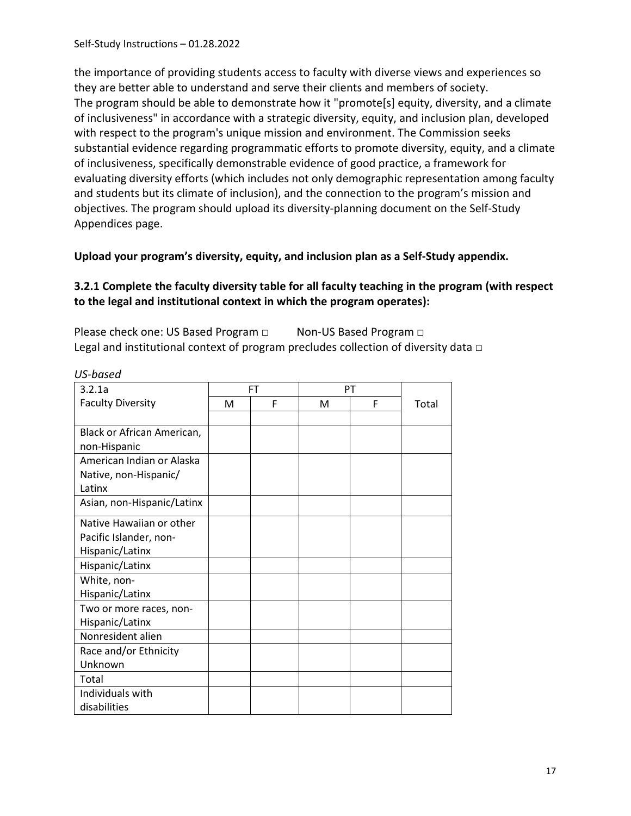the importance of providing students access to faculty with diverse views and experiences so they are better able to understand and serve their clients and members of society. The program should be able to demonstrate how it "promote[s] equity, diversity, and a climate of inclusiveness" in accordance with a strategic diversity, equity, and inclusion plan, developed with respect to the program's unique mission and environment. The Commission seeks substantial evidence regarding programmatic efforts to promote diversity, equity, and a climate of inclusiveness, specifically demonstrable evidence of good practice, a framework for evaluating diversity efforts (which includes not only demographic representation among faculty and students but its climate of inclusion), and the connection to the program's mission and objectives. The program should upload its diversity-planning document on the Self-Study Appendices page.

**Upload your program's diversity, equity, and inclusion plan as a Self-Study appendix.**

#### **3.2.1 Complete the faculty diversity table for all faculty teaching in the program (with respect to the legal and institutional context in which the program operates):**

Please check one: US Based Program □ Non-US Based Program □ Legal and institutional context of program precludes collection of diversity data  $\Box$ 

| us-puseu                   |   |    |   |    |       |
|----------------------------|---|----|---|----|-------|
| 3.2.1a                     |   | FT |   | PT |       |
| <b>Faculty Diversity</b>   | М | F  | M | F  | Total |
|                            |   |    |   |    |       |
| Black or African American, |   |    |   |    |       |
| non-Hispanic               |   |    |   |    |       |
| American Indian or Alaska  |   |    |   |    |       |
| Native, non-Hispanic/      |   |    |   |    |       |
| Latinx                     |   |    |   |    |       |
| Asian, non-Hispanic/Latinx |   |    |   |    |       |
| Native Hawaiian or other   |   |    |   |    |       |
| Pacific Islander, non-     |   |    |   |    |       |
| Hispanic/Latinx            |   |    |   |    |       |
| Hispanic/Latinx            |   |    |   |    |       |
| White, non-                |   |    |   |    |       |
| Hispanic/Latinx            |   |    |   |    |       |
| Two or more races, non-    |   |    |   |    |       |
| Hispanic/Latinx            |   |    |   |    |       |
| Nonresident alien          |   |    |   |    |       |
| Race and/or Ethnicity      |   |    |   |    |       |
| Unknown                    |   |    |   |    |       |
| Total                      |   |    |   |    |       |
| Individuals with           |   |    |   |    |       |
| disabilities               |   |    |   |    |       |

*US-based*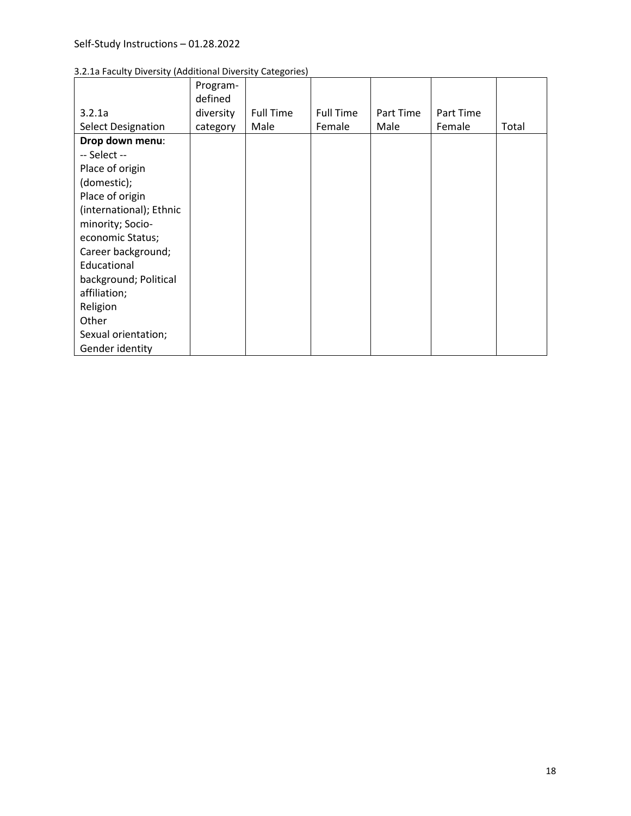| 3.2.1a Faculty Diversity (Additional Diversity Categories) |  |  |  |  |  |
|------------------------------------------------------------|--|--|--|--|--|
|------------------------------------------------------------|--|--|--|--|--|

|                           | Program-  |                  |                  |           |           |       |
|---------------------------|-----------|------------------|------------------|-----------|-----------|-------|
|                           | defined   |                  |                  |           |           |       |
| 3.2.1a                    | diversity | <b>Full Time</b> | <b>Full Time</b> | Part Time | Part Time |       |
| <b>Select Designation</b> | category  | Male             | Female           | Male      | Female    | Total |
| Drop down menu:           |           |                  |                  |           |           |       |
| -- Select --              |           |                  |                  |           |           |       |
| Place of origin           |           |                  |                  |           |           |       |
| (domestic);               |           |                  |                  |           |           |       |
| Place of origin           |           |                  |                  |           |           |       |
| (international); Ethnic   |           |                  |                  |           |           |       |
| minority; Socio-          |           |                  |                  |           |           |       |
| economic Status;          |           |                  |                  |           |           |       |
| Career background;        |           |                  |                  |           |           |       |
| Educational               |           |                  |                  |           |           |       |
| background; Political     |           |                  |                  |           |           |       |
| affiliation;              |           |                  |                  |           |           |       |
| Religion                  |           |                  |                  |           |           |       |
| Other                     |           |                  |                  |           |           |       |
| Sexual orientation;       |           |                  |                  |           |           |       |
| Gender identity           |           |                  |                  |           |           |       |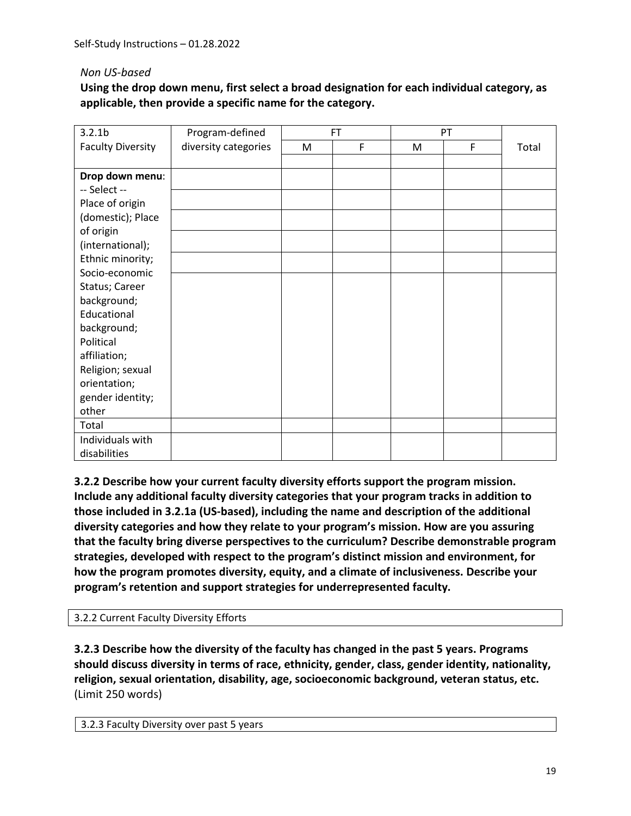#### *Non US-based*

**Using the drop down menu, first select a broad designation for each individual category, as applicable, then provide a specific name for the category.** 

| 3.2.1 <sub>b</sub>       | Program-defined      |   | <b>FT</b> |   | PT |       |
|--------------------------|----------------------|---|-----------|---|----|-------|
| <b>Faculty Diversity</b> | diversity categories | M | F         | M | F  | Total |
|                          |                      |   |           |   |    |       |
| Drop down menu:          |                      |   |           |   |    |       |
| -- Select --             |                      |   |           |   |    |       |
| Place of origin          |                      |   |           |   |    |       |
| (domestic); Place        |                      |   |           |   |    |       |
| of origin                |                      |   |           |   |    |       |
| (international);         |                      |   |           |   |    |       |
| Ethnic minority;         |                      |   |           |   |    |       |
| Socio-economic           |                      |   |           |   |    |       |
| Status; Career           |                      |   |           |   |    |       |
| background;              |                      |   |           |   |    |       |
| Educational              |                      |   |           |   |    |       |
| background;              |                      |   |           |   |    |       |
| Political                |                      |   |           |   |    |       |
| affiliation;             |                      |   |           |   |    |       |
| Religion; sexual         |                      |   |           |   |    |       |
| orientation;             |                      |   |           |   |    |       |
| gender identity;         |                      |   |           |   |    |       |
| other                    |                      |   |           |   |    |       |
| Total                    |                      |   |           |   |    |       |
| Individuals with         |                      |   |           |   |    |       |
| disabilities             |                      |   |           |   |    |       |

**3.2.2 Describe how your current faculty diversity efforts support the program mission. Include any additional faculty diversity categories that your program tracks in addition to those included in 3.2.1a (US-based), including the name and description of the additional diversity categories and how they relate to your program's mission. How are you assuring that the faculty bring diverse perspectives to the curriculum? Describe demonstrable program strategies, developed with respect to the program's distinct mission and environment, for how the program promotes diversity, equity, and a climate of inclusiveness. Describe your program's retention and support strategies for underrepresented faculty.**

#### 3.2.2 Current Faculty Diversity Efforts

**3.2.3 Describe how the diversity of the faculty has changed in the past 5 years. Programs should discuss diversity in terms of race, ethnicity, gender, class, gender identity, nationality, religion, sexual orientation, disability, age, socioeconomic background, veteran status, etc.**  (Limit 250 words)

```
3.2.3 Faculty Diversity over past 5 years
```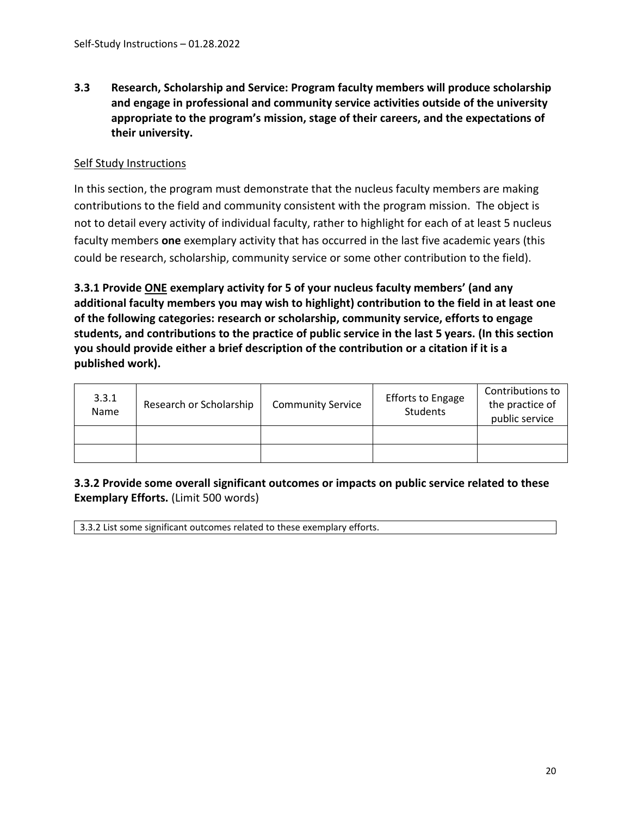<span id="page-19-0"></span>**3.3 Research, Scholarship and Service: Program faculty members will produce scholarship and engage in professional and community service activities outside of the university appropriate to the program's mission, stage of their careers, and the expectations of their university.**

#### Self Study Instructions

In this section, the program must demonstrate that the nucleus faculty members are making contributions to the field and community consistent with the program mission. The object is not to detail every activity of individual faculty, rather to highlight for each of at least 5 nucleus faculty members **one** exemplary activity that has occurred in the last five academic years (this could be research, scholarship, community service or some other contribution to the field).

**3.3.1 Provide ONE exemplary activity for 5 of your nucleus faculty members' (and any additional faculty members you may wish to highlight) contribution to the field in at least one of the following categories: research or scholarship, community service, efforts to engage students, and contributions to the practice of public service in the last 5 years. (In this section you should provide either a brief description of the contribution or a citation if it is a published work).**

| 3.3.1<br>Name | Research or Scholarship | <b>Community Service</b> | <b>Efforts to Engage</b><br>Students | Contributions to<br>the practice of<br>public service |
|---------------|-------------------------|--------------------------|--------------------------------------|-------------------------------------------------------|
|               |                         |                          |                                      |                                                       |
|               |                         |                          |                                      |                                                       |

# **3.3.2 Provide some overall significant outcomes or impacts on public service related to these Exemplary Efforts.** (Limit 500 words)

3.3.2 List some significant outcomes related to these exemplary efforts.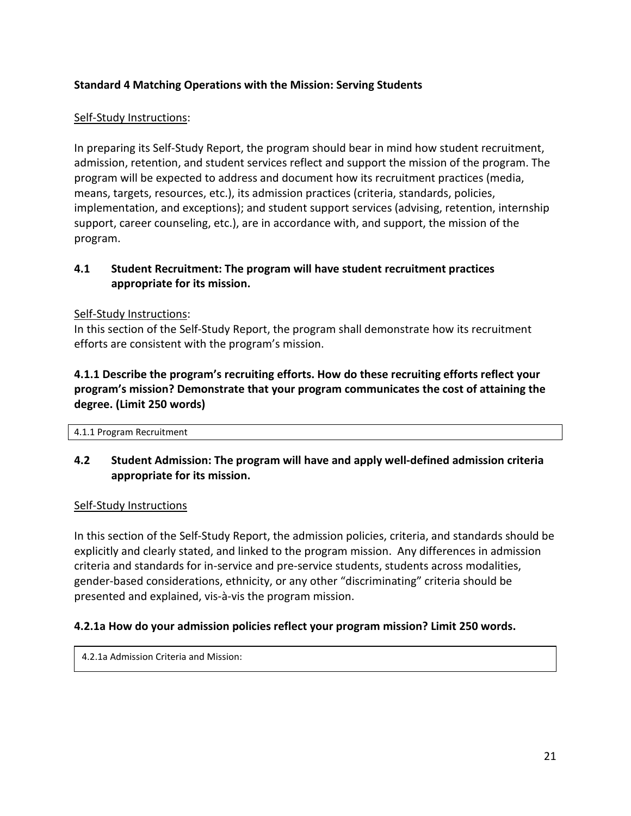# <span id="page-20-0"></span>**Standard 4 Matching Operations with the Mission: Serving Students**

# Self-Study Instructions:

In preparing its Self-Study Report, the program should bear in mind how student recruitment, admission, retention, and student services reflect and support the mission of the program. The program will be expected to address and document how its recruitment practices (media, means, targets, resources, etc.), its admission practices (criteria, standards, policies, implementation, and exceptions); and student support services (advising, retention, internship support, career counseling, etc.), are in accordance with, and support, the mission of the program.

#### <span id="page-20-1"></span>**4.1 Student Recruitment: The program will have student recruitment practices appropriate for its mission.**

#### Self-Study Instructions:

In this section of the Self-Study Report, the program shall demonstrate how its recruitment efforts are consistent with the program's mission.

# **4.1.1 Describe the program's recruiting efforts. How do these recruiting efforts reflect your program's mission? Demonstrate that your program communicates the cost of attaining the degree. (Limit 250 words)**

4.1.1 Program Recruitment

# <span id="page-20-2"></span>**4.2 Student Admission: The program will have and apply well-defined admission criteria appropriate for its mission.**

#### Self-Study Instructions

In this section of the Self-Study Report, the admission policies, criteria, and standards should be explicitly and clearly stated, and linked to the program mission. Any differences in admission criteria and standards for in-service and pre-service students, students across modalities, gender-based considerations, ethnicity, or any other "discriminating" criteria should be presented and explained, vis-à-vis the program mission.

#### **4.2.1a How do your admission policies reflect your program mission? Limit 250 words.**

4.2.1a Admission Criteria and Mission: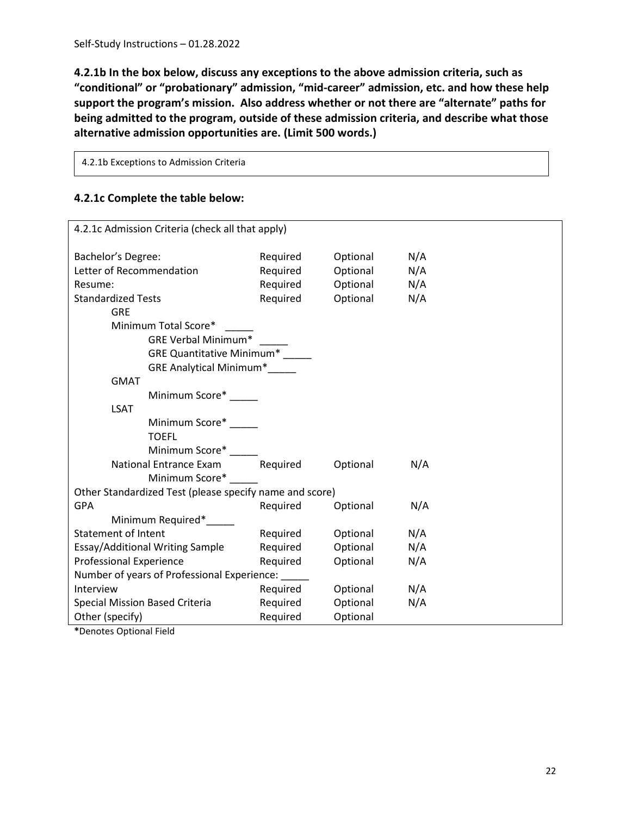**4.2.1b In the box below, discuss any exceptions to the above admission criteria, such as "conditional" or "probationary" admission, "mid-career" admission, etc. and how these help support the program's mission. Also address whether or not there are "alternate" paths for being admitted to the program, outside of these admission criteria, and describe what those alternative admission opportunities are. (Limit 500 words.)**

4.2.1b Exceptions to Admission Criteria

#### **4.2.1c Complete the table below:**

| 4.2.1c Admission Criteria (check all that apply)        |          |          |     |  |  |
|---------------------------------------------------------|----------|----------|-----|--|--|
| Bachelor's Degree:                                      | Required | Optional | N/A |  |  |
| Letter of Recommendation                                | Required | Optional | N/A |  |  |
| Resume:                                                 | Required | Optional | N/A |  |  |
| <b>Standardized Tests</b>                               | Required | Optional | N/A |  |  |
| <b>GRE</b>                                              |          |          |     |  |  |
| Minimum Total Score*                                    |          |          |     |  |  |
| <b>GRE Verbal Minimum*</b>                              |          |          |     |  |  |
| <b>GRE Quantitative Minimum*</b>                        |          |          |     |  |  |
| GRE Analytical Minimum*                                 |          |          |     |  |  |
| <b>GMAT</b>                                             |          |          |     |  |  |
| Minimum Score*                                          |          |          |     |  |  |
| <b>LSAT</b>                                             |          |          |     |  |  |
| Minimum Score*                                          |          |          |     |  |  |
| <b>TOEFL</b>                                            |          |          |     |  |  |
| Minimum Score*                                          |          |          |     |  |  |
| National Entrance Exam                                  | Required | Optional | N/A |  |  |
| Minimum Score*                                          |          |          |     |  |  |
| Other Standardized Test (please specify name and score) |          |          |     |  |  |
| <b>GPA</b>                                              | Required | Optional | N/A |  |  |
| Minimum Required*                                       |          |          |     |  |  |
| Statement of Intent                                     | Required | Optional | N/A |  |  |
| Essay/Additional Writing Sample                         | Required | Optional | N/A |  |  |
| <b>Professional Experience</b>                          | Required | Optional | N/A |  |  |
| Number of years of Professional Experience: _____       |          |          |     |  |  |
| Interview                                               | Required | Optional | N/A |  |  |
| Special Mission Based Criteria                          | Required | Optional | N/A |  |  |
| Other (specify)                                         | Required | Optional |     |  |  |

**\***Denotes Optional Field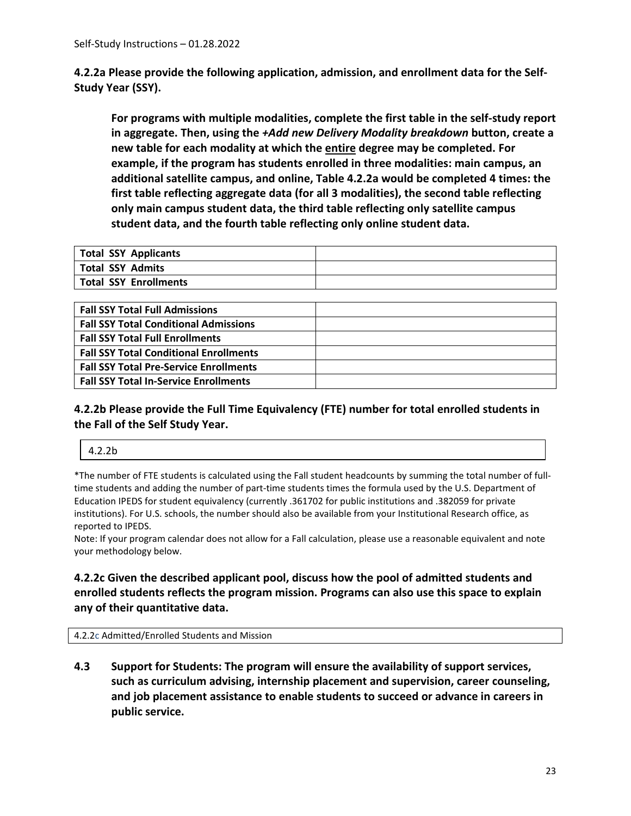**4.2.2a Please provide the following application, admission, and enrollment data for the Self-Study Year (SSY).**

**For programs with multiple modalities, complete the first table in the self-study report in aggregate. Then, using the** *+Add new Delivery Modality breakdown* **button, create a new table for each modality at which the entire degree may be completed. For example, if the program has students enrolled in three modalities: main campus, an additional satellite campus, and online, Table 4.2.2a would be completed 4 times: the first table reflecting aggregate data (for all 3 modalities), the second table reflecting only main campus student data, the third table reflecting only satellite campus student data, and the fourth table reflecting only online student data.** 

| Total SSY Applicants  |  |
|-----------------------|--|
| Total SSY Admits      |  |
| Total SSY Enrollments |  |

| <b>Fall SSY Total Full Admissions</b>         |  |
|-----------------------------------------------|--|
| <b>Fall SSY Total Conditional Admissions</b>  |  |
| <b>Fall SSY Total Full Enrollments</b>        |  |
| <b>Fall SSY Total Conditional Enrollments</b> |  |
| <b>Fall SSY Total Pre-Service Enrollments</b> |  |
| <b>Fall SSY Total In-Service Enrollments</b>  |  |

# **4.2.2b Please provide the Full Time Equivalency (FTE) number for total enrolled students in the Fall of the Self Study Year.**

\*The number of FTE students is calculated using the Fall student headcounts by summing the total number of fulltime students and adding the number of part-time students times the formula used by the U.S. Department of Education IPEDS for student equivalency (currently .361702 for public institutions and .382059 for private institutions). For U.S. schools, the number should also be available from your Institutional Research office, as reported to IPEDS.

Note: If your program calendar does not allow for a Fall calculation, please use a reasonable equivalent and note your methodology below.

#### **4.2.2c Given the described applicant pool, discuss how the pool of admitted students and enrolled students reflects the program mission. Programs can also use this space to explain any of their quantitative data.**

4.2.2c Admitted/Enrolled Students and Mission

<span id="page-22-0"></span>**4.3 Support for Students: The program will ensure the availability of support services, such as curriculum advising, internship placement and supervision, career counseling, and job placement assistance to enable students to succeed or advance in careers in public service.**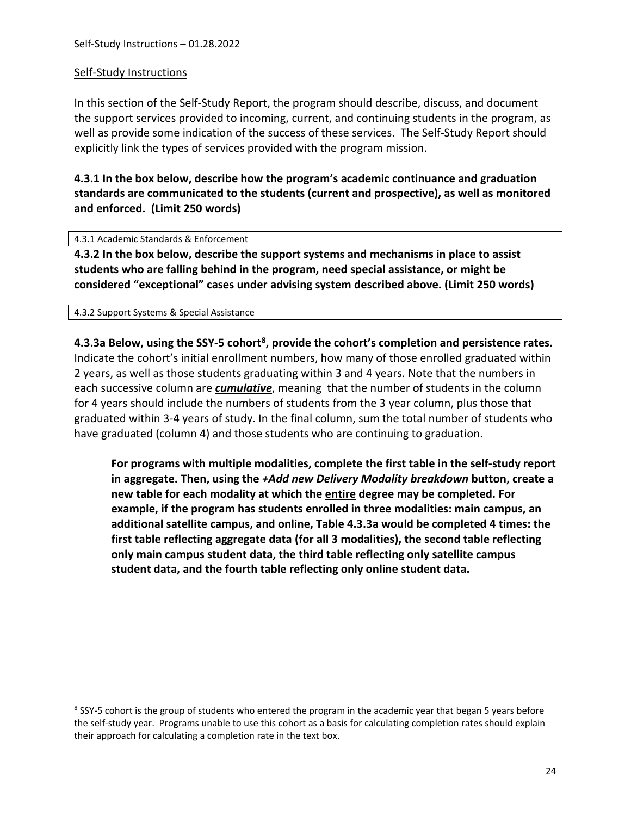#### Self-Study Instructions

In this section of the Self-Study Report, the program should describe, discuss, and document the support services provided to incoming, current, and continuing students in the program, as well as provide some indication of the success of these services. The Self-Study Report should explicitly link the types of services provided with the program mission.

**4.3.1 In the box below, describe how the program's academic continuance and graduation standards are communicated to the students (current and prospective), as well as monitored and enforced. (Limit 250 words)**

4.3.1 Academic Standards & Enforcement

**4.3.2 In the box below, describe the support systems and mechanisms in place to assist students who are falling behind in the program, need special assistance, or might be considered "exceptional" cases under advising system described above. (Limit 250 words)**

4.3.2 Support Systems & Special Assistance

**4.3.3a Below, using the SSY-5 cohort[8](#page-23-0), provide the cohort's completion and persistence rates.**  Indicate the cohort's initial enrollment numbers, how many of those enrolled graduated within 2 years, as well as those students graduating within 3 and 4 years. Note that the numbers in each successive column are *cumulative*, meaning that the number of students in the column for 4 years should include the numbers of students from the 3 year column, plus those that graduated within 3-4 years of study. In the final column, sum the total number of students who have graduated (column 4) and those students who are continuing to graduation.

**For programs with multiple modalities, complete the first table in the self-study report in aggregate. Then, using the** *+Add new Delivery Modality breakdown* **button, create a new table for each modality at which the entire degree may be completed. For example, if the program has students enrolled in three modalities: main campus, an additional satellite campus, and online, Table 4.3.3a would be completed 4 times: the first table reflecting aggregate data (for all 3 modalities), the second table reflecting only main campus student data, the third table reflecting only satellite campus student data, and the fourth table reflecting only online student data.** 

<span id="page-23-0"></span><sup>&</sup>lt;sup>8</sup> SSY-5 cohort is the group of students who entered the program in the academic year that began 5 years before the self-study year. Programs unable to use this cohort as a basis for calculating completion rates should explain their approach for calculating a completion rate in the text box.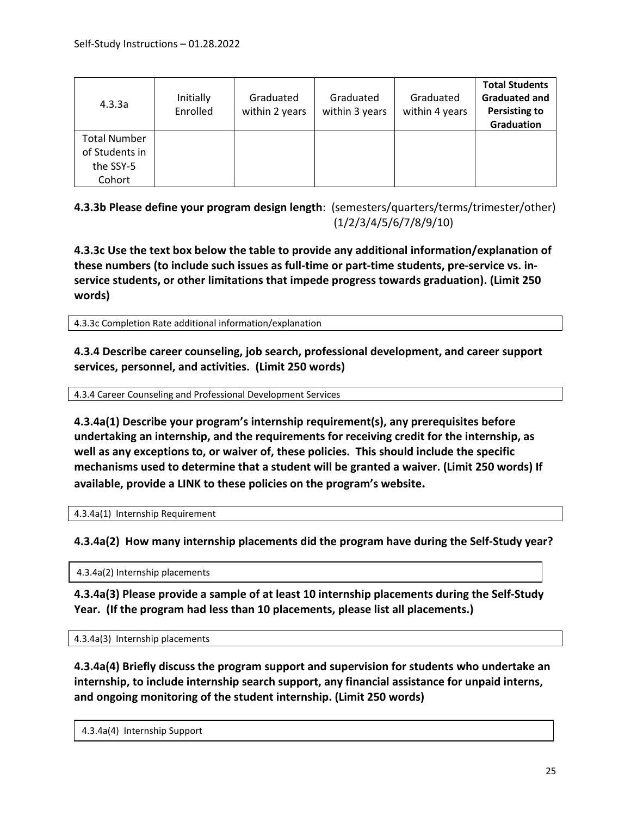| 4.3.3a                                | Initially<br>Enrolled | Graduated<br>within 2 years | Graduated<br>within 3 years | Graduated<br>within 4 years | <b>Total Students</b><br><b>Graduated and</b><br><b>Persisting to</b><br>Graduation |
|---------------------------------------|-----------------------|-----------------------------|-----------------------------|-----------------------------|-------------------------------------------------------------------------------------|
| <b>Total Number</b><br>of Students in |                       |                             |                             |                             |                                                                                     |
| the SSY-5<br>Cohort                   |                       |                             |                             |                             |                                                                                     |

**4.3.3b Please define your program design length**: (semesters/quarters/terms/trimester/other) (1/2/3/4/5/6/7/8/9/10)

**4.3.3c Use the text box below the table to provide any additional information/explanation of these numbers (to include such issues as full-time or part-time students, pre-service vs. inservice students, or other limitations that impede progress towards graduation). (Limit 250 words)**

4.3.3c Completion Rate additional information/explanation

**4.3.4 Describe career counseling, job search, professional development, and career support services, personnel, and activities. (Limit 250 words)**

4.3.4 Career Counseling and Professional Development Services

**4.3.4a(1) Describe your program's internship requirement(s), any prerequisites before undertaking an internship, and the requirements for receiving credit for the internship, as well as any exceptions to, or waiver of, these policies. This should include the specific mechanisms used to determine that a student will be granted a waiver. (Limit 250 words) If available, provide a LINK to these policies on the program's website.**

4.3.4a(1) Internship Requirement

**4.3.4a(2) How many internship placements did the program have during the Self-Study year?**

4.3.4a(2) Internship placements

**4.3.4a(3) Please provide a sample of at least 10 internship placements during the Self-Study Year. (If the program had less than 10 placements, please list all placements.)**

4.3.4a(3) Internship placements

**4.3.4a(4) Briefly discuss the program support and supervision for students who undertake an internship, to include internship search support, any financial assistance for unpaid interns, and ongoing monitoring of the student internship. (Limit 250 words)**

4.3.4a(4) Internship Support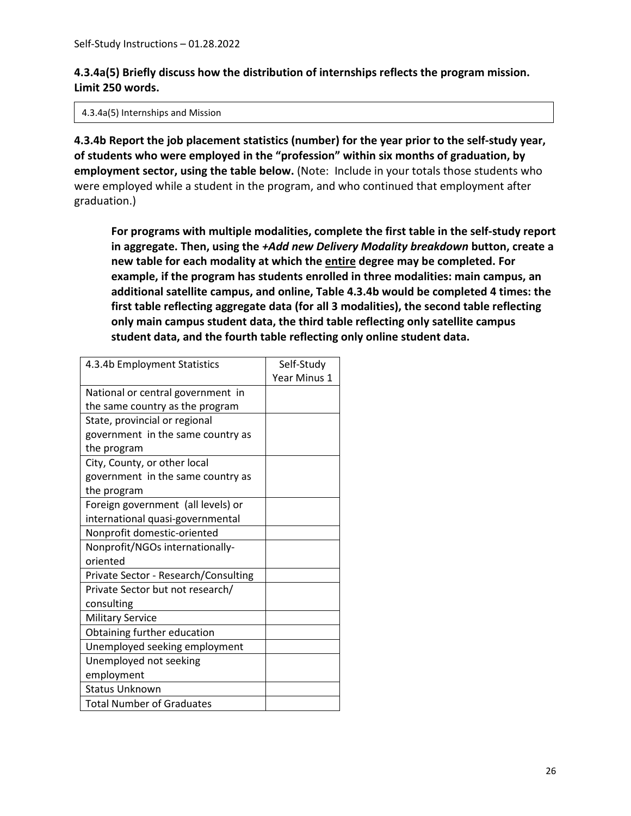# **4.3.4a(5) Briefly discuss how the distribution of internships reflects the program mission. Limit 250 words.**

4.3.4a(5) Internships and Mission

**4.3.4b Report the job placement statistics (number) for the year prior to the self-study year, of students who were employed in the "profession" within six months of graduation, by employment sector, using the table below.** (Note: Include in your totals those students who were employed while a student in the program, and who continued that employment after graduation.)

**For programs with multiple modalities, complete the first table in the self-study report in aggregate. Then, using the** *+Add new Delivery Modality breakdown* **button, create a new table for each modality at which the entire degree may be completed. For example, if the program has students enrolled in three modalities: main campus, an additional satellite campus, and online, Table 4.3.4b would be completed 4 times: the first table reflecting aggregate data (for all 3 modalities), the second table reflecting only main campus student data, the third table reflecting only satellite campus student data, and the fourth table reflecting only online student data.** 

| 4.3.4b Employment Statistics         | Self-Study   |
|--------------------------------------|--------------|
|                                      | Year Minus 1 |
| National or central government in    |              |
| the same country as the program      |              |
| State, provincial or regional        |              |
| government in the same country as    |              |
| the program                          |              |
| City, County, or other local         |              |
| government in the same country as    |              |
| the program                          |              |
| Foreign government (all levels) or   |              |
| international quasi-governmental     |              |
| Nonprofit domestic-oriented          |              |
| Nonprofit/NGOs internationally-      |              |
| oriented                             |              |
| Private Sector - Research/Consulting |              |
| Private Sector but not research/     |              |
| consulting                           |              |
| <b>Military Service</b>              |              |
| Obtaining further education          |              |
| Unemployed seeking employment        |              |
| Unemployed not seeking               |              |
| employment                           |              |
| <b>Status Unknown</b>                |              |
| <b>Total Number of Graduates</b>     |              |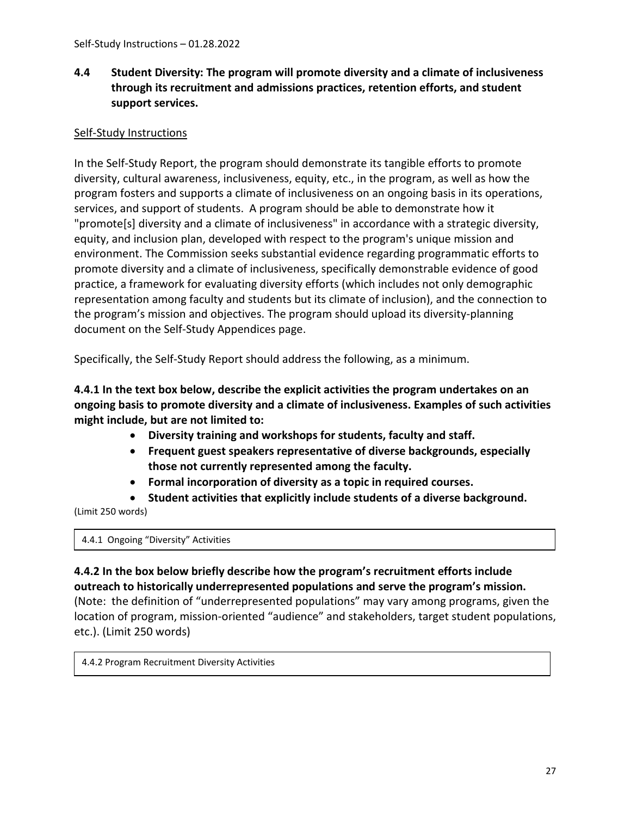# <span id="page-26-0"></span>**4.4 Student Diversity: The program will promote diversity and a climate of inclusiveness through its recruitment and admissions practices, retention efforts, and student support services.**

# Self-Study Instructions

In the Self-Study Report, the program should demonstrate its tangible efforts to promote diversity, cultural awareness, inclusiveness, equity, etc., in the program, as well as how the program fosters and supports a climate of inclusiveness on an ongoing basis in its operations, services, and support of students. A program should be able to demonstrate how it "promote[s] diversity and a climate of inclusiveness" in accordance with a strategic diversity, equity, and inclusion plan, developed with respect to the program's unique mission and environment. The Commission seeks substantial evidence regarding programmatic efforts to promote diversity and a climate of inclusiveness, specifically demonstrable evidence of good practice, a framework for evaluating diversity efforts (which includes not only demographic representation among faculty and students but its climate of inclusion), and the connection to the program's mission and objectives. The program should upload its diversity-planning document on the Self-Study Appendices page.

Specifically, the Self-Study Report should address the following, as a minimum.

**4.4.1 In the text box below, describe the explicit activities the program undertakes on an ongoing basis to promote diversity and a climate of inclusiveness. Examples of such activities might include, but are not limited to:**

- **Diversity training and workshops for students, faculty and staff.**
- **Frequent guest speakers representative of diverse backgrounds, especially those not currently represented among the faculty.**
- **Formal incorporation of diversity as a topic in required courses.**
- **Student activities that explicitly include students of a diverse background.**

(Limit 250 words)

4.4.1 Ongoing "Diversity" Activities

# **4.4.2 In the box below briefly describe how the program's recruitment efforts include outreach to historically underrepresented populations and serve the program's mission.**

(Note: the definition of "underrepresented populations" may vary among programs, given the location of program, mission-oriented "audience" and stakeholders, target student populations, etc.). (Limit 250 words)

4.4.2 Program Recruitment Diversity Activities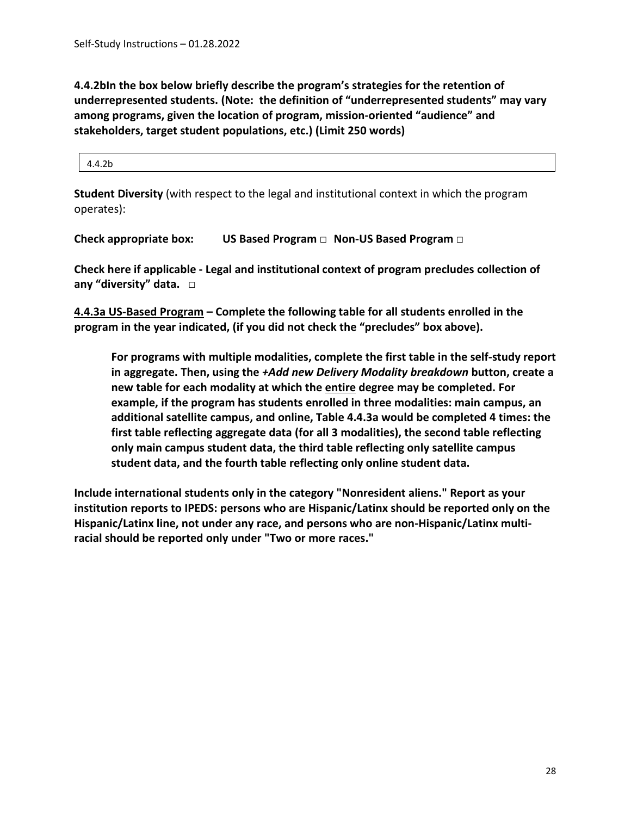**4.4.2bIn the box below briefly describe the program's strategies for the retention of underrepresented students. (Note: the definition of "underrepresented students" may vary among programs, given the location of program, mission-oriented "audience" and stakeholders, target student populations, etc.) (Limit 250 words)**

4.4.2b

**Student Diversity** (with respect to the legal and institutional context in which the program operates):

**Check appropriate box: US Based Program □ Non-US Based Program □** 

**Check here if applicable - Legal and institutional context of program precludes collection of any "diversity" data. □**

**4.4.3a US-Based Program – Complete the following table for all students enrolled in the program in the year indicated, (if you did not check the "precludes" box above).**

**For programs with multiple modalities, complete the first table in the self-study report in aggregate. Then, using the** *+Add new Delivery Modality breakdown* **button, create a new table for each modality at which the entire degree may be completed. For example, if the program has students enrolled in three modalities: main campus, an additional satellite campus, and online, Table 4.4.3a would be completed 4 times: the first table reflecting aggregate data (for all 3 modalities), the second table reflecting only main campus student data, the third table reflecting only satellite campus student data, and the fourth table reflecting only online student data.** 

**Include international students only in the category "Nonresident aliens." Report as your institution reports to IPEDS: persons who are Hispanic/Latinx should be reported only on the Hispanic/Latinx line, not under any race, and persons who are non-Hispanic/Latinx multiracial should be reported only under "Two or more races."**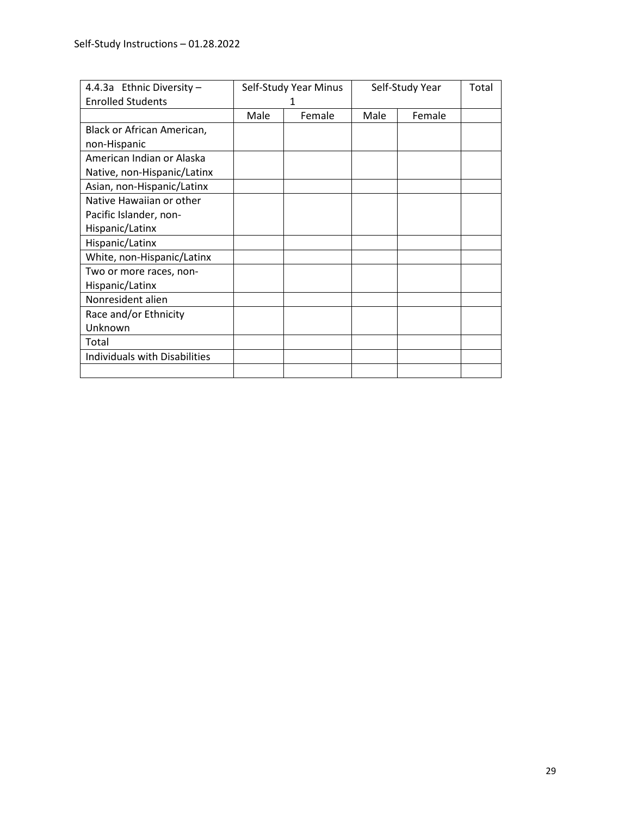| 4.4.3a Ethnic Diversity -            | Self-Study Year Minus |        | Self-Study Year |        | Total |
|--------------------------------------|-----------------------|--------|-----------------|--------|-------|
| <b>Enrolled Students</b>             |                       |        |                 |        |       |
|                                      | Male                  | Female | Male            | Female |       |
| Black or African American,           |                       |        |                 |        |       |
| non-Hispanic                         |                       |        |                 |        |       |
| American Indian or Alaska            |                       |        |                 |        |       |
| Native, non-Hispanic/Latinx          |                       |        |                 |        |       |
| Asian, non-Hispanic/Latinx           |                       |        |                 |        |       |
| Native Hawaiian or other             |                       |        |                 |        |       |
| Pacific Islander, non-               |                       |        |                 |        |       |
| Hispanic/Latinx                      |                       |        |                 |        |       |
| Hispanic/Latinx                      |                       |        |                 |        |       |
| White, non-Hispanic/Latinx           |                       |        |                 |        |       |
| Two or more races, non-              |                       |        |                 |        |       |
| Hispanic/Latinx                      |                       |        |                 |        |       |
| Nonresident alien                    |                       |        |                 |        |       |
| Race and/or Ethnicity                |                       |        |                 |        |       |
| Unknown                              |                       |        |                 |        |       |
| Total                                |                       |        |                 |        |       |
| <b>Individuals with Disabilities</b> |                       |        |                 |        |       |
|                                      |                       |        |                 |        |       |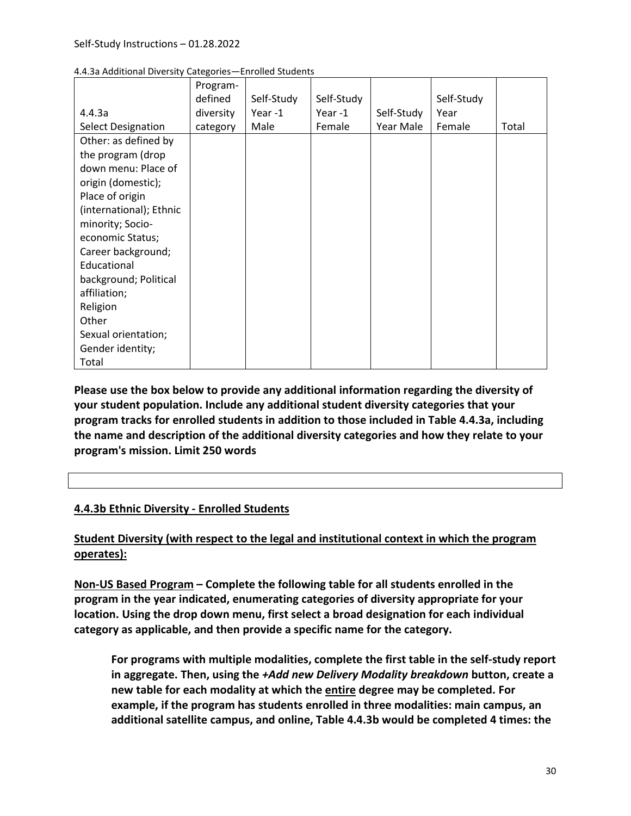|                           | Program-  |            |            |            |            |       |
|---------------------------|-----------|------------|------------|------------|------------|-------|
|                           | defined   | Self-Study | Self-Study |            | Self-Study |       |
| 4.4.3a                    | diversity | Year-1     | Year-1     | Self-Study | Year       |       |
| <b>Select Designation</b> | category  | Male       | Female     | Year Male  | Female     | Total |
| Other: as defined by      |           |            |            |            |            |       |
| the program (drop         |           |            |            |            |            |       |
| down menu: Place of       |           |            |            |            |            |       |
| origin (domestic);        |           |            |            |            |            |       |
| Place of origin           |           |            |            |            |            |       |
| (international); Ethnic   |           |            |            |            |            |       |
| minority; Socio-          |           |            |            |            |            |       |
| economic Status;          |           |            |            |            |            |       |
| Career background;        |           |            |            |            |            |       |
| Educational               |           |            |            |            |            |       |
| background; Political     |           |            |            |            |            |       |
| affiliation;              |           |            |            |            |            |       |
| Religion                  |           |            |            |            |            |       |
| Other                     |           |            |            |            |            |       |
| Sexual orientation;       |           |            |            |            |            |       |
| Gender identity;          |           |            |            |            |            |       |
| Total                     |           |            |            |            |            |       |

4.4.3a Additional Diversity Categories—Enrolled Students

**Please use the box below to provide any additional information regarding the diversity of your student population. Include any additional student diversity categories that your program tracks for enrolled students in addition to those included in Table 4.4.3a, including the name and description of the additional diversity categories and how they relate to your program's mission. Limit 250 words** 

#### **4.4.3b Ethnic Diversity - Enrolled Students**

# **Student Diversity (with respect to the legal and institutional context in which the program operates):**

**Non-US Based Program – Complete the following table for all students enrolled in the program in the year indicated, enumerating categories of diversity appropriate for your location. Using the drop down menu, first select a broad designation for each individual category as applicable, and then provide a specific name for the category.** 

**For programs with multiple modalities, complete the first table in the self-study report in aggregate. Then, using the** *+Add new Delivery Modality breakdown* **button, create a new table for each modality at which the entire degree may be completed. For example, if the program has students enrolled in three modalities: main campus, an additional satellite campus, and online, Table 4.4.3b would be completed 4 times: the**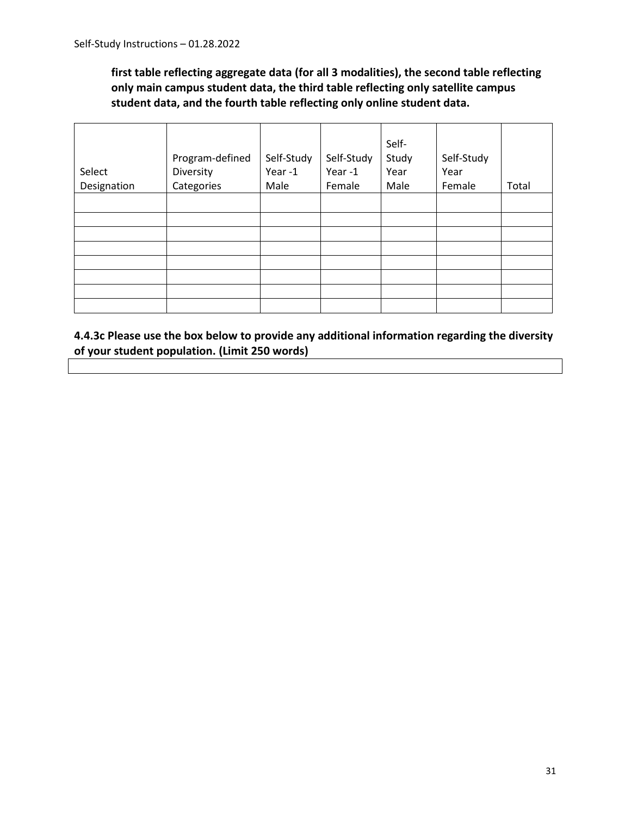**first table reflecting aggregate data (for all 3 modalities), the second table reflecting only main campus student data, the third table reflecting only satellite campus student data, and the fourth table reflecting only online student data.** 

| Select      | Program-defined<br>Diversity | Self-Study<br>Year-1 | Self-Study<br>Year-1 | Self-<br>Study<br>Year | Self-Study<br>Year |       |
|-------------|------------------------------|----------------------|----------------------|------------------------|--------------------|-------|
| Designation | Categories                   | Male                 | Female               | Male                   | Female             | Total |
|             |                              |                      |                      |                        |                    |       |
|             |                              |                      |                      |                        |                    |       |
|             |                              |                      |                      |                        |                    |       |
|             |                              |                      |                      |                        |                    |       |
|             |                              |                      |                      |                        |                    |       |
|             |                              |                      |                      |                        |                    |       |
|             |                              |                      |                      |                        |                    |       |
|             |                              |                      |                      |                        |                    |       |

**4.4.3c Please use the box below to provide any additional information regarding the diversity of your student population. (Limit 250 words)**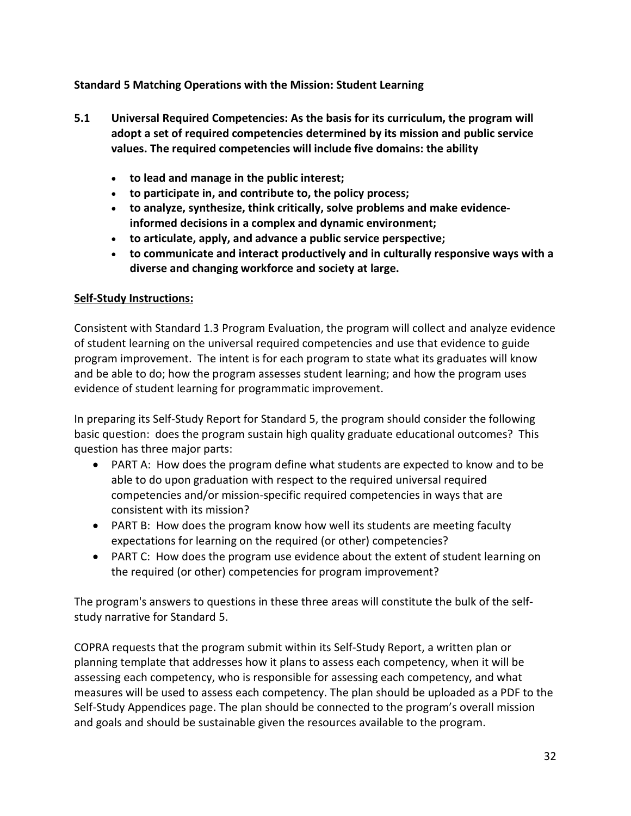# <span id="page-31-0"></span>**Standard 5 Matching Operations with the Mission: Student Learning**

- <span id="page-31-1"></span>**5.1 Universal Required Competencies: As the basis for its curriculum, the program will adopt a set of required competencies determined by its mission and public service values. The required competencies will include five domains: the ability** 
	- **to lead and manage in the public interest;**
	- **to participate in, and contribute to, the policy process;**
	- **to analyze, synthesize, think critically, solve problems and make evidenceinformed decisions in a complex and dynamic environment;**
	- **to articulate, apply, and advance a public service perspective;**
	- **to communicate and interact productively and in culturally responsive ways with a diverse and changing workforce and society at large.**

#### **Self-Study Instructions:**

Consistent with Standard 1.3 Program Evaluation, the program will collect and analyze evidence of student learning on the universal required competencies and use that evidence to guide program improvement. The intent is for each program to state what its graduates will know and be able to do; how the program assesses student learning; and how the program uses evidence of student learning for programmatic improvement.

In preparing its Self-Study Report for Standard 5, the program should consider the following basic question: does the program sustain high quality graduate educational outcomes? This question has three major parts:

- PART A: How does the program define what students are expected to know and to be able to do upon graduation with respect to the required universal required competencies and/or mission-specific required competencies in ways that are consistent with its mission?
- PART B: How does the program know how well its students are meeting faculty expectations for learning on the required (or other) competencies?
- PART C: How does the program use evidence about the extent of student learning on the required (or other) competencies for program improvement?

The program's answers to questions in these three areas will constitute the bulk of the selfstudy narrative for Standard 5.

COPRA requests that the program submit within its Self-Study Report, a written plan or planning template that addresses how it plans to assess each competency, when it will be assessing each competency, who is responsible for assessing each competency, and what measures will be used to assess each competency. The plan should be uploaded as a PDF to the Self-Study Appendices page. The plan should be connected to the program's overall mission and goals and should be sustainable given the resources available to the program.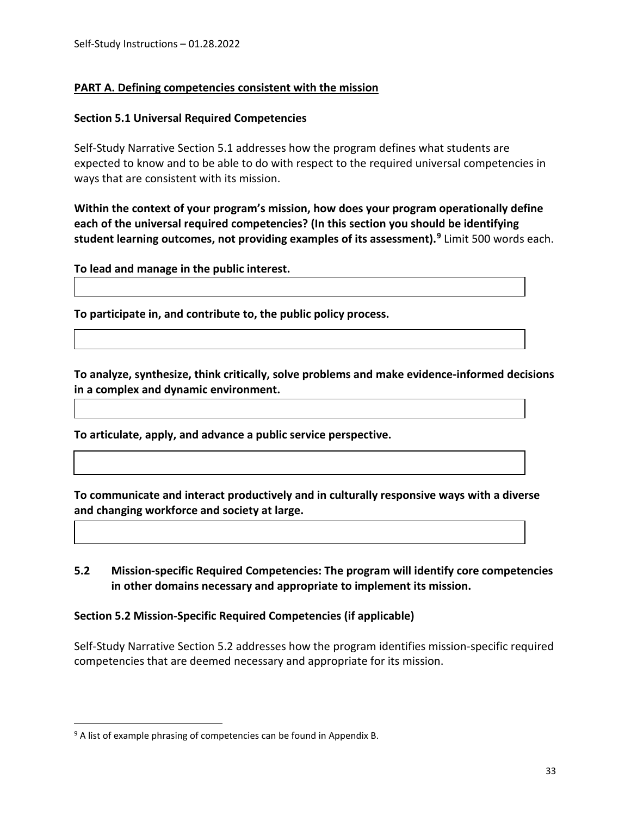# **PART A. Defining competencies consistent with the mission**

#### **Section 5.1 Universal Required Competencies**

Self-Study Narrative Section 5.1 addresses how the program defines what students are expected to know and to be able to do with respect to the required universal competencies in ways that are consistent with its mission.

**Within the context of your program's mission, how does your program operationally define each of the universal required competencies? (In this section you should be identifying student learning outcomes, not providing examples of its assessment). [9](#page-32-1)** Limit 500 words each.

**To lead and manage in the public interest.** 

**To participate in, and contribute to, the public policy process.**

**To analyze, synthesize, think critically, solve problems and make evidence-informed decisions in a complex and dynamic environment.**

**To articulate, apply, and advance a public service perspective.**

**To communicate and interact productively and in culturally responsive ways with a diverse and changing workforce and society at large.**

#### <span id="page-32-0"></span>**5.2 Mission-specific Required Competencies: The program will identify core competencies in other domains necessary and appropriate to implement its mission.**

#### **Section 5.2 Mission-Specific Required Competencies (if applicable)**

Self-Study Narrative Section 5.2 addresses how the program identifies mission-specific required competencies that are deemed necessary and appropriate for its mission.

<span id="page-32-1"></span><sup>&</sup>lt;sup>9</sup> A list of example phrasing of competencies can be found in Appendix B.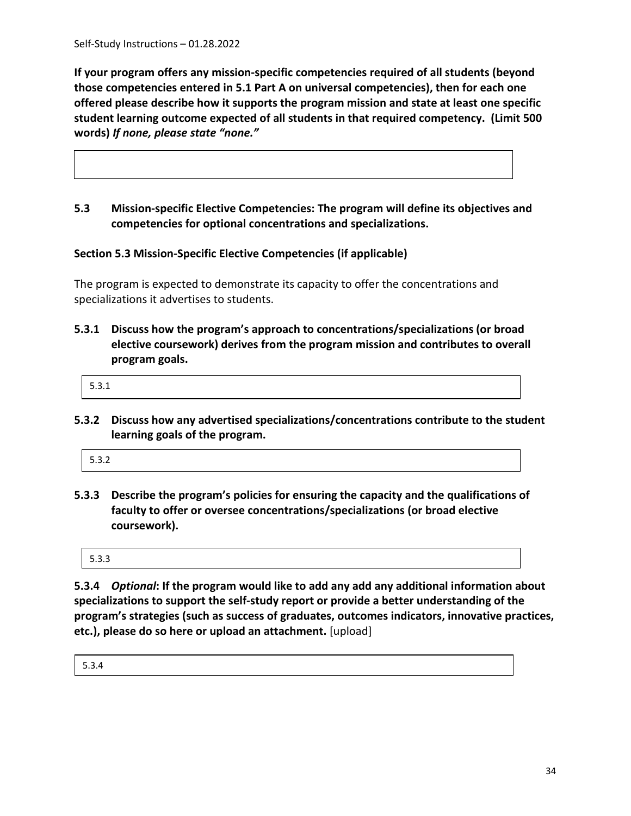**If your program offers any mission-specific competencies required of all students (beyond those competencies entered in 5.1 Part A on universal competencies), then for each one offered please describe how it supports the program mission and state at least one specific student learning outcome expected of all students in that required competency. (Limit 500 words)** *If none, please state "none."*

<span id="page-33-0"></span>**5.3 Mission-specific Elective Competencies: The program will define its objectives and competencies for optional concentrations and specializations.**

**Section 5.3 Mission-Specific Elective Competencies (if applicable)**

The program is expected to demonstrate its capacity to offer the concentrations and specializations it advertises to students.

**5.3.1 Discuss how the program's approach to concentrations/specializations (or broad elective coursework) derives from the program mission and contributes to overall program goals.** 

5.3.1

**5.3.2 Discuss how any advertised specializations/concentrations contribute to the student learning goals of the program.** 

| 5.3.2 |  |  |  |
|-------|--|--|--|
|       |  |  |  |

**5.3.3 Describe the program's policies for ensuring the capacity and the qualifications of faculty to offer or oversee concentrations/specializations (or broad elective coursework).** 

5.3.3

**5.3.4** *Optional***: If the program would like to add any add any additional information about specializations to support the self-study report or provide a better understanding of the program's strategies (such as success of graduates, outcomes indicators, innovative practices, etc.), please do so here or upload an attachment.** [upload]

5.3.4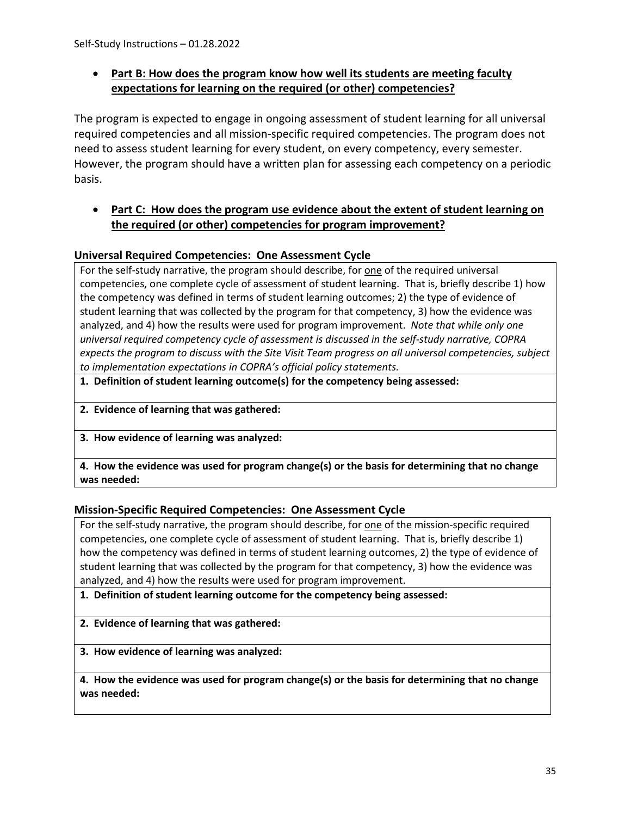# • **Part B: How does the program know how well its students are meeting faculty expectations for learning on the required (or other) competencies?**

The program is expected to engage in ongoing assessment of student learning for all universal required competencies and all mission-specific required competencies. The program does not need to assess student learning for every student, on every competency, every semester. However, the program should have a written plan for assessing each competency on a periodic basis.

#### • **Part C: How does the program use evidence about the extent of student learning on the required (or other) competencies for program improvement?**

#### **Universal Required Competencies: One Assessment Cycle**

For the self-study narrative, the program should describe, for one of the required universal competencies, one complete cycle of assessment of student learning. That is, briefly describe 1) how the competency was defined in terms of student learning outcomes; 2) the type of evidence of student learning that was collected by the program for that competency, 3) how the evidence was analyzed, and 4) how the results were used for program improvement. *Note that while only one universal required competency cycle of assessment is discussed in the self-study narrative, COPRA expects the program to discuss with the Site Visit Team progress on all universal competencies, subject to implementation expectations in COPRA's official policy statements.* 

**1. Definition of student learning outcome(s) for the competency being assessed:**

**2. Evidence of learning that was gathered:**

**3. How evidence of learning was analyzed:**

**4. How the evidence was used for program change(s) or the basis for determining that no change was needed:**

#### **Mission-Specific Required Competencies: One Assessment Cycle**

For the self-study narrative, the program should describe, for one of the mission-specific required competencies, one complete cycle of assessment of student learning. That is, briefly describe 1) how the competency was defined in terms of student learning outcomes, 2) the type of evidence of student learning that was collected by the program for that competency, 3) how the evidence was analyzed, and 4) how the results were used for program improvement.

#### **1. Definition of student learning outcome for the competency being assessed:**

**2. Evidence of learning that was gathered:**

**3. How evidence of learning was analyzed:**

**4. How the evidence was used for program change(s) or the basis for determining that no change was needed:**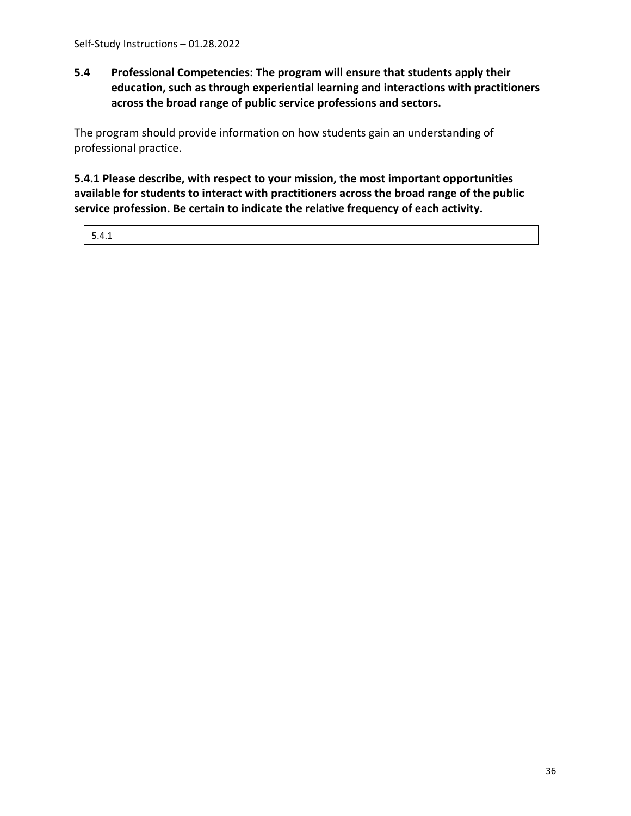# <span id="page-35-0"></span>**5.4 Professional Competencies: The program will ensure that students apply their education, such as through experiential learning and interactions with practitioners across the broad range of public service professions and sectors.**

The program should provide information on how students gain an understanding of professional practice.

**5.4.1 Please describe, with respect to your mission, the most important opportunities available for students to interact with practitioners across the broad range of the public service profession. Be certain to indicate the relative frequency of each activity.**

5.4.1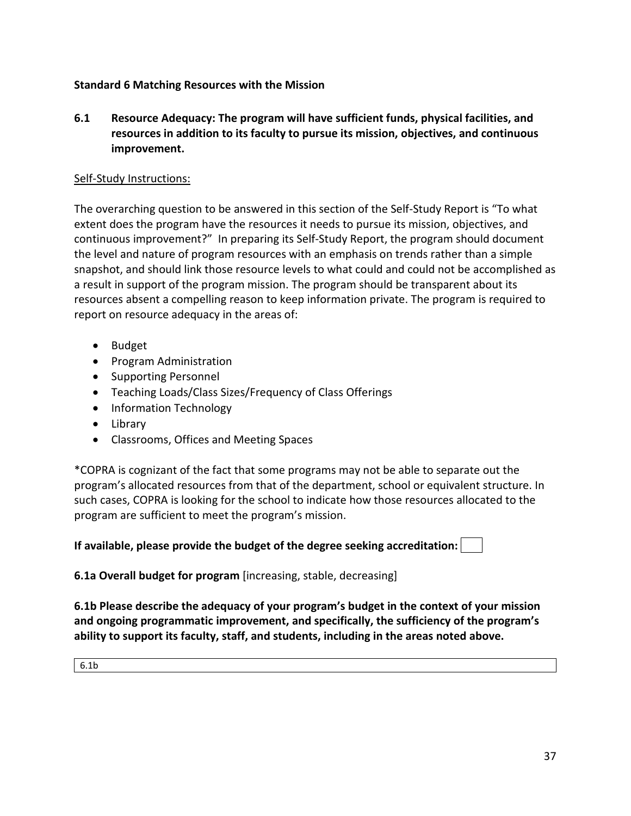## **Standard 6 Matching Resources with the Mission**

**6.1 Resource Adequacy: The program will have sufficient funds, physical facilities, and resources in addition to its faculty to pursue its mission, objectives, and continuous improvement.**

#### Self-Study Instructions:

The overarching question to be answered in this section of the Self-Study Report is "To what extent does the program have the resources it needs to pursue its mission, objectives, and continuous improvement?" In preparing its Self-Study Report, the program should document the level and nature of program resources with an emphasis on trends rather than a simple snapshot, and should link those resource levels to what could and could not be accomplished as a result in support of the program mission. The program should be transparent about its resources absent a compelling reason to keep information private. The program is required to report on resource adequacy in the areas of:

- Budget
- Program Administration
- Supporting Personnel
- Teaching Loads/Class Sizes/Frequency of Class Offerings
- Information Technology
- Library
- Classrooms, Offices and Meeting Spaces

\*COPRA is cognizant of the fact that some programs may not be able to separate out the program's allocated resources from that of the department, school or equivalent structure. In such cases, COPRA is looking for the school to indicate how those resources allocated to the program are sufficient to meet the program's mission.

**If available, please provide the budget of the degree seeking accreditation:** 

**6.1a Overall budget for program** [increasing, stable, decreasing]

**6.1b Please describe the adequacy of your program's budget in the context of your mission and ongoing programmatic improvement, and specifically, the sufficiency of the program's ability to support its faculty, staff, and students, including in the areas noted above.**

6.1b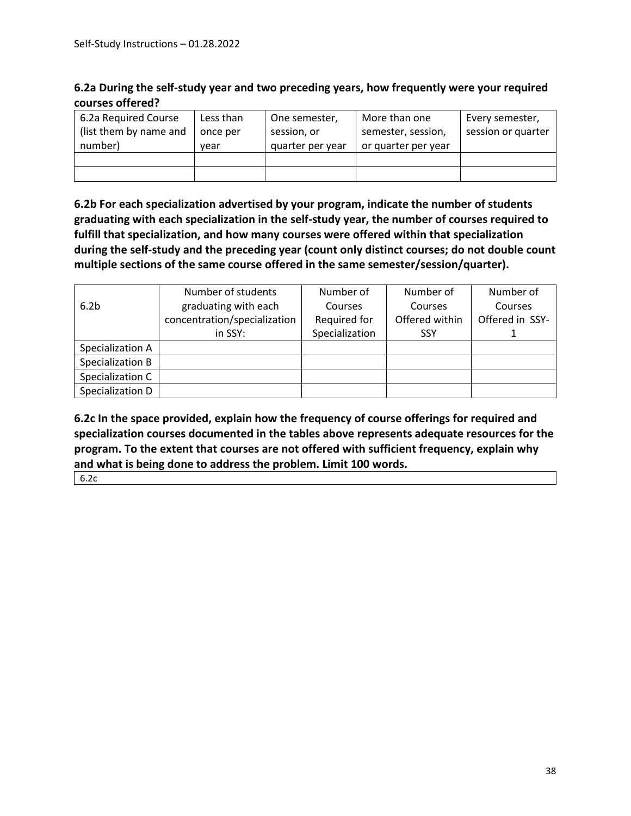| 6.2a During the self-study year and two preceding years, how frequently were your required |  |
|--------------------------------------------------------------------------------------------|--|
| courses offered?                                                                           |  |

| 6.2a Required Course<br>(list them by name and | Less than<br>once per | One semester,<br>session, or | More than one<br>semester, session, | Every semester,<br>session or quarter |
|------------------------------------------------|-----------------------|------------------------------|-------------------------------------|---------------------------------------|
| number)                                        | vear                  | quarter per year             | or quarter per year                 |                                       |
|                                                |                       |                              |                                     |                                       |
|                                                |                       |                              |                                     |                                       |

**6.2b For each specialization advertised by your program, indicate the number of students graduating with each specialization in the self-study year, the number of courses required to fulfill that specialization, and how many courses were offered within that specialization during the self-study and the preceding year (count only distinct courses; do not double count multiple sections of the same course offered in the same semester/session/quarter).**

|                  | Number of students           | Number of      | Number of      | Number of       |
|------------------|------------------------------|----------------|----------------|-----------------|
| 6.2 <sub>b</sub> | graduating with each         | Courses        | Courses        | Courses         |
|                  | concentration/specialization | Required for   | Offered within | Offered in SSY- |
|                  | in SSY:                      | Specialization | <b>SSY</b>     |                 |
| Specialization A |                              |                |                |                 |
| Specialization B |                              |                |                |                 |
| Specialization C |                              |                |                |                 |
| Specialization D |                              |                |                |                 |

**6.2c In the space provided, explain how the frequency of course offerings for required and specialization courses documented in the tables above represents adequate resources for the program. To the extent that courses are not offered with sufficient frequency, explain why and what is being done to address the problem. Limit 100 words.**

6.2c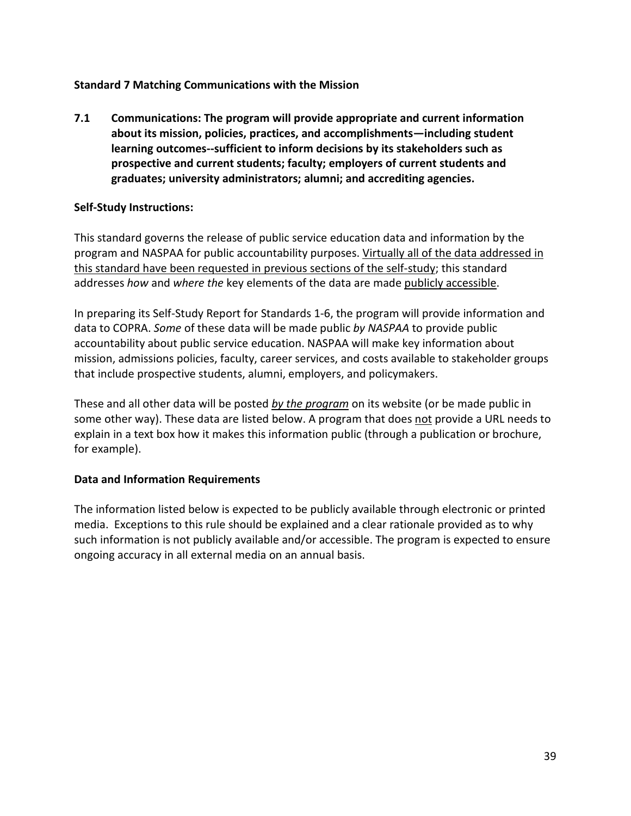## **Standard 7 Matching Communications with the Mission**

**7.1 Communications: The program will provide appropriate and current information about its mission, policies, practices, and accomplishments—including student learning outcomes--sufficient to inform decisions by its stakeholders such as prospective and current students; faculty; employers of current students and graduates; university administrators; alumni; and accrediting agencies.**

#### **Self-Study Instructions:**

This standard governs the release of public service education data and information by the program and NASPAA for public accountability purposes. Virtually all of the data addressed in this standard have been requested in previous sections of the self-study; this standard addresses *how* and *where the* key elements of the data are made publicly accessible.

In preparing its Self-Study Report for Standards 1-6, the program will provide information and data to COPRA. *Some* of these data will be made public *by NASPAA* to provide public accountability about public service education. NASPAA will make key information about mission, admissions policies, faculty, career services, and costs available to stakeholder groups that include prospective students, alumni, employers, and policymakers.

These and all other data will be posted *by the program* on its website (or be made public in some other way). These data are listed below. A program that does not provide a URL needs to explain in a text box how it makes this information public (through a publication or brochure, for example).

#### **Data and Information Requirements**

The information listed below is expected to be publicly available through electronic or printed media. Exceptions to this rule should be explained and a clear rationale provided as to why such information is not publicly available and/or accessible. The program is expected to ensure ongoing accuracy in all external media on an annual basis.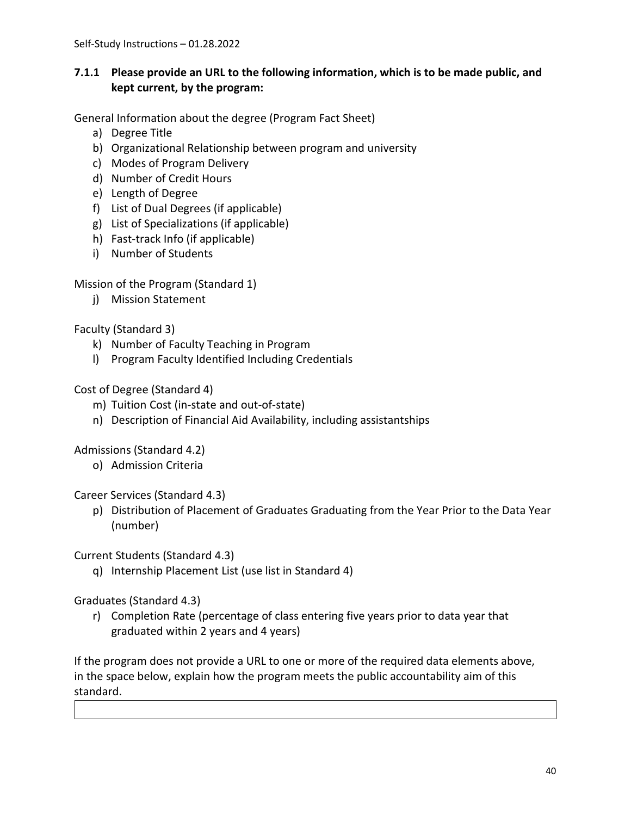# **7.1.1 Please provide an URL to the following information, which is to be made public, and kept current, by the program:**

General Information about the degree (Program Fact Sheet)

- a) Degree Title
- b) Organizational Relationship between program and university
- c) Modes of Program Delivery
- d) Number of Credit Hours
- e) Length of Degree
- f) List of Dual Degrees (if applicable)
- g) List of Specializations (if applicable)
- h) Fast-track Info (if applicable)
- i) Number of Students

Mission of the Program (Standard 1)

j) Mission Statement

# Faculty (Standard 3)

- k) Number of Faculty Teaching in Program
- l) Program Faculty Identified Including Credentials

# Cost of Degree (Standard 4)

- m) Tuition Cost (in-state and out-of-state)
- n) Description of Financial Aid Availability, including assistantships

Admissions (Standard 4.2)

o) Admission Criteria

Career Services (Standard 4.3)

p) Distribution of Placement of Graduates Graduating from the Year Prior to the Data Year (number)

Current Students (Standard 4.3)

q) Internship Placement List (use list in Standard 4)

Graduates (Standard 4.3)

r) Completion Rate (percentage of class entering five years prior to data year that graduated within 2 years and 4 years)

If the program does not provide a URL to one or more of the required data elements above, in the space below, explain how the program meets the public accountability aim of this standard.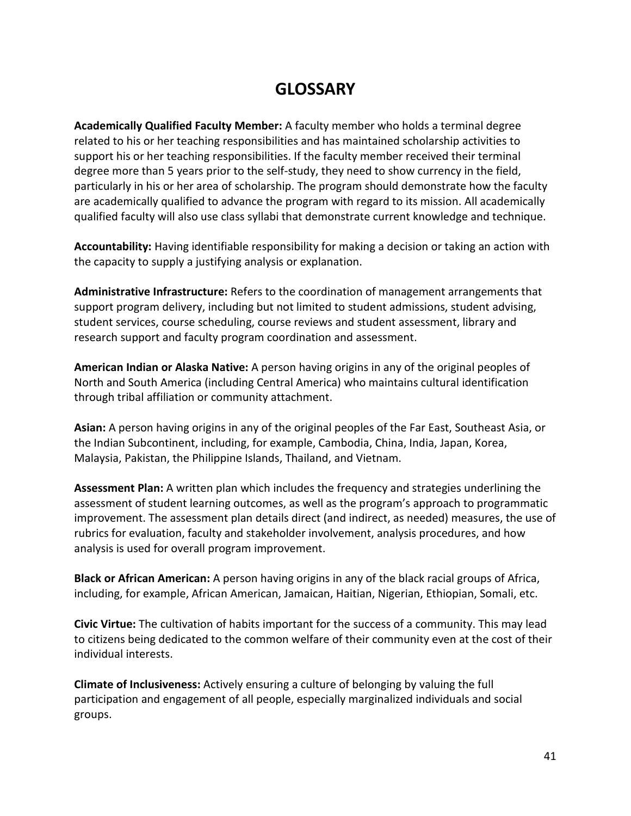# **GLOSSARY**

**Academically Qualified Faculty Member:** A faculty member who holds a terminal degree related to his or her teaching responsibilities and has maintained scholarship activities to support his or her teaching responsibilities. If the faculty member received their terminal degree more than 5 years prior to the self-study, they need to show currency in the field, particularly in his or her area of scholarship. The program should demonstrate how the faculty are academically qualified to advance the program with regard to its mission. All academically qualified faculty will also use class syllabi that demonstrate current knowledge and technique.

**Accountability:** Having identifiable responsibility for making a decision or taking an action with the capacity to supply a justifying analysis or explanation.

**Administrative Infrastructure:** Refers to the coordination of management arrangements that support program delivery, including but not limited to student admissions, student advising, student services, course scheduling, course reviews and student assessment, library and research support and faculty program coordination and assessment.

**American Indian or Alaska Native:** A person having origins in any of the original peoples of North and South America (including Central America) who maintains cultural identification through tribal affiliation or community attachment.

**Asian:** A person having origins in any of the original peoples of the Far East, Southeast Asia, or the Indian Subcontinent, including, for example, Cambodia, China, India, Japan, Korea, Malaysia, Pakistan, the Philippine Islands, Thailand, and Vietnam.

**Assessment Plan:** A written plan which includes the frequency and strategies underlining the assessment of student learning outcomes, as well as the program's approach to programmatic improvement. The assessment plan details direct (and indirect, as needed) measures, the use of rubrics for evaluation, faculty and stakeholder involvement, analysis procedures, and how analysis is used for overall program improvement.

**Black or African American:** A person having origins in any of the black racial groups of Africa, including, for example, African American, Jamaican, Haitian, Nigerian, Ethiopian, Somali, etc.

**Civic Virtue:** The cultivation of habits important for the success of a community. This may lead to citizens being dedicated to the common welfare of their community even at the cost of their individual interests.

**Climate of Inclusiveness:** Actively ensuring a culture of belonging by valuing the full participation and engagement of all people, especially marginalized individuals and social groups.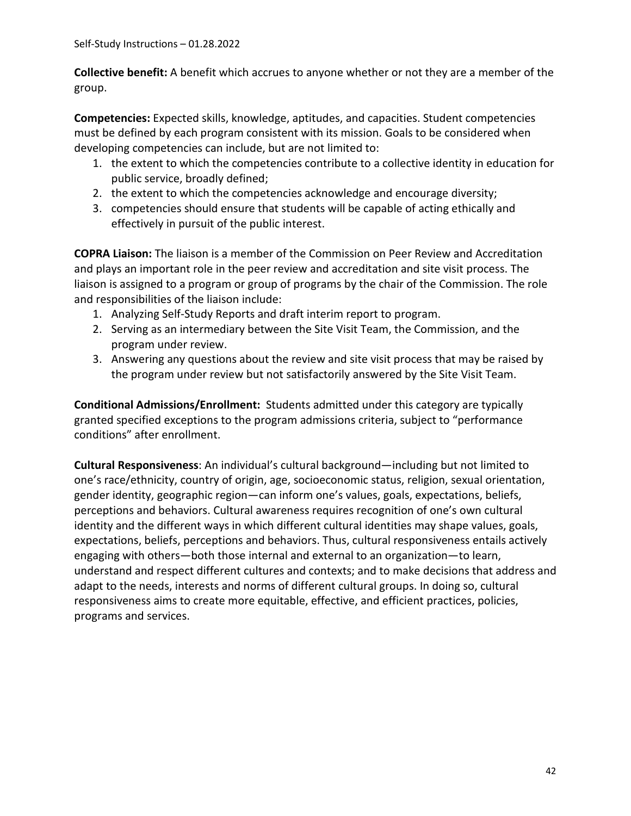**Collective benefit:** A benefit which accrues to anyone whether or not they are a member of the group.

**Competencies:** Expected skills, knowledge, aptitudes, and capacities. Student competencies must be defined by each program consistent with its mission. Goals to be considered when developing competencies can include, but are not limited to:

- 1. the extent to which the competencies contribute to a collective identity in education for public service, broadly defined;
- 2. the extent to which the competencies acknowledge and encourage diversity;
- 3. competencies should ensure that students will be capable of acting ethically and effectively in pursuit of the public interest.

**COPRA Liaison:** The liaison is a member of the Commission on Peer Review and Accreditation and plays an important role in the peer review and accreditation and site visit process. The liaison is assigned to a program or group of programs by the chair of the Commission. The role and responsibilities of the liaison include:

- 1. Analyzing Self-Study Reports and draft interim report to program.
- 2. Serving as an intermediary between the Site Visit Team, the Commission, and the program under review.
- 3. Answering any questions about the review and site visit process that may be raised by the program under review but not satisfactorily answered by the Site Visit Team.

**Conditional Admissions/Enrollment:** Students admitted under this category are typically granted specified exceptions to the program admissions criteria, subject to "performance conditions" after enrollment.

**Cultural Responsiveness**: An individual's cultural background—including but not limited to one's race/ethnicity, country of origin, age, socioeconomic status, religion, sexual orientation, gender identity, geographic region—can inform one's values, goals, expectations, beliefs, perceptions and behaviors. Cultural awareness requires recognition of one's own cultural identity and the different ways in which different cultural identities may shape values, goals, expectations, beliefs, perceptions and behaviors. Thus, cultural responsiveness entails actively engaging with others—both those internal and external to an organization—to learn, understand and respect different cultures and contexts; and to make decisions that address and adapt to the needs, interests and norms of different cultural groups. In doing so, cultural responsiveness aims to create more equitable, effective, and efficient practices, policies, programs and services.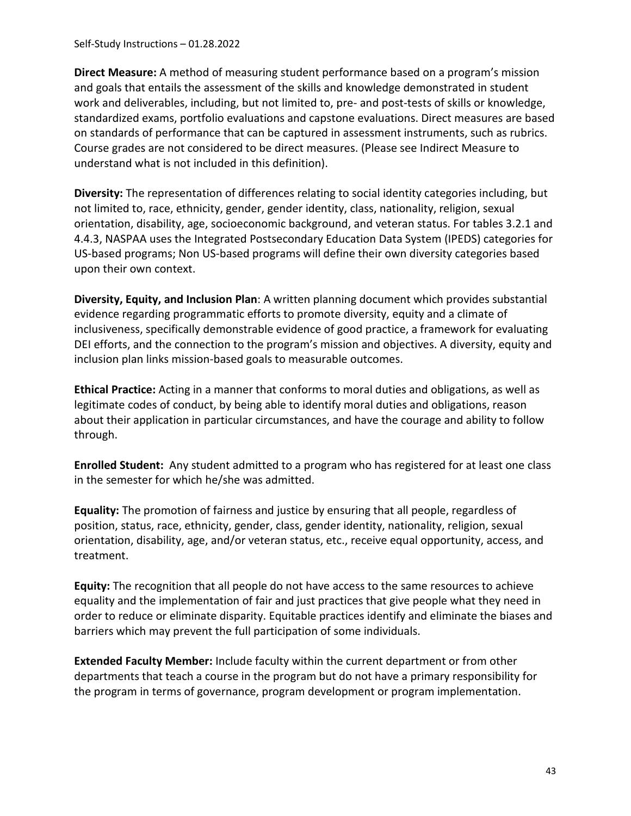Self-Study Instructions – 01.28.2022

**Direct Measure:** A method of measuring student performance based on a program's mission and goals that entails the assessment of the skills and knowledge demonstrated in student work and deliverables, including, but not limited to, pre- and post-tests of skills or knowledge, standardized exams, portfolio evaluations and capstone evaluations. Direct measures are based on standards of performance that can be captured in assessment instruments, such as rubrics. Course grades are not considered to be direct measures. (Please see Indirect Measure to understand what is not included in this definition).

**Diversity:** The representation of differences relating to social identity categories including, but not limited to, race, ethnicity, gender, gender identity, class, nationality, religion, sexual orientation, disability, age, socioeconomic background, and veteran status. For tables 3.2.1 and 4.4.3, NASPAA uses the Integrated Postsecondary Education Data System (IPEDS) categories for US-based programs; Non US-based programs will define their own diversity categories based upon their own context.

**Diversity, Equity, and Inclusion Plan**: A written planning document which provides substantial evidence regarding programmatic efforts to promote diversity, equity and a climate of inclusiveness, specifically demonstrable evidence of good practice, a framework for evaluating DEI efforts, and the connection to the program's mission and objectives. A diversity, equity and inclusion plan links mission-based goals to measurable outcomes.

**Ethical Practice:** Acting in a manner that conforms to moral duties and obligations, as well as legitimate codes of conduct, by being able to identify moral duties and obligations, reason about their application in particular circumstances, and have the courage and ability to follow through.

**Enrolled Student:** Any student admitted to a program who has registered for at least one class in the semester for which he/she was admitted.

**Equality:** The promotion of fairness and justice by ensuring that all people, regardless of position, status, race, ethnicity, gender, class, gender identity, nationality, religion, sexual orientation, disability, age, and/or veteran status, etc., receive equal opportunity, access, and treatment.

**Equity:** The recognition that all people do not have access to the same resources to achieve equality and the implementation of fair and just practices that give people what they need in order to reduce or eliminate disparity. Equitable practices identify and eliminate the biases and barriers which may prevent the full participation of some individuals.

**Extended Faculty Member:** Include faculty within the current department or from other departments that teach a course in the program but do not have a primary responsibility for the program in terms of governance, program development or program implementation.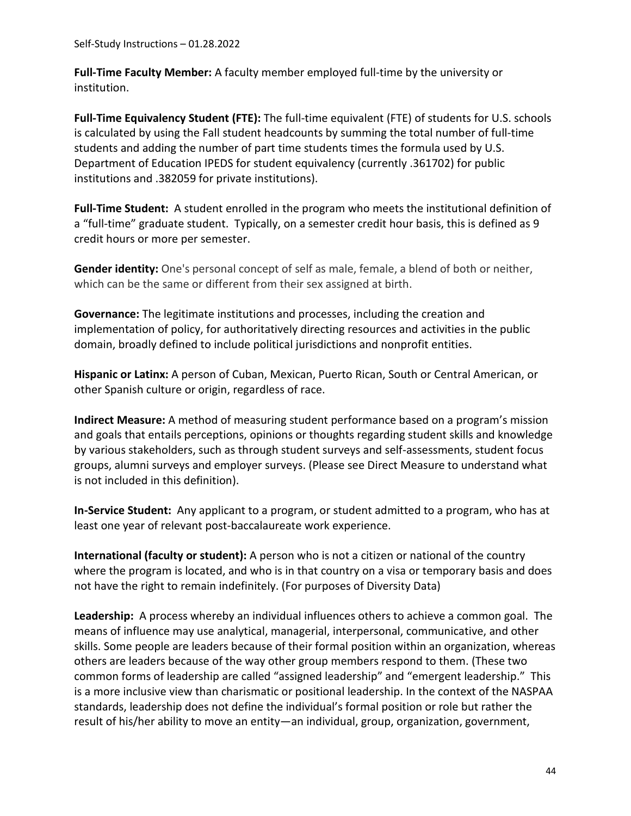**Full-Time Faculty Member:** A faculty member employed full-time by the university or institution.

**Full-Time Equivalency Student (FTE):** The full-time equivalent (FTE) of students for U.S. schools is calculated by using the Fall student headcounts by summing the total number of full-time students and adding the number of part time students times the formula used by U.S. Department of Education IPEDS for student equivalency (currently .361702) for public institutions and .382059 for private institutions).

**Full-Time Student:** A student enrolled in the program who meets the institutional definition of a "full-time" graduate student. Typically, on a semester credit hour basis, this is defined as 9 credit hours or more per semester.

**Gender identity:** One's personal concept of self as male, female, a blend of both or neither, which can be the same or different from their sex assigned at birth.

**Governance:** The legitimate institutions and processes, including the creation and implementation of policy, for authoritatively directing resources and activities in the public domain, broadly defined to include political jurisdictions and nonprofit entities.

**Hispanic or Latinx:** A person of Cuban, Mexican, Puerto Rican, South or Central American, or other Spanish culture or origin, regardless of race.

**Indirect Measure:** A method of measuring student performance based on a program's mission and goals that entails perceptions, opinions or thoughts regarding student skills and knowledge by various stakeholders, such as through student surveys and self-assessments, student focus groups, alumni surveys and employer surveys. (Please see Direct Measure to understand what is not included in this definition).

**In-Service Student:** Any applicant to a program, or student admitted to a program, who has at least one year of relevant post-baccalaureate work experience.

**International (faculty or student):** A person who is not a citizen or national of the country where the program is located, and who is in that country on a visa or temporary basis and does not have the right to remain indefinitely. (For purposes of Diversity Data)

**Leadership:** A process whereby an individual influences others to achieve a common goal. The means of influence may use analytical, managerial, interpersonal, communicative, and other skills. Some people are leaders because of their formal position within an organization, whereas others are leaders because of the way other group members respond to them. (These two common forms of leadership are called "assigned leadership" and "emergent leadership." This is a more inclusive view than charismatic or positional leadership. In the context of the NASPAA standards, leadership does not define the individual's formal position or role but rather the result of his/her ability to move an entity—an individual, group, organization, government,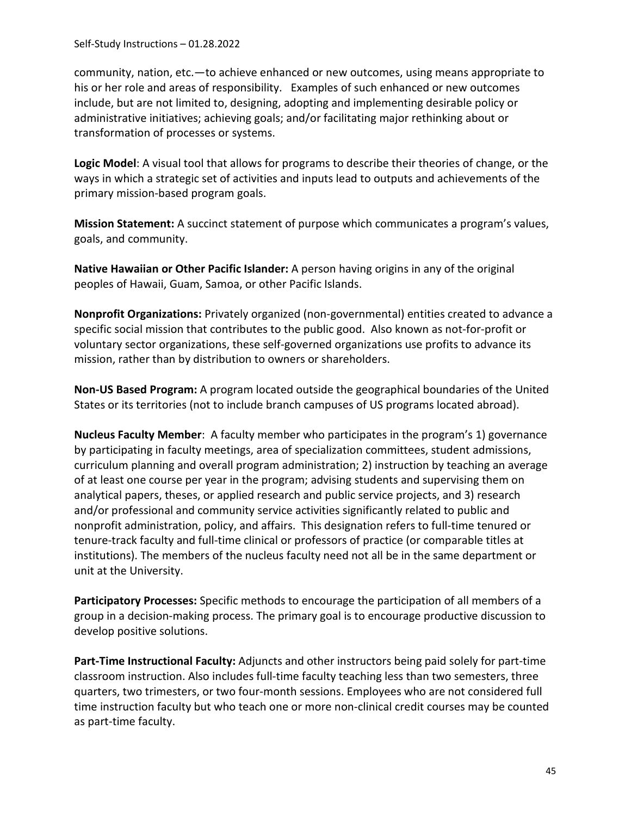community, nation, etc.—to achieve enhanced or new outcomes, using means appropriate to his or her role and areas of responsibility. Examples of such enhanced or new outcomes include, but are not limited to, designing, adopting and implementing desirable policy or administrative initiatives; achieving goals; and/or facilitating major rethinking about or transformation of processes or systems.

**Logic Model**: A visual tool that allows for programs to describe their theories of change, or the ways in which a strategic set of activities and inputs lead to outputs and achievements of the primary mission-based program goals.

**Mission Statement:** A succinct statement of purpose which communicates a program's values, goals, and community.

**Native Hawaiian or Other Pacific Islander:** A person having origins in any of the original peoples of Hawaii, Guam, Samoa, or other Pacific Islands.

**Nonprofit Organizations:** Privately organized (non-governmental) entities created to advance a specific social mission that contributes to the public good. Also known as not-for-profit or voluntary sector organizations, these self-governed organizations use profits to advance its mission, rather than by distribution to owners or shareholders.

**Non-US Based Program:** A program located outside the geographical boundaries of the United States or its territories (not to include branch campuses of US programs located abroad).

**Nucleus Faculty Member**: A faculty member who participates in the program's 1) governance by participating in faculty meetings, area of specialization committees, student admissions, curriculum planning and overall program administration; 2) instruction by teaching an average of at least one course per year in the program; advising students and supervising them on analytical papers, theses, or applied research and public service projects, and 3) research and/or professional and community service activities significantly related to public and nonprofit administration, policy, and affairs. This designation refers to full-time tenured or tenure-track faculty and full-time clinical or professors of practice (or comparable titles at institutions). The members of the nucleus faculty need not all be in the same department or unit at the University.

**Participatory Processes:** Specific methods to encourage the participation of all members of a group in a decision-making process. The primary goal is to encourage productive discussion to develop positive solutions.

**Part-Time Instructional Faculty:** Adjuncts and other instructors being paid solely for part-time classroom instruction. Also includes full-time faculty teaching less than two semesters, three quarters, two trimesters, or two four-month sessions. Employees who are not considered full time instruction faculty but who teach one or more non-clinical credit courses may be counted as part-time faculty.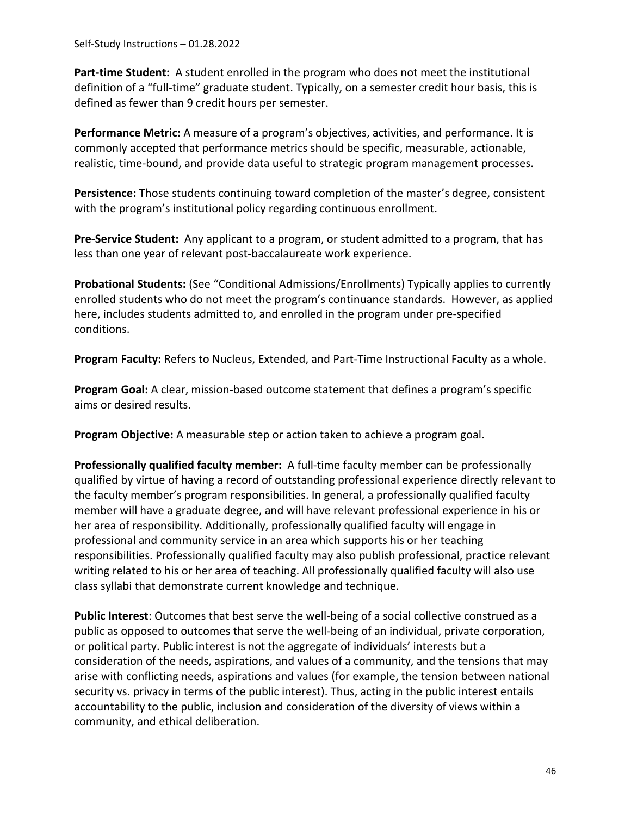Self-Study Instructions – 01.28.2022

**Part-time Student:** A student enrolled in the program who does not meet the institutional definition of a "full-time" graduate student. Typically, on a semester credit hour basis, this is defined as fewer than 9 credit hours per semester.

**Performance Metric:** A measure of a program's objectives, activities, and performance. It is commonly accepted that performance metrics should be specific, measurable, actionable, realistic, time-bound, and provide data useful to strategic program management processes.

**Persistence:** Those students continuing toward completion of the master's degree, consistent with the program's institutional policy regarding continuous enrollment.

**Pre-Service Student:** Any applicant to a program, or student admitted to a program, that has less than one year of relevant post-baccalaureate work experience.

**Probational Students:** (See "Conditional Admissions/Enrollments) Typically applies to currently enrolled students who do not meet the program's continuance standards. However, as applied here, includes students admitted to, and enrolled in the program under pre-specified conditions.

**Program Faculty:** Refers to Nucleus, Extended, and Part-Time Instructional Faculty as a whole.

**Program Goal:** A clear, mission-based outcome statement that defines a program's specific aims or desired results.

**Program Objective:** A measurable step or action taken to achieve a program goal.

**Professionally qualified faculty member:** A full-time faculty member can be professionally qualified by virtue of having a record of outstanding professional experience directly relevant to the faculty member's program responsibilities. In general, a professionally qualified faculty member will have a graduate degree, and will have relevant professional experience in his or her area of responsibility. Additionally, professionally qualified faculty will engage in professional and community service in an area which supports his or her teaching responsibilities. Professionally qualified faculty may also publish professional, practice relevant writing related to his or her area of teaching. All professionally qualified faculty will also use class syllabi that demonstrate current knowledge and technique.

**Public Interest**: Outcomes that best serve the well-being of a social collective construed as a public as opposed to outcomes that serve the well-being of an individual, private corporation, or political party. Public interest is not the aggregate of individuals' interests but a consideration of the needs, aspirations, and values of a community, and the tensions that may arise with conflicting needs, aspirations and values (for example, the tension between national security vs. privacy in terms of the public interest). Thus, acting in the public interest entails accountability to the public, inclusion and consideration of the diversity of views within a community, and ethical deliberation.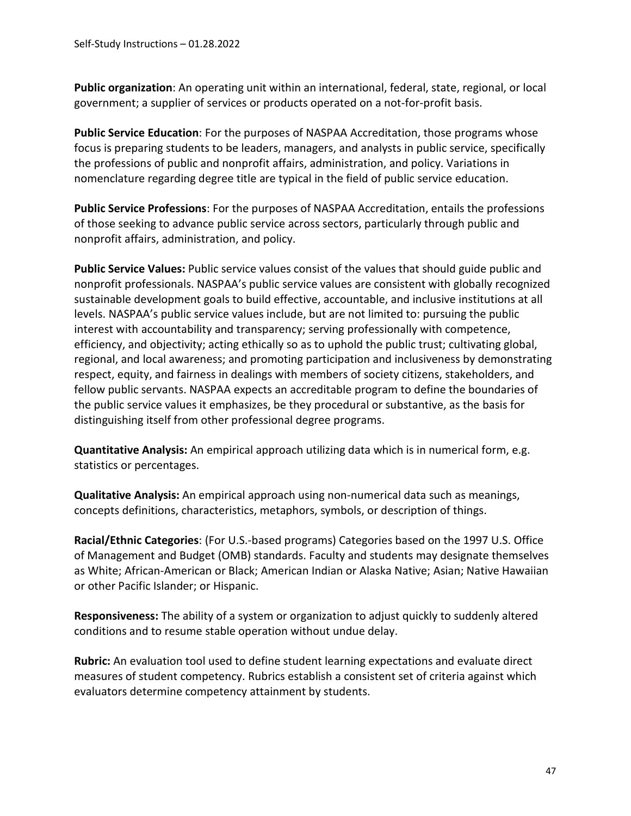**Public organization**: An operating unit within an international, federal, state, regional, or local government; a supplier of services or products operated on a not-for-profit basis.

**Public Service Education**: For the purposes of NASPAA Accreditation, those programs whose focus is preparing students to be leaders, managers, and analysts in public service, specifically the professions of public and nonprofit affairs, administration, and policy. Variations in nomenclature regarding degree title are typical in the field of public service education.

**Public Service Professions**: For the purposes of NASPAA Accreditation, entails the professions of those seeking to advance public service across sectors, particularly through public and nonprofit affairs, administration, and policy.

**Public Service Values:** Public service values consist of the values that should guide public and nonprofit professionals. NASPAA's public service values are consistent with globally recognized sustainable development goals to build effective, accountable, and inclusive institutions at all levels. NASPAA's public service values include, but are not limited to: pursuing the public interest with accountability and transparency; serving professionally with competence, efficiency, and objectivity; acting ethically so as to uphold the public trust; cultivating global, regional, and local awareness; and promoting participation and inclusiveness by demonstrating respect, equity, and fairness in dealings with members of society citizens, stakeholders, and fellow public servants. NASPAA expects an accreditable program to define the boundaries of the public service values it emphasizes, be they procedural or substantive, as the basis for distinguishing itself from other professional degree programs.

**Quantitative Analysis:** An empirical approach utilizing data which is in numerical form, e.g. statistics or percentages.

**Qualitative Analysis:** An empirical approach using non-numerical data such as meanings, concepts definitions, characteristics, metaphors, symbols, or description of things.

**Racial/Ethnic Categories**: (For U.S.-based programs) Categories based on the 1997 U.S. Office of Management and Budget (OMB) standards. Faculty and students may designate themselves as White; African-American or Black; American Indian or Alaska Native; Asian; Native Hawaiian or other Pacific Islander; or Hispanic.

**Responsiveness:** The ability of a system or organization to adjust quickly to suddenly altered conditions and to resume stable operation without undue delay.

**Rubric:** An evaluation tool used to define student learning expectations and evaluate direct measures of student competency. Rubrics establish a consistent set of criteria against which evaluators determine competency attainment by students.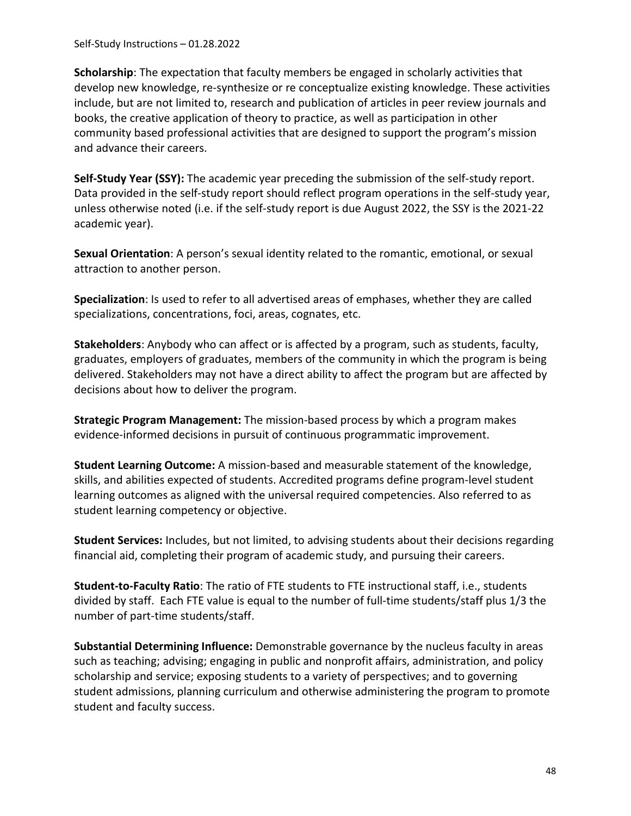Self-Study Instructions – 01.28.2022

**Scholarship**: The expectation that faculty members be engaged in scholarly activities that develop new knowledge, re-synthesize or re conceptualize existing knowledge. These activities include, but are not limited to, research and publication of articles in peer review journals and books, the creative application of theory to practice, as well as participation in other community based professional activities that are designed to support the program's mission and advance their careers.

**Self-Study Year (SSY):** The academic year preceding the submission of the self-study report. Data provided in the self-study report should reflect program operations in the self-study year, unless otherwise noted (i.e. if the self-study report is due August 2022, the SSY is the 2021-22 academic year).

**Sexual Orientation**: A person's sexual identity related to the romantic, emotional, or sexual attraction to another person.

**Specialization**: Is used to refer to all advertised areas of emphases, whether they are called specializations, concentrations, foci, areas, cognates, etc.

**Stakeholders**: Anybody who can affect or is affected by a program, such as students, faculty, graduates, employers of graduates, members of the community in which the program is being delivered. Stakeholders may not have a direct ability to affect the program but are affected by decisions about how to deliver the program.

**Strategic Program Management:** The mission-based process by which a program makes evidence-informed decisions in pursuit of continuous programmatic improvement.

**Student Learning Outcome:** A mission-based and measurable statement of the knowledge, skills, and abilities expected of students. Accredited programs define program-level student learning outcomes as aligned with the universal required competencies. Also referred to as student learning competency or objective.

**Student Services:** Includes, but not limited, to advising students about their decisions regarding financial aid, completing their program of academic study, and pursuing their careers.

**Student-to-Faculty Ratio**: The ratio of FTE students to FTE instructional staff, i.e., students divided by staff. Each FTE value is equal to the number of full-time students/staff plus 1/3 the number of part-time students/staff.

**Substantial Determining Influence:** Demonstrable governance by the nucleus faculty in areas such as teaching; advising; engaging in public and nonprofit affairs, administration, and policy scholarship and service; exposing students to a variety of perspectives; and to governing student admissions, planning curriculum and otherwise administering the program to promote student and faculty success.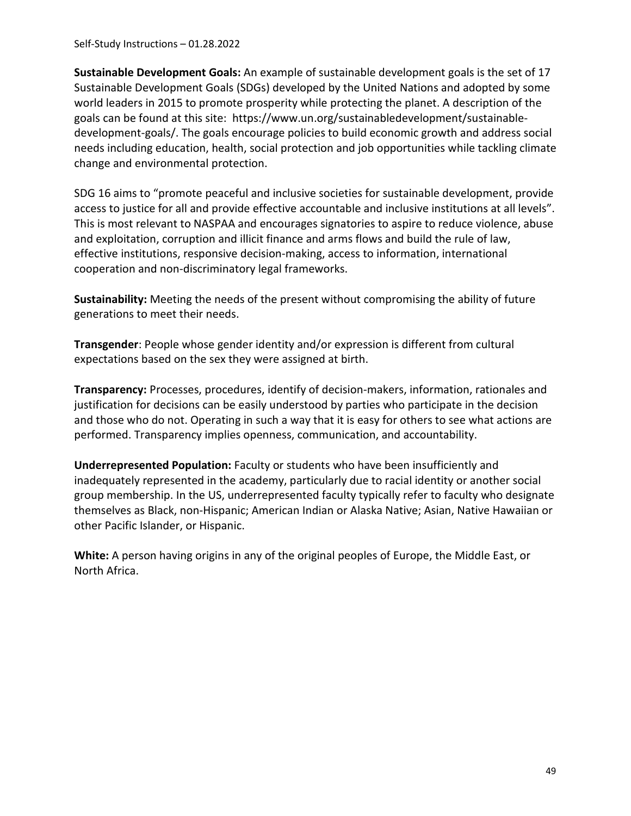Self-Study Instructions – 01.28.2022

**Sustainable Development Goals:** An example of sustainable development goals is the set of 17 Sustainable Development Goals (SDGs) developed by the United Nations and adopted by some world leaders in 2015 to promote prosperity while protecting the planet. A description of the goals can be found at this site: https://www.un.org/sustainabledevelopment/sustainabledevelopment-goals/. The goals encourage policies to build economic growth and address social needs including education, health, social protection and job opportunities while tackling climate change and environmental protection.

SDG 16 aims to "promote peaceful and inclusive societies for sustainable development, provide access to justice for all and provide effective accountable and inclusive institutions at all levels". This is most relevant to NASPAA and encourages signatories to aspire to reduce violence, abuse and exploitation, corruption and illicit finance and arms flows and build the rule of law, effective institutions, responsive decision-making, access to information, international cooperation and non-discriminatory legal frameworks.

**Sustainability:** Meeting the needs of the present without compromising the ability of future generations to meet their needs.

**Transgender**: People whose gender identity and/or expression is different from cultural expectations based on the sex they were assigned at birth.

**Transparency:** Processes, procedures, identify of decision-makers, information, rationales and justification for decisions can be easily understood by parties who participate in the decision and those who do not. Operating in such a way that it is easy for others to see what actions are performed. Transparency implies openness, communication, and accountability.

**Underrepresented Population:** Faculty or students who have been insufficiently and inadequately represented in the academy, particularly due to racial identity or another social group membership. In the US, underrepresented faculty typically refer to faculty who designate themselves as Black, non-Hispanic; American Indian or Alaska Native; Asian, Native Hawaiian or other Pacific Islander, or Hispanic.

**White:** A person having origins in any of the original peoples of Europe, the Middle East, or North Africa.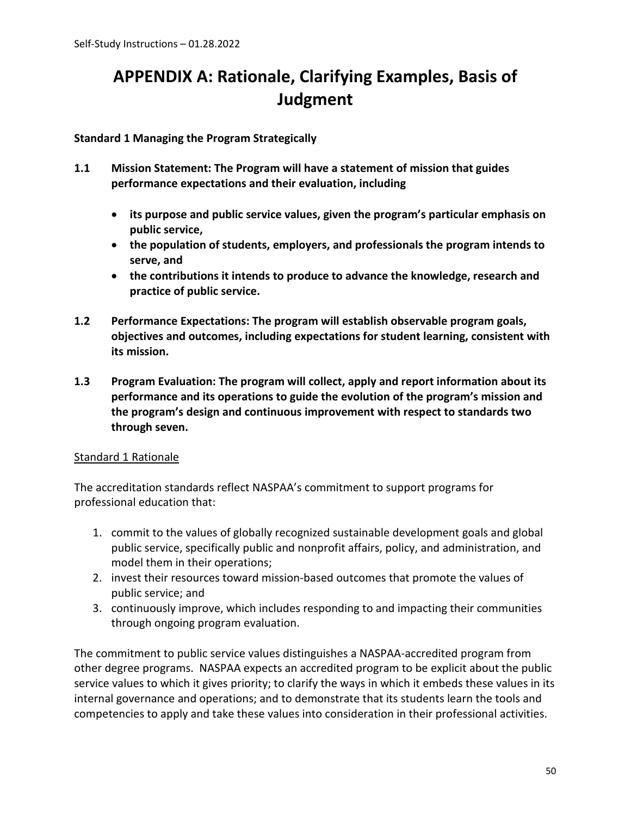# **APPENDIX A: Rationale, Clarifying Examples, Basis of Judgment**

## **Standard 1 Managing the Program Strategically**

- **1.1 Mission Statement: The Program will have a statement of mission that guides performance expectations and their evaluation, including** 
	- **its purpose and public service values, given the program's particular emphasis on public service,**
	- **the population of students, employers, and professionals the program intends to serve, and**
	- **the contributions it intends to produce to advance the knowledge, research and practice of public service.**
- **1.2 Performance Expectations: The program will establish observable program goals, objectives and outcomes, including expectations for student learning, consistent with its mission.**
- **1.3 Program Evaluation: The program will collect, apply and report information about its performance and its operations to guide the evolution of the program's mission and the program's design and continuous improvement with respect to standards two through seven.**

## Standard 1 Rationale

The accreditation standards reflect NASPAA's commitment to support programs for professional education that:

- 1. commit to the values of globally recognized sustainable development goals and global public service, specifically public and nonprofit affairs, policy, and administration, and model them in their operations;
- 2. invest their resources toward mission-based outcomes that promote the values of public service; and
- 3. continuously improve, which includes responding to and impacting their communities through ongoing program evaluation.

The commitment to public service values distinguishes a NASPAA-accredited program from other degree programs. NASPAA expects an accredited program to be explicit about the public service values to which it gives priority; to clarify the ways in which it embeds these values in its internal governance and operations; and to demonstrate that its students learn the tools and competencies to apply and take these values into consideration in their professional activities.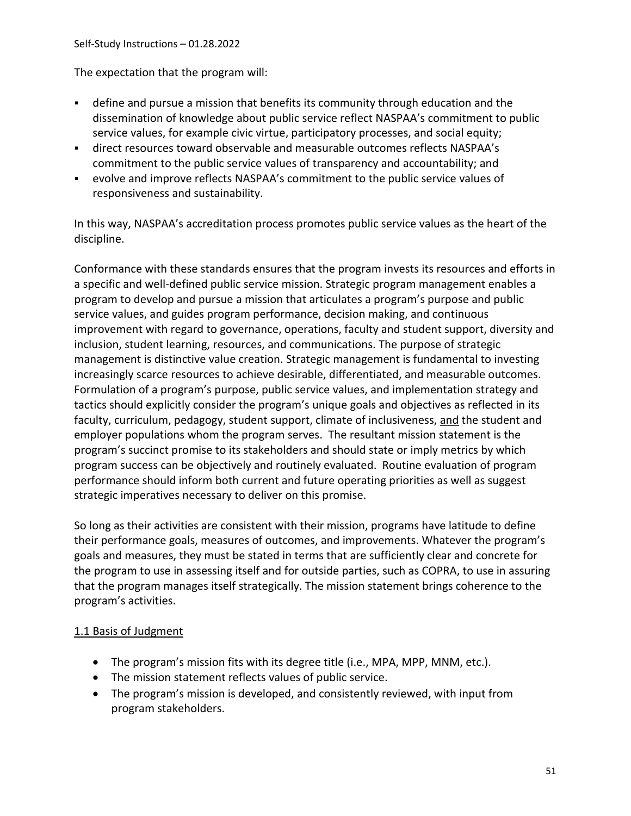The expectation that the program will:

- define and pursue a mission that benefits its community through education and the dissemination of knowledge about public service reflect NASPAA's commitment to public service values, for example civic virtue, participatory processes, and social equity;
- direct resources toward observable and measurable outcomes reflects NASPAA's commitment to the public service values of transparency and accountability; and
- evolve and improve reflects NASPAA's commitment to the public service values of responsiveness and sustainability.

In this way, NASPAA's accreditation process promotes public service values as the heart of the discipline.

Conformance with these standards ensures that the program invests its resources and efforts in a specific and well-defined public service mission. Strategic program management enables a program to develop and pursue a mission that articulates a program's purpose and public service values, and guides program performance, decision making, and continuous improvement with regard to governance, operations, faculty and student support, diversity and inclusion, student learning, resources, and communications. The purpose of strategic management is distinctive value creation. Strategic management is fundamental to investing increasingly scarce resources to achieve desirable, differentiated, and measurable outcomes. Formulation of a program's purpose, public service values, and implementation strategy and tactics should explicitly consider the program's unique goals and objectives as reflected in its faculty, curriculum, pedagogy, student support, climate of inclusiveness, and the student and employer populations whom the program serves. The resultant mission statement is the program's succinct promise to its stakeholders and should state or imply metrics by which program success can be objectively and routinely evaluated. Routine evaluation of program performance should inform both current and future operating priorities as well as suggest strategic imperatives necessary to deliver on this promise.

So long as their activities are consistent with their mission, programs have latitude to define their performance goals, measures of outcomes, and improvements. Whatever the program's goals and measures, they must be stated in terms that are sufficiently clear and concrete for the program to use in assessing itself and for outside parties, such as COPRA, to use in assuring that the program manages itself strategically. The mission statement brings coherence to the program's activities.

## 1.1 Basis of Judgment

- The program's mission fits with its degree title (i.e., MPA, MPP, MNM, etc.).
- The mission statement reflects values of public service.
- The program's mission is developed, and consistently reviewed, with input from program stakeholders.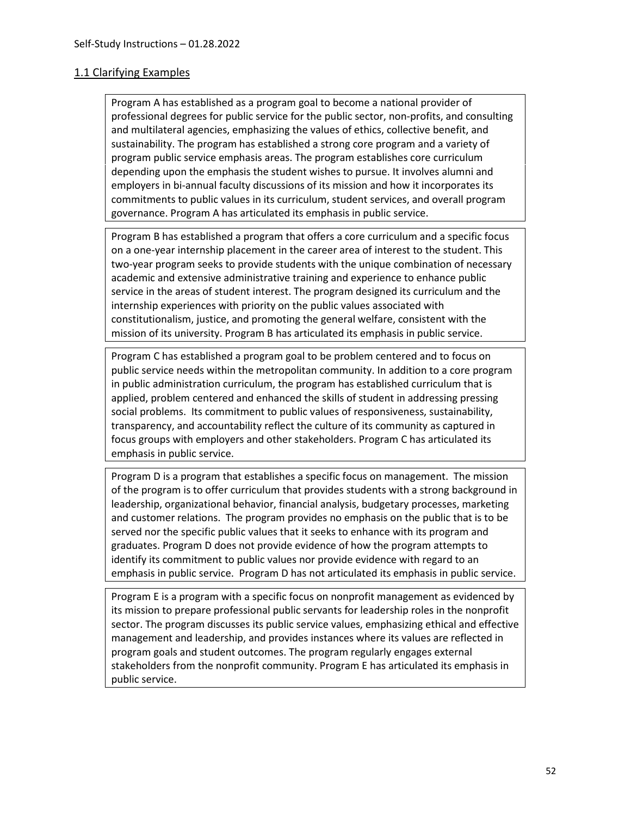#### 1.1 Clarifying Examples

Program A has established as a program goal to become a national provider of professional degrees for public service for the public sector, non-profits, and consulting and multilateral agencies, emphasizing the values of ethics, collective benefit, and sustainability. The program has established a strong core program and a variety of program public service emphasis areas. The program establishes core curriculum depending upon the emphasis the student wishes to pursue. It involves alumni and employers in bi-annual faculty discussions of its mission and how it incorporates its commitments to public values in its curriculum, student services, and overall program governance. Program A has articulated its emphasis in public service.

Program B has established a program that offers a core curriculum and a specific focus on a one-year internship placement in the career area of interest to the student. This two-year program seeks to provide students with the unique combination of necessary academic and extensive administrative training and experience to enhance public service in the areas of student interest. The program designed its curriculum and the internship experiences with priority on the public values associated with constitutionalism, justice, and promoting the general welfare, consistent with the mission of its university. Program B has articulated its emphasis in public service.

Program C has established a program goal to be problem centered and to focus on public service needs within the metropolitan community. In addition to a core program in public administration curriculum, the program has established curriculum that is applied, problem centered and enhanced the skills of student in addressing pressing social problems. Its commitment to public values of responsiveness, sustainability, transparency, and accountability reflect the culture of its community as captured in focus groups with employers and other stakeholders. Program C has articulated its emphasis in public service.

Program D is a program that establishes a specific focus on management. The mission of the program is to offer curriculum that provides students with a strong background in leadership, organizational behavior, financial analysis, budgetary processes, marketing and customer relations. The program provides no emphasis on the public that is to be served nor the specific public values that it seeks to enhance with its program and graduates. Program D does not provide evidence of how the program attempts to identify its commitment to public values nor provide evidence with regard to an emphasis in public service. Program D has not articulated its emphasis in public service.

Program E is a program with a specific focus on nonprofit management as evidenced by its mission to prepare professional public servants for leadership roles in the nonprofit sector. The program discusses its public service values, emphasizing ethical and effective management and leadership, and provides instances where its values are reflected in program goals and student outcomes. The program regularly engages external stakeholders from the nonprofit community. Program E has articulated its emphasis in public service.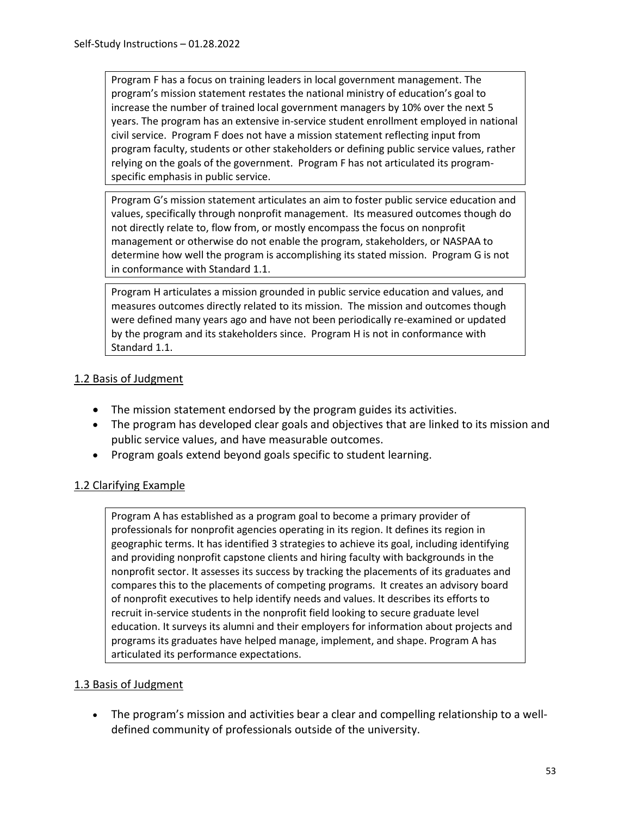Program F has a focus on training leaders in local government management. The program's mission statement restates the national ministry of education's goal to increase the number of trained local government managers by 10% over the next 5 years. The program has an extensive in-service student enrollment employed in national civil service. Program F does not have a mission statement reflecting input from program faculty, students or other stakeholders or defining public service values, rather relying on the goals of the government. Program F has not articulated its programspecific emphasis in public service.

Program G's mission statement articulates an aim to foster public service education and values, specifically through nonprofit management. Its measured outcomes though do not directly relate to, flow from, or mostly encompass the focus on nonprofit management or otherwise do not enable the program, stakeholders, or NASPAA to determine how well the program is accomplishing its stated mission. Program G is not in conformance with Standard 1.1.

Program H articulates a mission grounded in public service education and values, and measures outcomes directly related to its mission. The mission and outcomes though were defined many years ago and have not been periodically re-examined or updated by the program and its stakeholders since. Program H is not in conformance with Standard 1.1.

# 1.2 Basis of Judgment

- The mission statement endorsed by the program guides its activities.
- The program has developed clear goals and objectives that are linked to its mission and public service values, and have measurable outcomes.
- Program goals extend beyond goals specific to student learning.

## 1.2 Clarifying Example

Program A has established as a program goal to become a primary provider of professionals for nonprofit agencies operating in its region. It defines its region in geographic terms. It has identified 3 strategies to achieve its goal, including identifying and providing nonprofit capstone clients and hiring faculty with backgrounds in the nonprofit sector. It assesses its success by tracking the placements of its graduates and compares this to the placements of competing programs. It creates an advisory board of nonprofit executives to help identify needs and values. It describes its efforts to recruit in-service students in the nonprofit field looking to secure graduate level education. It surveys its alumni and their employers for information about projects and programs its graduates have helped manage, implement, and shape. Program A has articulated its performance expectations.

## 1.3 Basis of Judgment

• The program's mission and activities bear a clear and compelling relationship to a welldefined community of professionals outside of the university.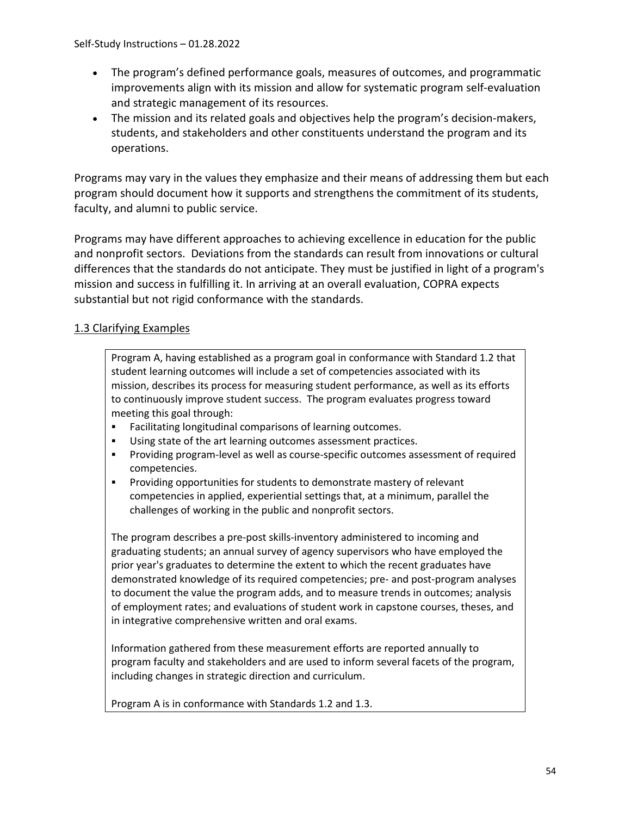- The program's defined performance goals, measures of outcomes, and programmatic improvements align with its mission and allow for systematic program self-evaluation and strategic management of its resources.
- The mission and its related goals and objectives help the program's decision-makers, students, and stakeholders and other constituents understand the program and its operations.

Programs may vary in the values they emphasize and their means of addressing them but each program should document how it supports and strengthens the commitment of its students, faculty, and alumni to public service.

Programs may have different approaches to achieving excellence in education for the public and nonprofit sectors. Deviations from the standards can result from innovations or cultural differences that the standards do not anticipate. They must be justified in light of a program's mission and success in fulfilling it. In arriving at an overall evaluation, COPRA expects substantial but not rigid conformance with the standards.

## 1.3 Clarifying Examples

Program A, having established as a program goal in conformance with Standard 1.2 that student learning outcomes will include a set of competencies associated with its mission, describes its process for measuring student performance, as well as its efforts to continuously improve student success. The program evaluates progress toward meeting this goal through:

- Facilitating longitudinal comparisons of learning outcomes.
- Using state of the art learning outcomes assessment practices.
- Providing program-level as well as course-specific outcomes assessment of required competencies.
- Providing opportunities for students to demonstrate mastery of relevant competencies in applied, experiential settings that, at a minimum, parallel the challenges of working in the public and nonprofit sectors.

The program describes a pre-post skills-inventory administered to incoming and graduating students; an annual survey of agency supervisors who have employed the prior year's graduates to determine the extent to which the recent graduates have demonstrated knowledge of its required competencies; pre- and post-program analyses to document the value the program adds, and to measure trends in outcomes; analysis of employment rates; and evaluations of student work in capstone courses, theses, and in integrative comprehensive written and oral exams.

Information gathered from these measurement efforts are reported annually to program faculty and stakeholders and are used to inform several facets of the program, including changes in strategic direction and curriculum.

Program A is in conformance with Standards 1.2 and 1.3.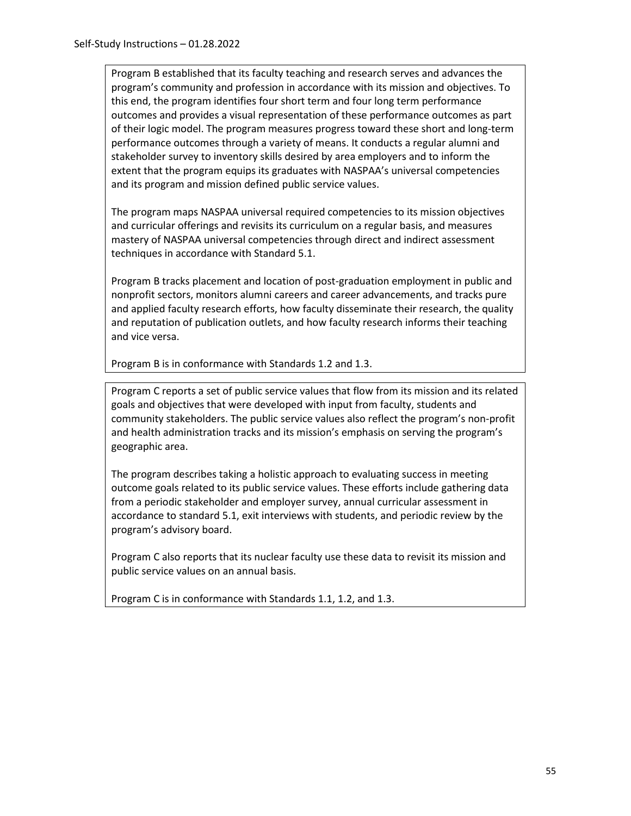Program B established that its faculty teaching and research serves and advances the program's community and profession in accordance with its mission and objectives. To this end, the program identifies four short term and four long term performance outcomes and provides a visual representation of these performance outcomes as part of their logic model. The program measures progress toward these short and long-term performance outcomes through a variety of means. It conducts a regular alumni and stakeholder survey to inventory skills desired by area employers and to inform the extent that the program equips its graduates with NASPAA's universal competencies and its program and mission defined public service values.

The program maps NASPAA universal required competencies to its mission objectives and curricular offerings and revisits its curriculum on a regular basis, and measures mastery of NASPAA universal competencies through direct and indirect assessment techniques in accordance with Standard 5.1.

Program B tracks placement and location of post-graduation employment in public and nonprofit sectors, monitors alumni careers and career advancements, and tracks pure and applied faculty research efforts, how faculty disseminate their research, the quality and reputation of publication outlets, and how faculty research informs their teaching and vice versa.

Program B is in conformance with Standards 1.2 and 1.3.

Program C reports a set of public service values that flow from its mission and its related goals and objectives that were developed with input from faculty, students and community stakeholders. The public service values also reflect the program's non-profit and health administration tracks and its mission's emphasis on serving the program's geographic area.

The program describes taking a holistic approach to evaluating success in meeting outcome goals related to its public service values. These efforts include gathering data from a periodic stakeholder and employer survey, annual curricular assessment in accordance to standard 5.1, exit interviews with students, and periodic review by the program's advisory board.

Program C also reports that its nuclear faculty use these data to revisit its mission and public service values on an annual basis.

Program C is in conformance with Standards 1.1, 1.2, and 1.3.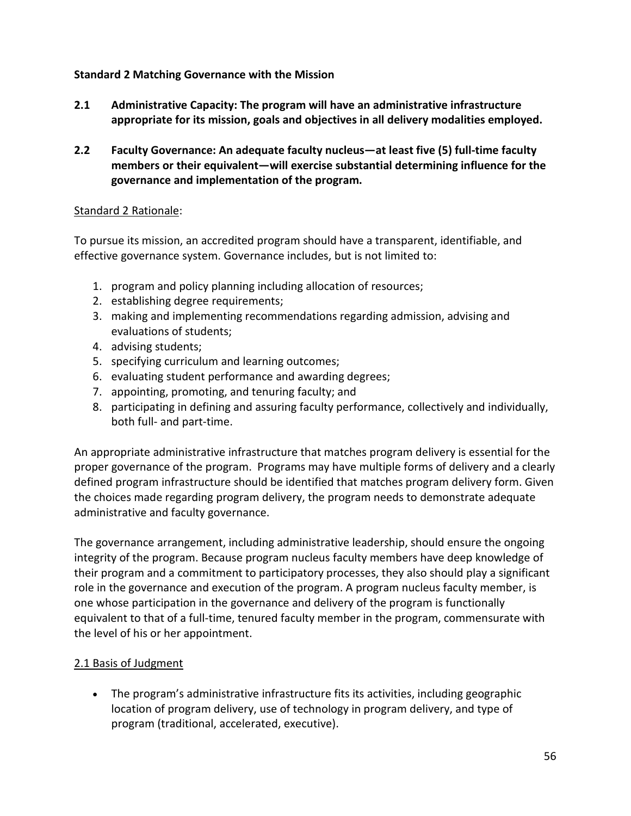## **Standard 2 Matching Governance with the Mission**

- **2.1 Administrative Capacity: The program will have an administrative infrastructure appropriate for its mission, goals and objectives in all delivery modalities employed.**
- **2.2 Faculty Governance: An adequate faculty nucleus—at least five (5) full-time faculty members or their equivalent—will exercise substantial determining influence for the governance and implementation of the program.**

### Standard 2 Rationale:

To pursue its mission, an accredited program should have a transparent, identifiable, and effective governance system. Governance includes, but is not limited to:

- 1. program and policy planning including allocation of resources;
- 2. establishing degree requirements;
- 3. making and implementing recommendations regarding admission, advising and evaluations of students;
- 4. advising students;
- 5. specifying curriculum and learning outcomes;
- 6. evaluating student performance and awarding degrees;
- 7. appointing, promoting, and tenuring faculty; and
- 8. participating in defining and assuring faculty performance, collectively and individually, both full- and part-time.

An appropriate administrative infrastructure that matches program delivery is essential for the proper governance of the program. Programs may have multiple forms of delivery and a clearly defined program infrastructure should be identified that matches program delivery form. Given the choices made regarding program delivery, the program needs to demonstrate adequate administrative and faculty governance.

The governance arrangement, including administrative leadership, should ensure the ongoing integrity of the program. Because program nucleus faculty members have deep knowledge of their program and a commitment to participatory processes, they also should play a significant role in the governance and execution of the program. A program nucleus faculty member, is one whose participation in the governance and delivery of the program is functionally equivalent to that of a full-time, tenured faculty member in the program, commensurate with the level of his or her appointment.

## 2.1 Basis of Judgment

• The program's administrative infrastructure fits its activities, including geographic location of program delivery, use of technology in program delivery, and type of program (traditional, accelerated, executive).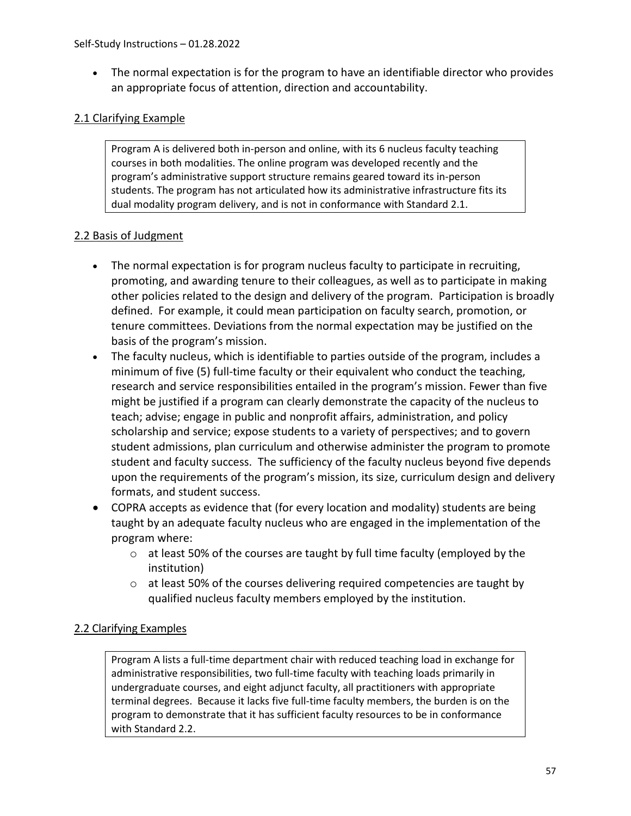• The normal expectation is for the program to have an identifiable director who provides an appropriate focus of attention, direction and accountability.

## 2.1 Clarifying Example

Program A is delivered both in-person and online, with its 6 nucleus faculty teaching courses in both modalities. The online program was developed recently and the program's administrative support structure remains geared toward its in-person students. The program has not articulated how its administrative infrastructure fits its dual modality program delivery, and is not in conformance with Standard 2.1.

## 2.2 Basis of Judgment

- The normal expectation is for program nucleus faculty to participate in recruiting, promoting, and awarding tenure to their colleagues, as well as to participate in making other policies related to the design and delivery of the program. Participation is broadly defined. For example, it could mean participation on faculty search, promotion, or tenure committees. Deviations from the normal expectation may be justified on the basis of the program's mission.
- The faculty nucleus, which is identifiable to parties outside of the program, includes a minimum of five (5) full-time faculty or their equivalent who conduct the teaching, research and service responsibilities entailed in the program's mission. Fewer than five might be justified if a program can clearly demonstrate the capacity of the nucleus to teach; advise; engage in public and nonprofit affairs, administration, and policy scholarship and service; expose students to a variety of perspectives; and to govern student admissions, plan curriculum and otherwise administer the program to promote student and faculty success. The sufficiency of the faculty nucleus beyond five depends upon the requirements of the program's mission, its size, curriculum design and delivery formats, and student success.
- COPRA accepts as evidence that (for every location and modality) students are being taught by an adequate faculty nucleus who are engaged in the implementation of the program where:
	- o at least 50% of the courses are taught by full time faculty (employed by the institution)
	- o at least 50% of the courses delivering required competencies are taught by qualified nucleus faculty members employed by the institution.

## 2.2 Clarifying Examples

Program A lists a full-time department chair with reduced teaching load in exchange for administrative responsibilities, two full-time faculty with teaching loads primarily in undergraduate courses, and eight adjunct faculty, all practitioners with appropriate terminal degrees. Because it lacks five full-time faculty members, the burden is on the program to demonstrate that it has sufficient faculty resources to be in conformance with Standard 2.2.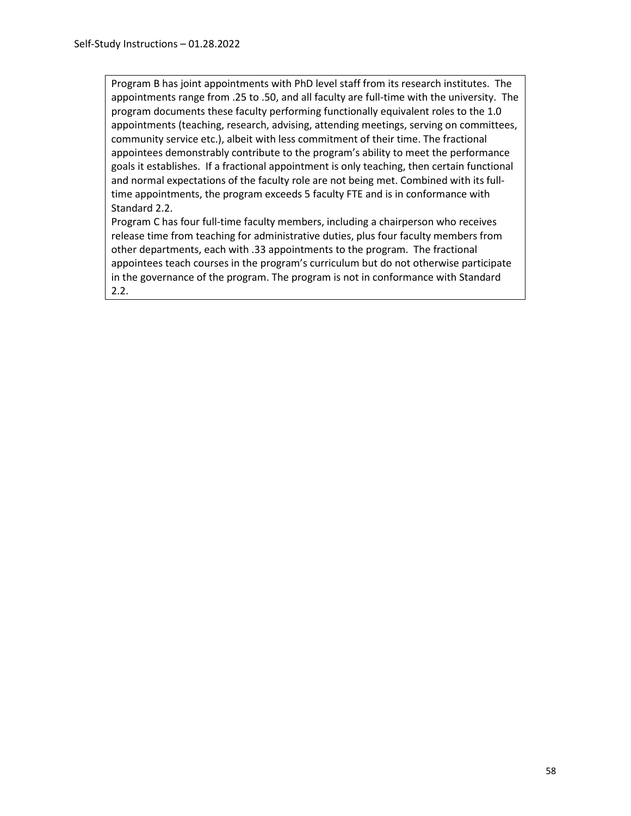Program B has joint appointments with PhD level staff from its research institutes. The appointments range from .25 to .50, and all faculty are full-time with the university. The program documents these faculty performing functionally equivalent roles to the 1.0 appointments (teaching, research, advising, attending meetings, serving on committees, community service etc.), albeit with less commitment of their time. The fractional appointees demonstrably contribute to the program's ability to meet the performance goals it establishes. If a fractional appointment is only teaching, then certain functional and normal expectations of the faculty role are not being met. Combined with its fulltime appointments, the program exceeds 5 faculty FTE and is in conformance with Standard 2.2.

Program C has four full-time faculty members, including a chairperson who receives release time from teaching for administrative duties, plus four faculty members from other departments, each with .33 appointments to the program. The fractional appointees teach courses in the program's curriculum but do not otherwise participate in the governance of the program. The program is not in conformance with Standard 2.2.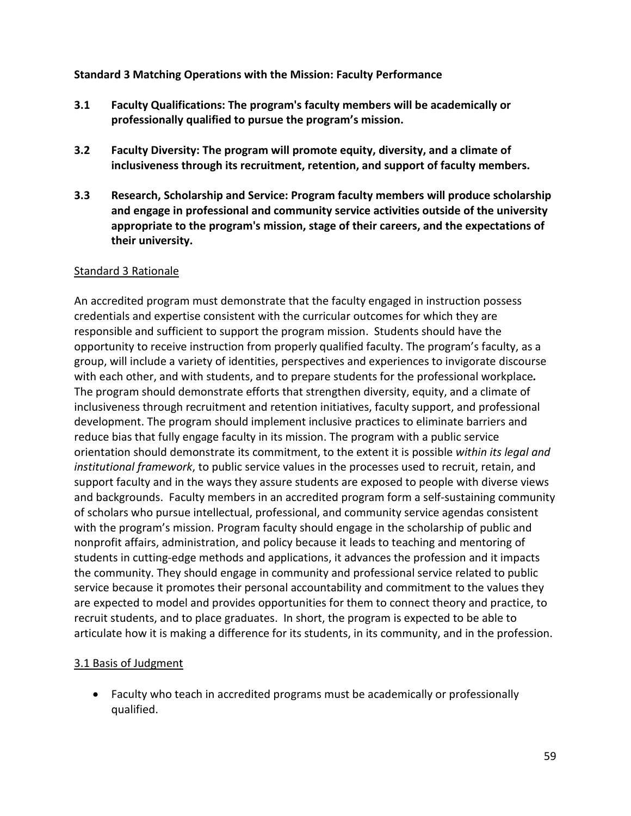#### **Standard 3 Matching Operations with the Mission: Faculty Performance**

- **3.1 Faculty Qualifications: The program's faculty members will be academically or professionally qualified to pursue the program's mission.**
- **3.2 Faculty Diversity: The program will promote equity, diversity, and a climate of inclusiveness through its recruitment, retention, and support of faculty members.**
- **3.3 Research, Scholarship and Service: Program faculty members will produce scholarship and engage in professional and community service activities outside of the university appropriate to the program's mission, stage of their careers, and the expectations of their university.**

#### Standard 3 Rationale

An accredited program must demonstrate that the faculty engaged in instruction possess credentials and expertise consistent with the curricular outcomes for which they are responsible and sufficient to support the program mission. Students should have the opportunity to receive instruction from properly qualified faculty. The program's faculty, as a group, will include a variety of identities, perspectives and experiences to invigorate discourse with each other, and with students, and to prepare students for the professional workplace*.* The program should demonstrate efforts that strengthen diversity, equity, and a climate of inclusiveness through recruitment and retention initiatives, faculty support, and professional development. The program should implement inclusive practices to eliminate barriers and reduce bias that fully engage faculty in its mission. The program with a public service orientation should demonstrate its commitment, to the extent it is possible *within its legal and institutional framework*, to public service values in the processes used to recruit, retain, and support faculty and in the ways they assure students are exposed to people with diverse views and backgrounds.Faculty members in an accredited program form a self-sustaining community of scholars who pursue intellectual, professional, and community service agendas consistent with the program's mission. Program faculty should engage in the scholarship of public and nonprofit affairs, administration, and policy because it leads to teaching and mentoring of students in cutting-edge methods and applications, it advances the profession and it impacts the community. They should engage in community and professional service related to public service because it promotes their personal accountability and commitment to the values they are expected to model and provides opportunities for them to connect theory and practice, to recruit students, and to place graduates. In short, the program is expected to be able to articulate how it is making a difference for its students, in its community, and in the profession.

## 3.1 Basis of Judgment

• Faculty who teach in accredited programs must be academically or professionally qualified.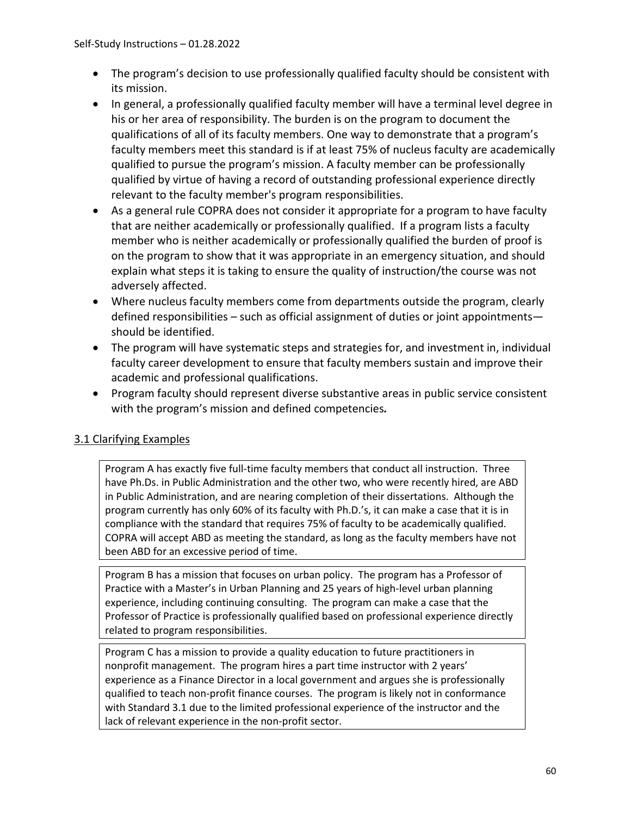- The program's decision to use professionally qualified faculty should be consistent with its mission.
- In general, a professionally qualified faculty member will have a terminal level degree in his or her area of responsibility. The burden is on the program to document the qualifications of all of its faculty members. One way to demonstrate that a program's faculty members meet this standard is if at least 75% of nucleus faculty are academically qualified to pursue the program's mission. A faculty member can be professionally qualified by virtue of having a record of outstanding professional experience directly relevant to the faculty member's program responsibilities.
- As a general rule COPRA does not consider it appropriate for a program to have faculty that are neither academically or professionally qualified. If a program lists a faculty member who is neither academically or professionally qualified the burden of proof is on the program to show that it was appropriate in an emergency situation, and should explain what steps it is taking to ensure the quality of instruction/the course was not adversely affected.
- Where nucleus faculty members come from departments outside the program, clearly defined responsibilities – such as official assignment of duties or joint appointments should be identified.
- The program will have systematic steps and strategies for, and investment in, individual faculty career development to ensure that faculty members sustain and improve their academic and professional qualifications.
- Program faculty should represent diverse substantive areas in public service consistent with the program's mission and defined competencies*.*

# 3.1 Clarifying Examples

Program A has exactly five full-time faculty members that conduct all instruction. Three have Ph.Ds. in Public Administration and the other two, who were recently hired, are ABD in Public Administration, and are nearing completion of their dissertations. Although the program currently has only 60% of its faculty with Ph.D.'s, it can make a case that it is in compliance with the standard that requires 75% of faculty to be academically qualified. COPRA will accept ABD as meeting the standard, as long as the faculty members have not been ABD for an excessive period of time.

Program B has a mission that focuses on urban policy. The program has a Professor of Practice with a Master's in Urban Planning and 25 years of high-level urban planning experience, including continuing consulting. The program can make a case that the Professor of Practice is professionally qualified based on professional experience directly related to program responsibilities.

Program C has a mission to provide a quality education to future practitioners in nonprofit management. The program hires a part time instructor with 2 years' experience as a Finance Director in a local government and argues she is professionally qualified to teach non-profit finance courses. The program is likely not in conformance with Standard 3.1 due to the limited professional experience of the instructor and the lack of relevant experience in the non-profit sector.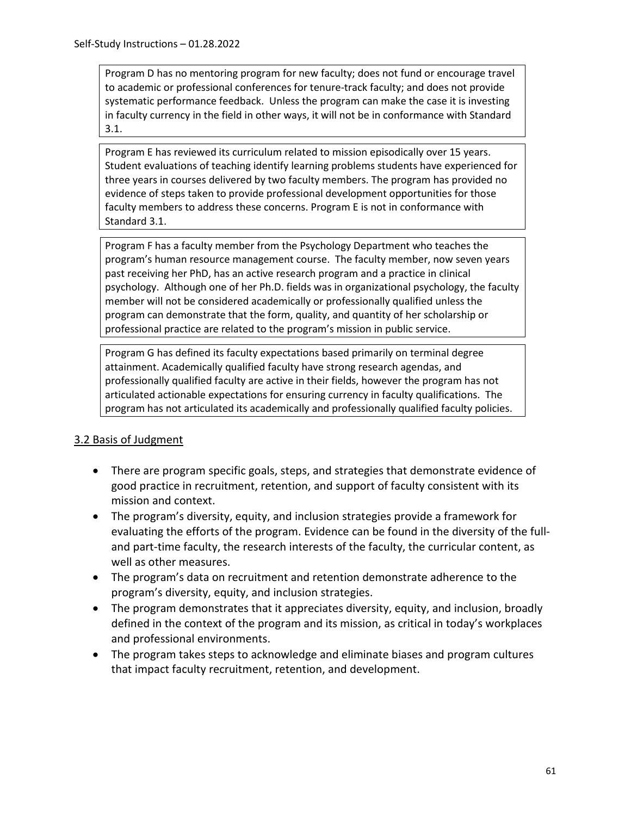Program D has no mentoring program for new faculty; does not fund or encourage travel to academic or professional conferences for tenure-track faculty; and does not provide systematic performance feedback. Unless the program can make the case it is investing in faculty currency in the field in other ways, it will not be in conformance with Standard 3.1.

Program E has reviewed its curriculum related to mission episodically over 15 years. Student evaluations of teaching identify learning problems students have experienced for three years in courses delivered by two faculty members. The program has provided no evidence of steps taken to provide professional development opportunities for those faculty members to address these concerns. Program E is not in conformance with Standard 3.1.

Program F has a faculty member from the Psychology Department who teaches the program's human resource management course. The faculty member, now seven years past receiving her PhD, has an active research program and a practice in clinical psychology. Although one of her Ph.D. fields was in organizational psychology, the faculty member will not be considered academically or professionally qualified unless the program can demonstrate that the form, quality, and quantity of her scholarship or professional practice are related to the program's mission in public service.

Program G has defined its faculty expectations based primarily on terminal degree attainment. Academically qualified faculty have strong research agendas, and professionally qualified faculty are active in their fields, however the program has not articulated actionable expectations for ensuring currency in faculty qualifications. The program has not articulated its academically and professionally qualified faculty policies.

## 3.2 Basis of Judgment

- There are program specific goals, steps, and strategies that demonstrate evidence of good practice in recruitment, retention, and support of faculty consistent with its mission and context.
- The program's diversity, equity, and inclusion strategies provide a framework for evaluating the efforts of the program. Evidence can be found in the diversity of the fulland part-time faculty, the research interests of the faculty, the curricular content, as well as other measures.
- The program's data on recruitment and retention demonstrate adherence to the program's diversity, equity, and inclusion strategies.
- The program demonstrates that it appreciates diversity, equity, and inclusion, broadly defined in the context of the program and its mission, as critical in today's workplaces and professional environments.
- The program takes steps to acknowledge and eliminate biases and program cultures that impact faculty recruitment, retention, and development.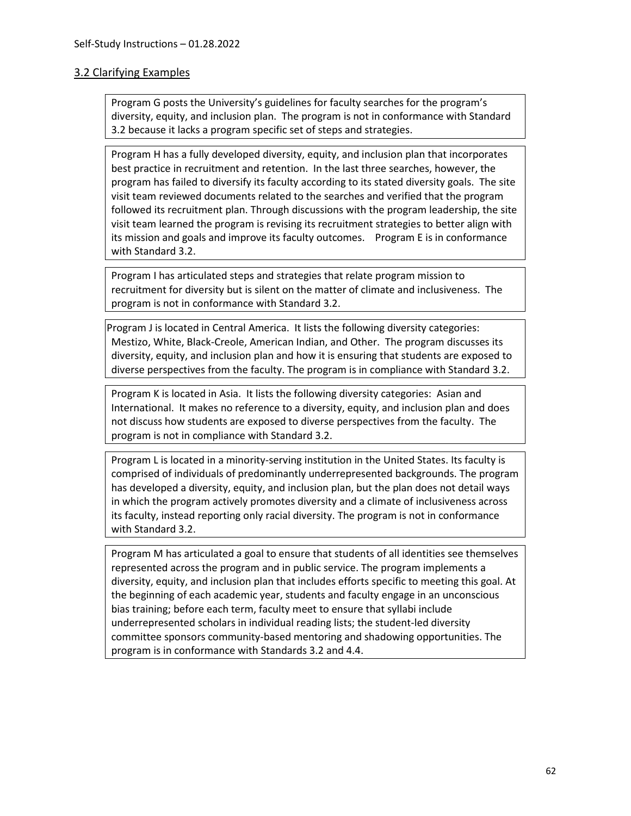#### 3.2 Clarifying Examples

Program G posts the University's guidelines for faculty searches for the program's diversity, equity, and inclusion plan. The program is not in conformance with Standard 3.2 because it lacks a program specific set of steps and strategies.

Program H has a fully developed diversity, equity, and inclusion plan that incorporates best practice in recruitment and retention. In the last three searches, however, the program has failed to diversify its faculty according to its stated diversity goals. The site visit team reviewed documents related to the searches and verified that the program followed its recruitment plan. Through discussions with the program leadership, the site visit team learned the program is revising its recruitment strategies to better align with its mission and goals and improve its faculty outcomes. Program E is in conformance with Standard 3.2.

Program I has articulated steps and strategies that relate program mission to recruitment for diversity but is silent on the matter of climate and inclusiveness. The program is not in conformance with Standard 3.2.

Program J is located in Central America. It lists the following diversity categories: Mestizo, White, Black-Creole, American Indian, and Other. The program discusses its diversity, equity, and inclusion plan and how it is ensuring that students are exposed to diverse perspectives from the faculty. The program is in compliance with Standard 3.2.

Program K is located in Asia. It lists the following diversity categories: Asian and International. It makes no reference to a diversity, equity, and inclusion plan and does not discuss how students are exposed to diverse perspectives from the faculty. The program is not in compliance with Standard 3.2.

Program L is located in a minority-serving institution in the United States. Its faculty is comprised of individuals of predominantly underrepresented backgrounds. The program has developed a diversity, equity, and inclusion plan, but the plan does not detail ways in which the program actively promotes diversity and a climate of inclusiveness across its faculty, instead reporting only racial diversity. The program is not in conformance with Standard 3.2.

Program M has articulated a goal to ensure that students of all identities see themselves represented across the program and in public service. The program implements a diversity, equity, and inclusion plan that includes efforts specific to meeting this goal. At the beginning of each academic year, students and faculty engage in an unconscious bias training; before each term, faculty meet to ensure that syllabi include underrepresented scholars in individual reading lists; the student-led diversity committee sponsors community-based mentoring and shadowing opportunities. The program is in conformance with Standards 3.2 and 4.4.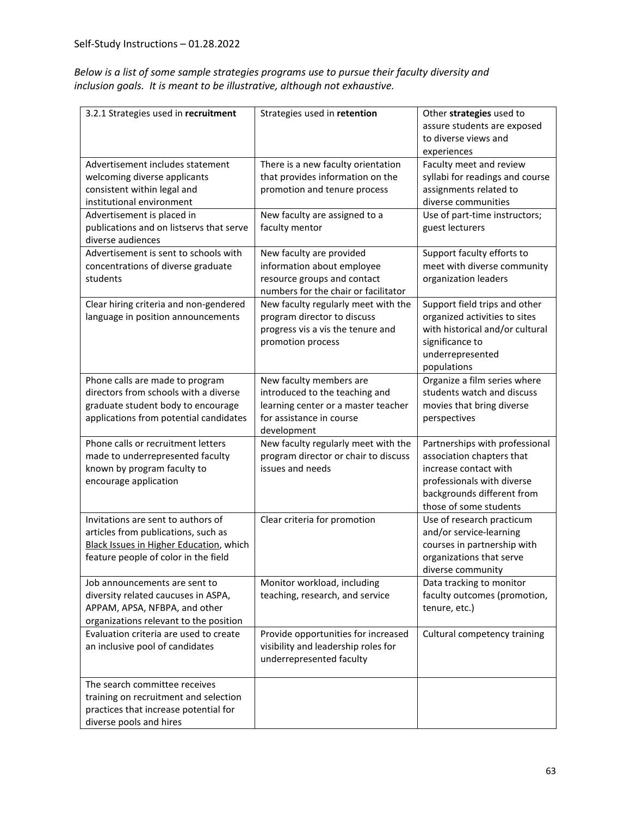*Below is a list of some sample strategies programs use to pursue their faculty diversity and inclusion goals. It is meant to be illustrative, although not exhaustive.*

| 3.2.1 Strategies used in recruitment                                                                                                                         | Strategies used in retention                                                                                                                | Other strategies used to<br>assure students are exposed<br>to diverse views and<br>experiences                                                                             |
|--------------------------------------------------------------------------------------------------------------------------------------------------------------|---------------------------------------------------------------------------------------------------------------------------------------------|----------------------------------------------------------------------------------------------------------------------------------------------------------------------------|
| Advertisement includes statement<br>welcoming diverse applicants<br>consistent within legal and<br>institutional environment                                 | There is a new faculty orientation<br>that provides information on the<br>promotion and tenure process                                      | Faculty meet and review<br>syllabi for readings and course<br>assignments related to<br>diverse communities                                                                |
| Advertisement is placed in<br>publications and on listservs that serve<br>diverse audiences                                                                  | New faculty are assigned to a<br>faculty mentor                                                                                             | Use of part-time instructors;<br>guest lecturers                                                                                                                           |
| Advertisement is sent to schools with<br>concentrations of diverse graduate<br>students                                                                      | New faculty are provided<br>information about employee<br>resource groups and contact<br>numbers for the chair or facilitator               | Support faculty efforts to<br>meet with diverse community<br>organization leaders                                                                                          |
| Clear hiring criteria and non-gendered<br>language in position announcements                                                                                 | New faculty regularly meet with the<br>program director to discuss<br>progress vis a vis the tenure and<br>promotion process                | Support field trips and other<br>organized activities to sites<br>with historical and/or cultural<br>significance to<br>underrepresented<br>populations                    |
| Phone calls are made to program<br>directors from schools with a diverse<br>graduate student body to encourage<br>applications from potential candidates     | New faculty members are<br>introduced to the teaching and<br>learning center or a master teacher<br>for assistance in course<br>development | Organize a film series where<br>students watch and discuss<br>movies that bring diverse<br>perspectives                                                                    |
| Phone calls or recruitment letters<br>made to underrepresented faculty<br>known by program faculty to<br>encourage application                               | New faculty regularly meet with the<br>program director or chair to discuss<br>issues and needs                                             | Partnerships with professional<br>association chapters that<br>increase contact with<br>professionals with diverse<br>backgrounds different from<br>those of some students |
| Invitations are sent to authors of<br>articles from publications, such as<br>Black Issues in Higher Education, which<br>feature people of color in the field | Clear criteria for promotion                                                                                                                | Use of research practicum<br>and/or service-learning<br>courses in partnership with<br>organizations that serve<br>diverse community                                       |
| Job announcements are sent to<br>diversity related caucuses in ASPA,<br>APPAM, APSA, NFBPA, and other<br>organizations relevant to the position              | Monitor workload, including<br>teaching, research, and service                                                                              | Data tracking to monitor<br>faculty outcomes (promotion,<br>tenure, etc.)                                                                                                  |
| Evaluation criteria are used to create<br>an inclusive pool of candidates                                                                                    | Provide opportunities for increased<br>visibility and leadership roles for<br>underrepresented faculty                                      | Cultural competency training                                                                                                                                               |
| The search committee receives<br>training on recruitment and selection<br>practices that increase potential for<br>diverse pools and hires                   |                                                                                                                                             |                                                                                                                                                                            |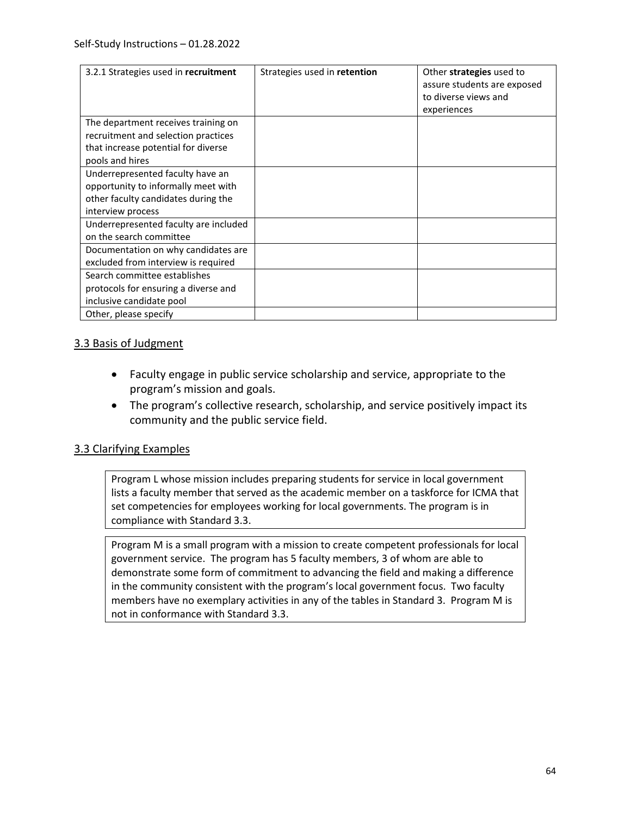| 3.2.1 Strategies used in recruitment                                                                                                 | Strategies used in retention | Other strategies used to<br>assure students are exposed<br>to diverse views and<br>experiences |
|--------------------------------------------------------------------------------------------------------------------------------------|------------------------------|------------------------------------------------------------------------------------------------|
| The department receives training on<br>recruitment and selection practices<br>that increase potential for diverse<br>pools and hires |                              |                                                                                                |
| Underrepresented faculty have an<br>opportunity to informally meet with<br>other faculty candidates during the<br>interview process  |                              |                                                                                                |
| Underrepresented faculty are included<br>on the search committee                                                                     |                              |                                                                                                |
| Documentation on why candidates are<br>excluded from interview is required                                                           |                              |                                                                                                |
| Search committee establishes<br>protocols for ensuring a diverse and<br>inclusive candidate pool                                     |                              |                                                                                                |
| Other, please specify                                                                                                                |                              |                                                                                                |

#### 3.3 Basis of Judgment

- Faculty engage in public service scholarship and service, appropriate to the program's mission and goals.
- The program's collective research, scholarship, and service positively impact its community and the public service field.

## 3.3 Clarifying Examples

Program L whose mission includes preparing students for service in local government lists a faculty member that served as the academic member on a taskforce for ICMA that set competencies for employees working for local governments. The program is in compliance with Standard 3.3.

Program M is a small program with a mission to create competent professionals for local government service. The program has 5 faculty members, 3 of whom are able to demonstrate some form of commitment to advancing the field and making a difference in the community consistent with the program's local government focus. Two faculty members have no exemplary activities in any of the tables in Standard 3. Program M is not in conformance with Standard 3.3.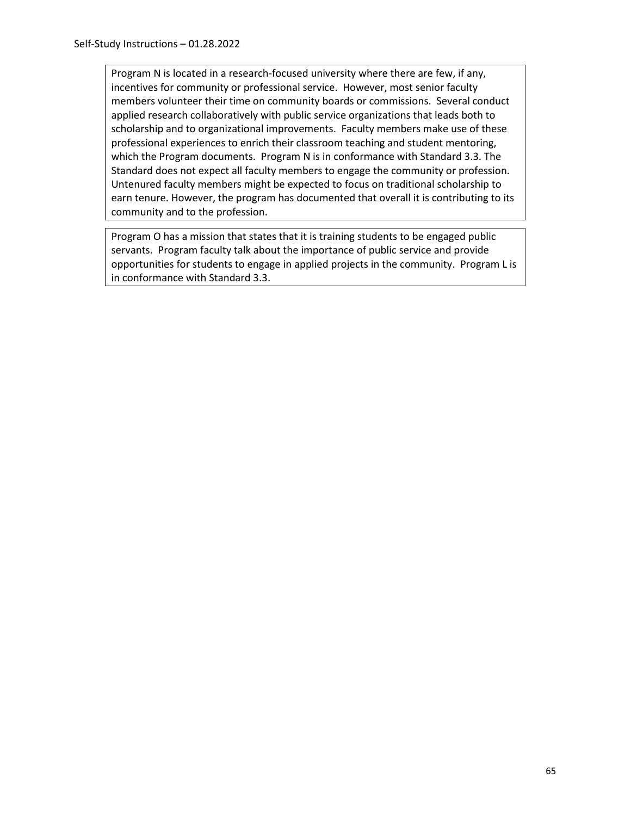Program N is located in a research-focused university where there are few, if any, incentives for community or professional service. However, most senior faculty members volunteer their time on community boards or commissions. Several conduct applied research collaboratively with public service organizations that leads both to scholarship and to organizational improvements. Faculty members make use of these professional experiences to enrich their classroom teaching and student mentoring, which the Program documents. Program N is in conformance with Standard 3.3. The Standard does not expect all faculty members to engage the community or profession. Untenured faculty members might be expected to focus on traditional scholarship to earn tenure. However, the program has documented that overall it is contributing to its community and to the profession.

Program O has a mission that states that it is training students to be engaged public servants. Program faculty talk about the importance of public service and provide opportunities for students to engage in applied projects in the community. Program L is in conformance with Standard 3.3.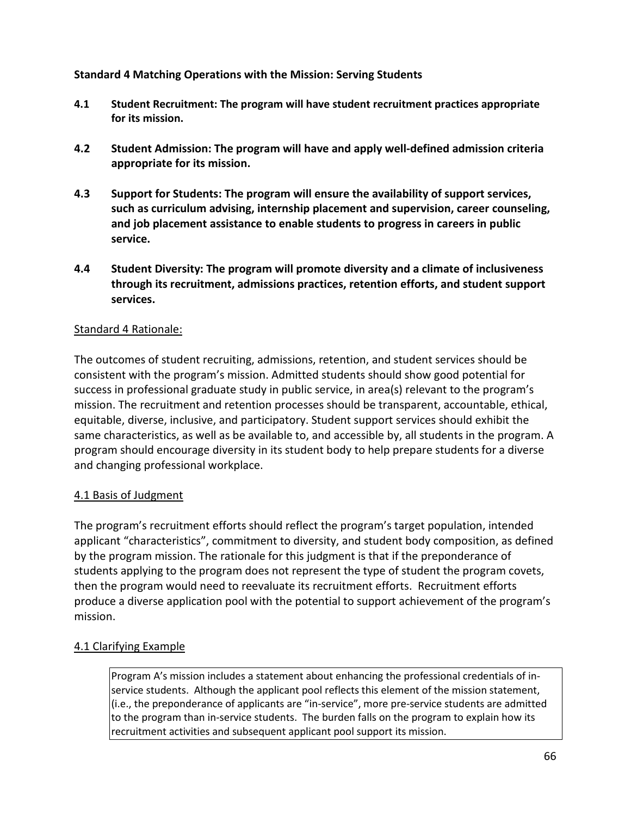## **Standard 4 Matching Operations with the Mission: Serving Students**

- **4.1 Student Recruitment: The program will have student recruitment practices appropriate for its mission.**
- **4.2 Student Admission: The program will have and apply well-defined admission criteria appropriate for its mission.**
- **4.3 Support for Students: The program will ensure the availability of support services, such as curriculum advising, internship placement and supervision, career counseling, and job placement assistance to enable students to progress in careers in public service.**
- **4.4 Student Diversity: The program will promote diversity and a climate of inclusiveness through its recruitment, admissions practices, retention efforts, and student support services.**

#### Standard 4 Rationale:

The outcomes of student recruiting, admissions, retention, and student services should be consistent with the program's mission. Admitted students should show good potential for success in professional graduate study in public service, in area(s) relevant to the program's mission. The recruitment and retention processes should be transparent, accountable, ethical, equitable, diverse, inclusive, and participatory. Student support services should exhibit the same characteristics, as well as be available to, and accessible by, all students in the program. A program should encourage diversity in its student body to help prepare students for a diverse and changing professional workplace.

## 4.1 Basis of Judgment

The program's recruitment efforts should reflect the program's target population, intended applicant "characteristics", commitment to diversity, and student body composition, as defined by the program mission. The rationale for this judgment is that if the preponderance of students applying to the program does not represent the type of student the program covets, then the program would need to reevaluate its recruitment efforts. Recruitment efforts produce a diverse application pool with the potential to support achievement of the program's mission.

## 4.1 Clarifying Example

Program A's mission includes a statement about enhancing the professional credentials of inservice students. Although the applicant pool reflects this element of the mission statement, (i.e., the preponderance of applicants are "in-service", more pre-service students are admitted to the program than in-service students. The burden falls on the program to explain how its recruitment activities and subsequent applicant pool support its mission.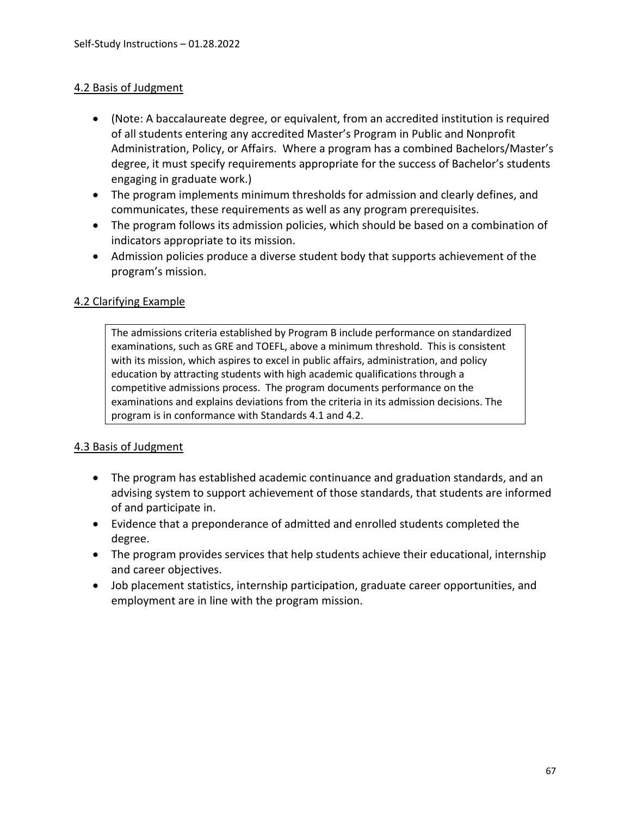#### 4.2 Basis of Judgment

- (Note: A baccalaureate degree, or equivalent, from an accredited institution is required of all students entering any accredited Master's Program in Public and Nonprofit Administration, Policy, or Affairs. Where a program has a combined Bachelors/Master's degree, it must specify requirements appropriate for the success of Bachelor's students engaging in graduate work.)
- The program implements minimum thresholds for admission and clearly defines, and communicates, these requirements as well as any program prerequisites.
- The program follows its admission policies, which should be based on a combination of indicators appropriate to its mission.
- Admission policies produce a diverse student body that supports achievement of the program's mission.

#### 4.2 Clarifying Example

The admissions criteria established by Program B include performance on standardized examinations, such as GRE and TOEFL, above a minimum threshold. This is consistent with its mission, which aspires to excel in public affairs, administration, and policy education by attracting students with high academic qualifications through a competitive admissions process. The program documents performance on the examinations and explains deviations from the criteria in its admission decisions. The program is in conformance with Standards 4.1 and 4.2.

#### 4.3 Basis of Judgment

- The program has established academic continuance and graduation standards, and an advising system to support achievement of those standards, that students are informed of and participate in.
- Evidence that a preponderance of admitted and enrolled students completed the degree.
- The program provides services that help students achieve their educational, internship and career objectives.
- Job placement statistics, internship participation, graduate career opportunities, and employment are in line with the program mission.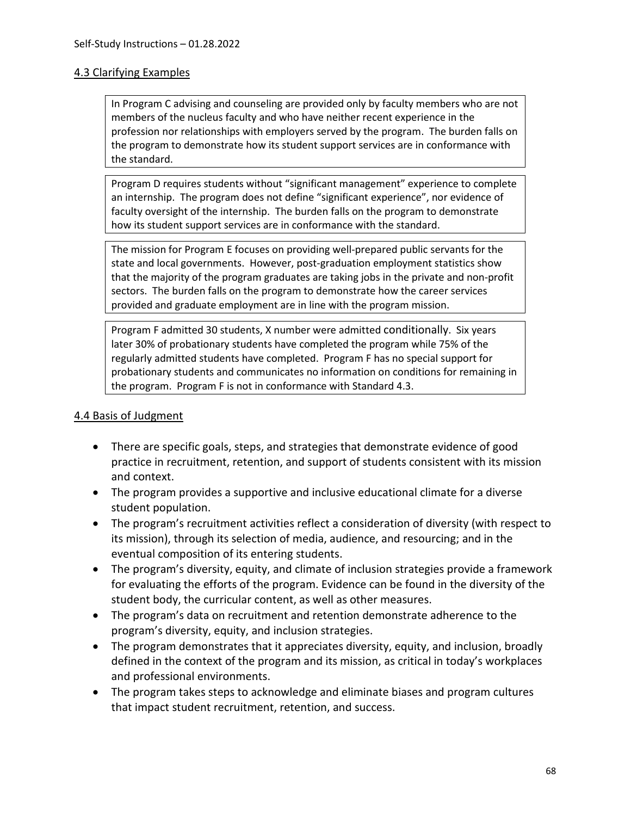#### 4.3 Clarifying Examples

In Program C advising and counseling are provided only by faculty members who are not members of the nucleus faculty and who have neither recent experience in the profession nor relationships with employers served by the program. The burden falls on the program to demonstrate how its student support services are in conformance with the standard.

Program D requires students without "significant management" experience to complete an internship. The program does not define "significant experience", nor evidence of faculty oversight of the internship. The burden falls on the program to demonstrate how its student support services are in conformance with the standard.

The mission for Program E focuses on providing well-prepared public servants for the state and local governments. However, post-graduation employment statistics show that the majority of the program graduates are taking jobs in the private and non-profit sectors. The burden falls on the program to demonstrate how the career services provided and graduate employment are in line with the program mission.

Program F admitted 30 students, X number were admitted conditionally. Six years later 30% of probationary students have completed the program while 75% of the regularly admitted students have completed. Program F has no special support for probationary students and communicates no information on conditions for remaining in the program. Program F is not in conformance with Standard 4.3.

#### 4.4 Basis of Judgment

- There are specific goals, steps, and strategies that demonstrate evidence of good practice in recruitment, retention, and support of students consistent with its mission and context.
- The program provides a supportive and inclusive educational climate for a diverse student population.
- The program's recruitment activities reflect a consideration of diversity (with respect to its mission), through its selection of media, audience, and resourcing; and in the eventual composition of its entering students.
- The program's diversity, equity, and climate of inclusion strategies provide a framework for evaluating the efforts of the program. Evidence can be found in the diversity of the student body, the curricular content, as well as other measures.
- The program's data on recruitment and retention demonstrate adherence to the program's diversity, equity, and inclusion strategies.
- The program demonstrates that it appreciates diversity, equity, and inclusion, broadly defined in the context of the program and its mission, as critical in today's workplaces and professional environments.
- The program takes steps to acknowledge and eliminate biases and program cultures that impact student recruitment, retention, and success.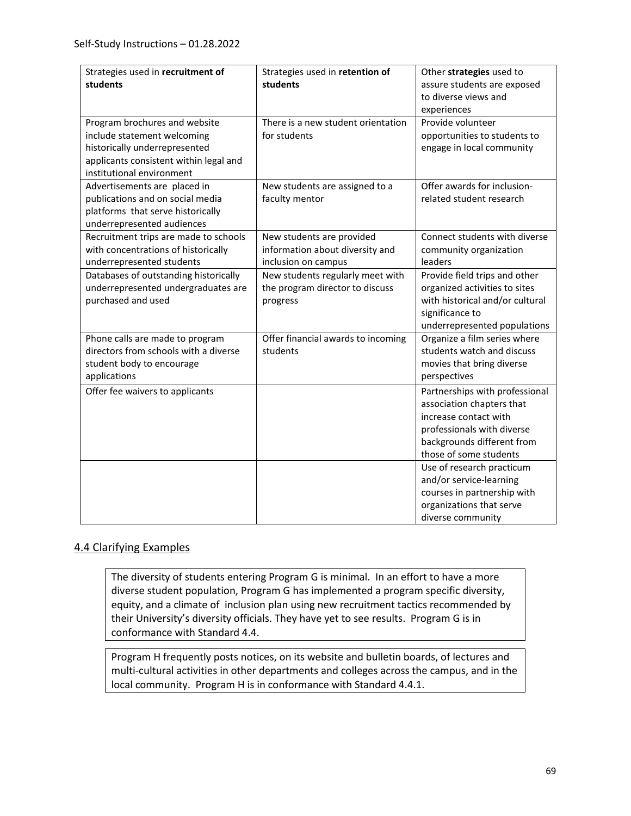| Strategies used in recruitment of<br>students                                                                                                                        | Strategies used in retention of<br>students                                         | Other strategies used to<br>assure students are exposed<br>to diverse views and<br>experiences                                                                             |
|----------------------------------------------------------------------------------------------------------------------------------------------------------------------|-------------------------------------------------------------------------------------|----------------------------------------------------------------------------------------------------------------------------------------------------------------------------|
| Program brochures and website<br>include statement welcoming<br>historically underrepresented<br>applicants consistent within legal and<br>institutional environment | There is a new student orientation<br>for students                                  | Provide volunteer<br>opportunities to students to<br>engage in local community                                                                                             |
| Advertisements are placed in<br>publications and on social media<br>platforms that serve historically<br>underrepresented audiences                                  | New students are assigned to a<br>faculty mentor                                    | Offer awards for inclusion-<br>related student research                                                                                                                    |
| Recruitment trips are made to schools<br>with concentrations of historically<br>underrepresented students                                                            | New students are provided<br>information about diversity and<br>inclusion on campus | Connect students with diverse<br>community organization<br>leaders                                                                                                         |
| Databases of outstanding historically<br>underrepresented undergraduates are<br>purchased and used                                                                   | New students regularly meet with<br>the program director to discuss<br>progress     | Provide field trips and other<br>organized activities to sites<br>with historical and/or cultural<br>significance to<br>underrepresented populations                       |
| Phone calls are made to program<br>directors from schools with a diverse<br>student body to encourage<br>applications                                                | Offer financial awards to incoming<br>students                                      | Organize a film series where<br>students watch and discuss<br>movies that bring diverse<br>perspectives                                                                    |
| Offer fee waivers to applicants                                                                                                                                      |                                                                                     | Partnerships with professional<br>association chapters that<br>increase contact with<br>professionals with diverse<br>backgrounds different from<br>those of some students |
|                                                                                                                                                                      |                                                                                     | Use of research practicum<br>and/or service-learning<br>courses in partnership with<br>organizations that serve<br>diverse community                                       |

## 4.4 Clarifying Examples

The diversity of students entering Program G is minimal. In an effort to have a more diverse student population, Program G has implemented a program specific diversity, equity, and a climate of inclusion plan using new recruitment tactics recommended by their University's diversity officials. They have yet to see results. Program G is in conformance with Standard 4.4.

Program H frequently posts notices, on its website and bulletin boards, of lectures and multi-cultural activities in other departments and colleges across the campus, and in the local community. Program H is in conformance with Standard 4.4.1.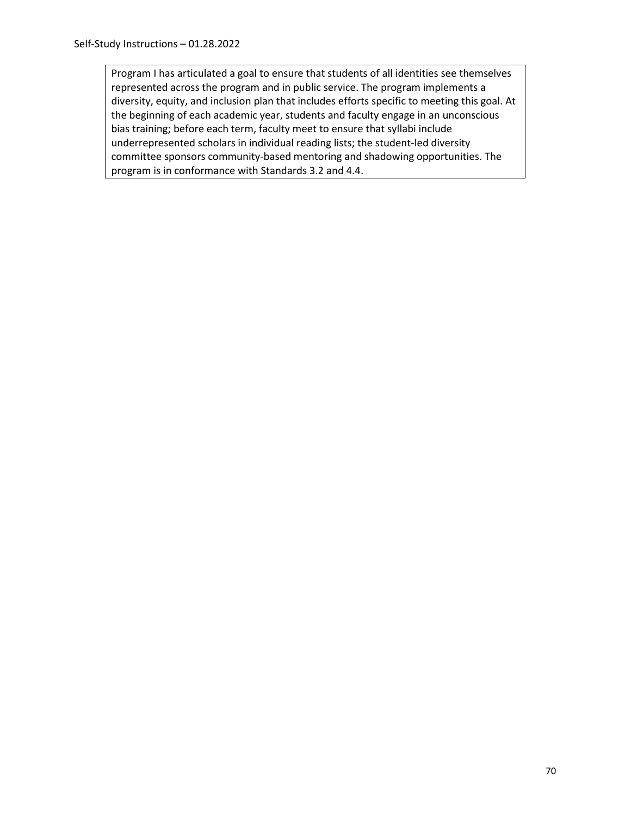Program I has articulated a goal to ensure that students of all identities see themselves represented across the program and in public service. The program implements a diversity, equity, and inclusion plan that includes efforts specific to meeting this goal. At the beginning of each academic year, students and faculty engage in an unconscious bias training; before each term, faculty meet to ensure that syllabi include underrepresented scholars in individual reading lists; the student-led diversity committee sponsors community-based mentoring and shadowing opportunities. The program is in conformance with Standards 3.2 and 4.4.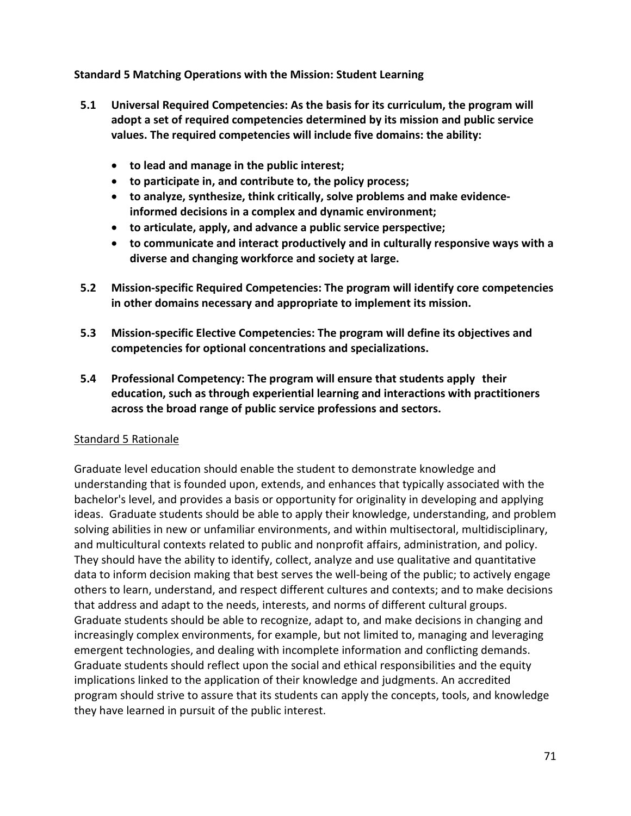**Standard 5 Matching Operations with the Mission: Student Learning**

- **5.1 Universal Required Competencies: As the basis for its curriculum, the program will adopt a set of required competencies determined by its mission and public service values. The required competencies will include five domains: the ability:**
	- **to lead and manage in the public interest;**
	- **to participate in, and contribute to, the policy process;**
	- **to analyze, synthesize, think critically, solve problems and make evidenceinformed decisions in a complex and dynamic environment;**
	- **to articulate, apply, and advance a public service perspective;**
	- **to communicate and interact productively and in culturally responsive ways with a diverse and changing workforce and society at large.**
- **5.2 Mission-specific Required Competencies: The program will identify core competencies in other domains necessary and appropriate to implement its mission.**
- **5.3 Mission-specific Elective Competencies: The program will define its objectives and competencies for optional concentrations and specializations.**
- **5.4 Professional Competency: The program will ensure that students apply their education, such as through experiential learning and interactions with practitioners across the broad range of public service professions and sectors.**

## Standard 5 Rationale

Graduate level education should enable the student to demonstrate knowledge and understanding that is founded upon, extends, and enhances that typically associated with the bachelor's level, and provides a basis or opportunity for originality in developing and applying ideas. Graduate students should be able to apply their knowledge, understanding, and problem solving abilities in new or unfamiliar environments, and within multisectoral, multidisciplinary, and multicultural contexts related to public and nonprofit affairs, administration, and policy. They should have the ability to identify, collect, analyze and use qualitative and quantitative data to inform decision making that best serves the well-being of the public; to actively engage others to learn, understand, and respect different cultures and contexts; and to make decisions that address and adapt to the needs, interests, and norms of different cultural groups. Graduate students should be able to recognize, adapt to, and make decisions in changing and increasingly complex environments, for example, but not limited to, managing and leveraging emergent technologies, and dealing with incomplete information and conflicting demands. Graduate students should reflect upon the social and ethical responsibilities and the equity implications linked to the application of their knowledge and judgments. An accredited program should strive to assure that its students can apply the concepts, tools, and knowledge they have learned in pursuit of the public interest.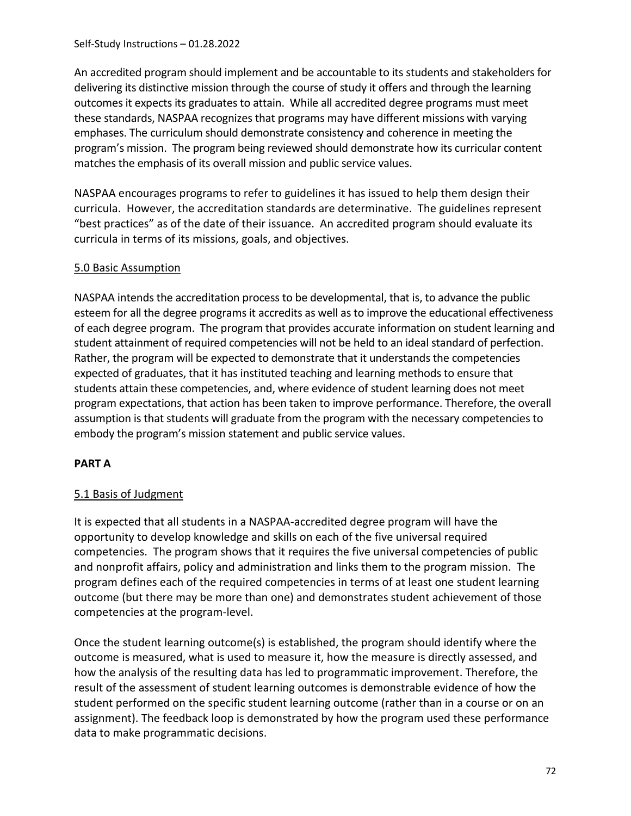An accredited program should implement and be accountable to its students and stakeholders for delivering its distinctive mission through the course of study it offers and through the learning outcomes it expects its graduates to attain. While all accredited degree programs must meet these standards, NASPAA recognizes that programs may have different missions with varying emphases. The curriculum should demonstrate consistency and coherence in meeting the program's mission. The program being reviewed should demonstrate how its curricular content matches the emphasis of its overall mission and public service values.

NASPAA encourages programs to refer to guidelines it has issued to help them design their curricula. However, the accreditation standards are determinative. The guidelines represent "best practices" as of the date of their issuance. An accredited program should evaluate its curricula in terms of its missions, goals, and objectives.

# 5.0 Basic Assumption

NASPAA intends the accreditation process to be developmental, that is, to advance the public esteem for all the degree programs it accredits as well as to improve the educational effectiveness of each degree program. The program that provides accurate information on student learning and student attainment of required competencies will not be held to an ideal standard of perfection. Rather, the program will be expected to demonstrate that it understands the competencies expected of graduates, that it has instituted teaching and learning methods to ensure that students attain these competencies, and, where evidence of student learning does not meet program expectations, that action has been taken to improve performance. Therefore, the overall assumption is that students will graduate from the program with the necessary competencies to embody the program's mission statement and public service values.

## **PART A**

# 5.1 Basis of Judgment

It is expected that all students in a NASPAA-accredited degree program will have the opportunity to develop knowledge and skills on each of the five universal required competencies. The program shows that it requires the five universal competencies of public and nonprofit affairs, policy and administration and links them to the program mission. The program defines each of the required competencies in terms of at least one student learning outcome (but there may be more than one) and demonstrates student achievement of those competencies at the program-level.

Once the student learning outcome(s) is established, the program should identify where the outcome is measured, what is used to measure it, how the measure is directly assessed, and how the analysis of the resulting data has led to programmatic improvement. Therefore, the result of the assessment of student learning outcomes is demonstrable evidence of how the student performed on the specific student learning outcome (rather than in a course or on an assignment). The feedback loop is demonstrated by how the program used these performance data to make programmatic decisions.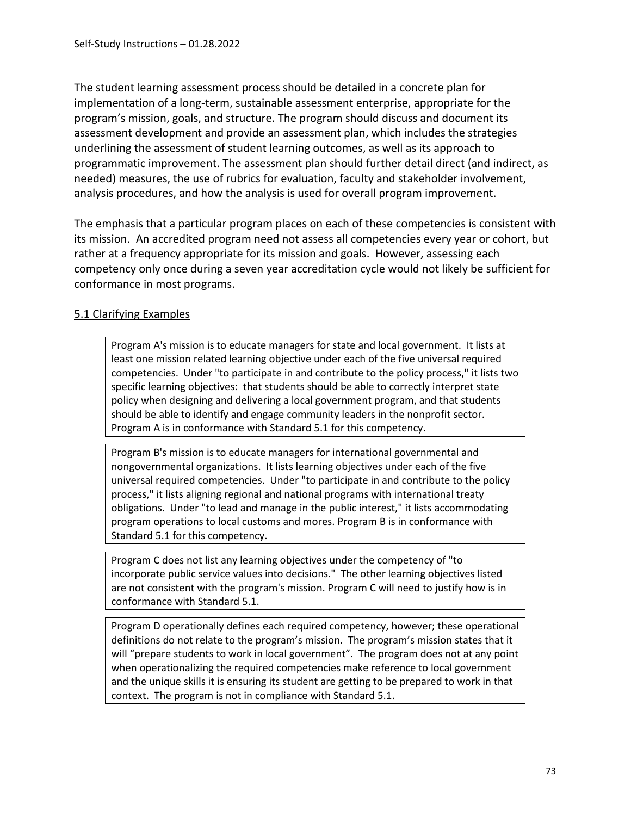The student learning assessment process should be detailed in a concrete plan for implementation of a long-term, sustainable assessment enterprise, appropriate for the program's mission, goals, and structure. The program should discuss and document its assessment development and provide an assessment plan, which includes the strategies underlining the assessment of student learning outcomes, as well as its approach to programmatic improvement. The assessment plan should further detail direct (and indirect, as needed) measures, the use of rubrics for evaluation, faculty and stakeholder involvement, analysis procedures, and how the analysis is used for overall program improvement.

The emphasis that a particular program places on each of these competencies is consistent with its mission. An accredited program need not assess all competencies every year or cohort, but rather at a frequency appropriate for its mission and goals. However, assessing each competency only once during a seven year accreditation cycle would not likely be sufficient for conformance in most programs.

#### 5.1 Clarifying Examples

Program A's mission is to educate managers for state and local government. It lists at least one mission related learning objective under each of the five universal required competencies. Under "to participate in and contribute to the policy process," it lists two specific learning objectives: that students should be able to correctly interpret state policy when designing and delivering a local government program, and that students should be able to identify and engage community leaders in the nonprofit sector. Program A is in conformance with Standard 5.1 for this competency.

Program B's mission is to educate managers for international governmental and nongovernmental organizations. It lists learning objectives under each of the five universal required competencies. Under "to participate in and contribute to the policy process," it lists aligning regional and national programs with international treaty obligations. Under "to lead and manage in the public interest," it lists accommodating program operations to local customs and mores. Program B is in conformance with Standard 5.1 for this competency.

Program C does not list any learning objectives under the competency of "to incorporate public service values into decisions." The other learning objectives listed are not consistent with the program's mission. Program C will need to justify how is in conformance with Standard 5.1.

Program D operationally defines each required competency, however; these operational definitions do not relate to the program's mission. The program's mission states that it will "prepare students to work in local government". The program does not at any point when operationalizing the required competencies make reference to local government and the unique skills it is ensuring its student are getting to be prepared to work in that context. The program is not in compliance with Standard 5.1.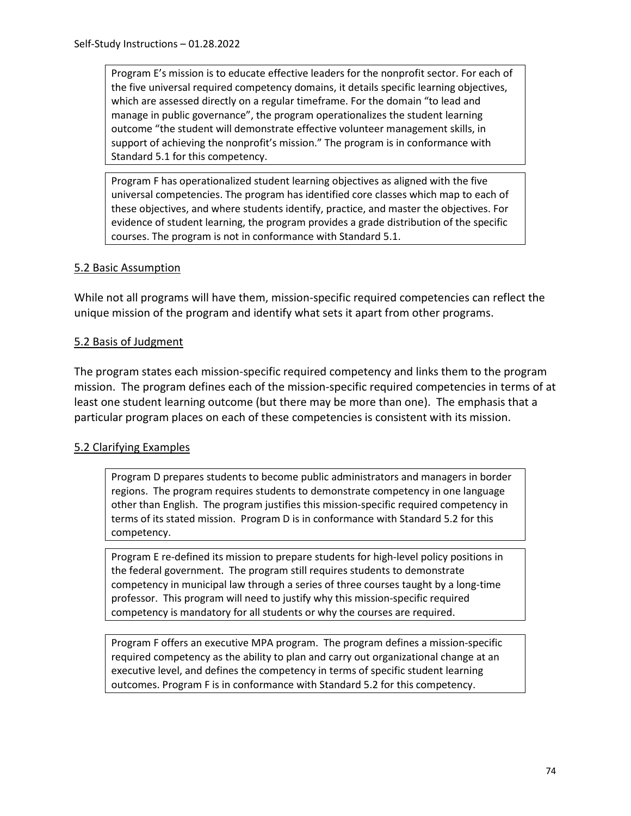Program E's mission is to educate effective leaders for the nonprofit sector. For each of the five universal required competency domains, it details specific learning objectives, which are assessed directly on a regular timeframe. For the domain "to lead and manage in public governance", the program operationalizes the student learning outcome "the student will demonstrate effective volunteer management skills, in support of achieving the nonprofit's mission." The program is in conformance with Standard 5.1 for this competency.

Program F has operationalized student learning objectives as aligned with the five universal competencies. The program has identified core classes which map to each of these objectives, and where students identify, practice, and master the objectives. For evidence of student learning, the program provides a grade distribution of the specific courses. The program is not in conformance with Standard 5.1.

#### 5.2 Basic Assumption

While not all programs will have them, mission-specific required competencies can reflect the unique mission of the program and identify what sets it apart from other programs.

#### 5.2 Basis of Judgment

The program states each mission-specific required competency and links them to the program mission. The program defines each of the mission-specific required competencies in terms of at least one student learning outcome (but there may be more than one). The emphasis that a particular program places on each of these competencies is consistent with its mission.

# 5.2 Clarifying Examples

Program D prepares students to become public administrators and managers in border regions. The program requires students to demonstrate competency in one language other than English. The program justifies this mission-specific required competency in terms of its stated mission. Program D is in conformance with Standard 5.2 for this competency.

Program E re-defined its mission to prepare students for high-level policy positions in the federal government. The program still requires students to demonstrate competency in municipal law through a series of three courses taught by a long-time professor. This program will need to justify why this mission-specific required competency is mandatory for all students or why the courses are required.

Program F offers an executive MPA program. The program defines a mission-specific required competency as the ability to plan and carry out organizational change at an executive level, and defines the competency in terms of specific student learning outcomes. Program F is in conformance with Standard 5.2 for this competency.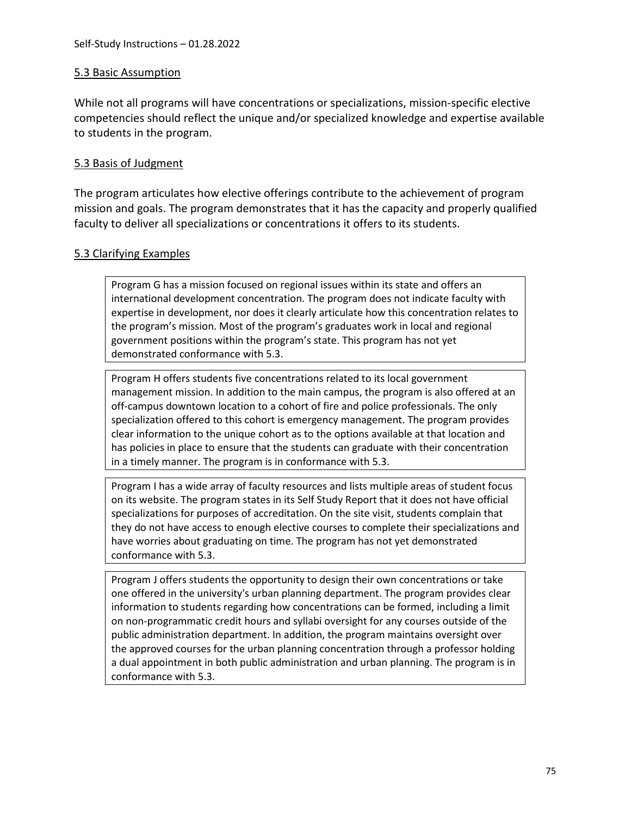## 5.3 Basic Assumption

While not all programs will have concentrations or specializations, mission-specific elective competencies should reflect the unique and/or specialized knowledge and expertise available to students in the program.

## 5.3 Basis of Judgment

The program articulates how elective offerings contribute to the achievement of program mission and goals. The program demonstrates that it has the capacity and properly qualified faculty to deliver all specializations or concentrations it offers to its students.

#### 5.3 Clarifying Examples

Program G has a mission focused on regional issues within its state and offers an international development concentration. The program does not indicate faculty with expertise in development, nor does it clearly articulate how this concentration relates to the program's mission. Most of the program's graduates work in local and regional government positions within the program's state. This program has not yet demonstrated conformance with 5.3.

Program H offers students five concentrations related to its local government management mission. In addition to the main campus, the program is also offered at an off-campus downtown location to a cohort of fire and police professionals. The only specialization offered to this cohort is emergency management. The program provides clear information to the unique cohort as to the options available at that location and has policies in place to ensure that the students can graduate with their concentration in a timely manner. The program is in conformance with 5.3.

Program I has a wide array of faculty resources and lists multiple areas of student focus on its website. The program states in its Self Study Report that it does not have official specializations for purposes of accreditation. On the site visit, students complain that they do not have access to enough elective courses to complete their specializations and have worries about graduating on time. The program has not yet demonstrated conformance with 5.3.

Program J offers students the opportunity to design their own concentrations or take one offered in the university's urban planning department. The program provides clear information to students regarding how concentrations can be formed, including a limit on non-programmatic credit hours and syllabi oversight for any courses outside of the public administration department. In addition, the program maintains oversight over the approved courses for the urban planning concentration through a professor holding a dual appointment in both public administration and urban planning. The program is in conformance with 5.3.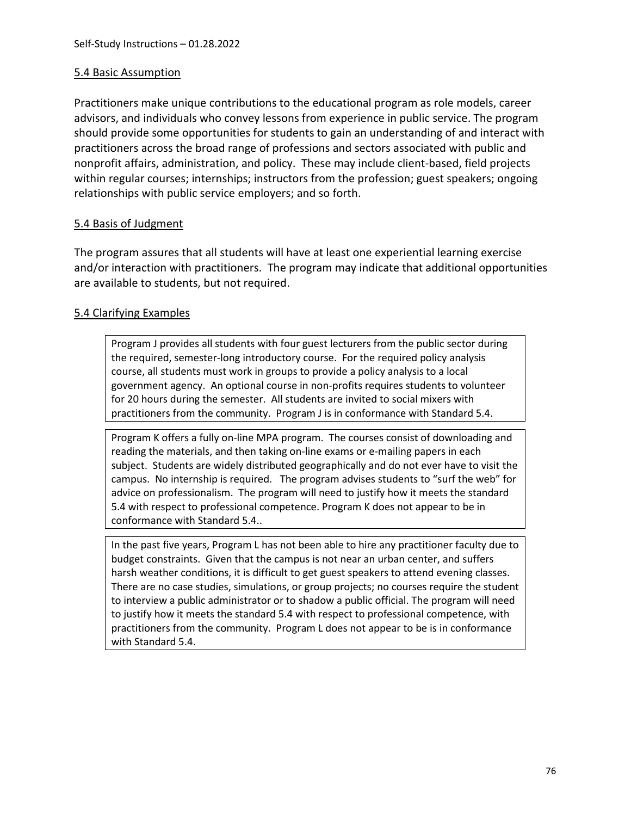## 5.4 Basic Assumption

Practitioners make unique contributions to the educational program as role models, career advisors, and individuals who convey lessons from experience in public service. The program should provide some opportunities for students to gain an understanding of and interact with practitioners across the broad range of professions and sectors associated with public and nonprofit affairs, administration, and policy. These may include client-based, field projects within regular courses; internships; instructors from the profession; guest speakers; ongoing relationships with public service employers; and so forth.

#### 5.4 Basis of Judgment

The program assures that all students will have at least one experiential learning exercise and/or interaction with practitioners. The program may indicate that additional opportunities are available to students, but not required.

#### 5.4 Clarifying Examples

Program J provides all students with four guest lecturers from the public sector during the required, semester-long introductory course. For the required policy analysis course, all students must work in groups to provide a policy analysis to a local government agency. An optional course in non-profits requires students to volunteer for 20 hours during the semester. All students are invited to social mixers with practitioners from the community. Program J is in conformance with Standard 5.4.

Program K offers a fully on-line MPA program. The courses consist of downloading and reading the materials, and then taking on-line exams or e-mailing papers in each subject. Students are widely distributed geographically and do not ever have to visit the campus. No internship is required. The program advises students to "surf the web" for advice on professionalism. The program will need to justify how it meets the standard 5.4 with respect to professional competence. Program K does not appear to be in conformance with Standard 5.4..

In the past five years, Program L has not been able to hire any practitioner faculty due to budget constraints. Given that the campus is not near an urban center, and suffers harsh weather conditions, it is difficult to get guest speakers to attend evening classes. There are no case studies, simulations, or group projects; no courses require the student to interview a public administrator or to shadow a public official. The program will need to justify how it meets the standard 5.4 with respect to professional competence, with practitioners from the community. Program L does not appear to be is in conformance with Standard 5.4.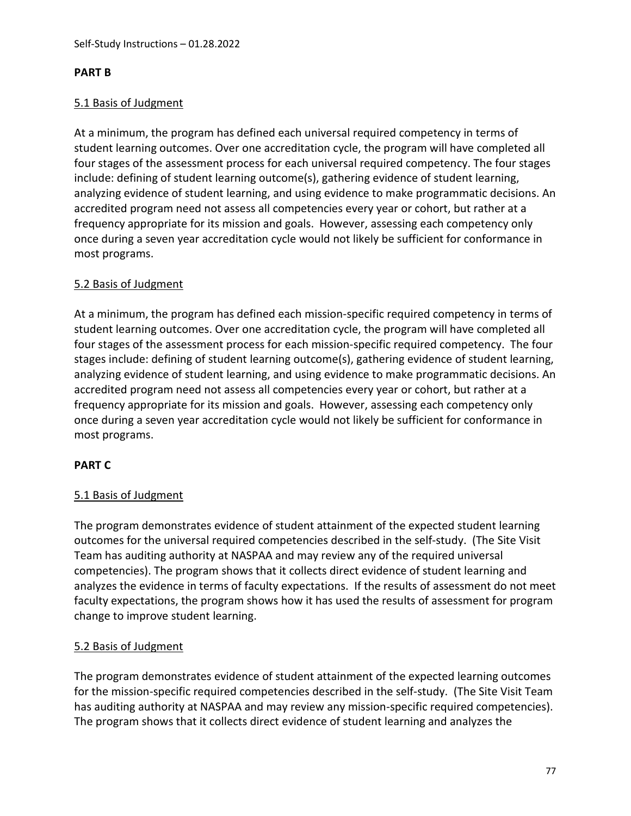#### **PART B**

## 5.1 Basis of Judgment

At a minimum, the program has defined each universal required competency in terms of student learning outcomes. Over one accreditation cycle, the program will have completed all four stages of the assessment process for each universal required competency. The four stages include: defining of student learning outcome(s), gathering evidence of student learning, analyzing evidence of student learning, and using evidence to make programmatic decisions. An accredited program need not assess all competencies every year or cohort, but rather at a frequency appropriate for its mission and goals. However, assessing each competency only once during a seven year accreditation cycle would not likely be sufficient for conformance in most programs.

#### 5.2 Basis of Judgment

At a minimum, the program has defined each mission-specific required competency in terms of student learning outcomes. Over one accreditation cycle, the program will have completed all four stages of the assessment process for each mission-specific required competency. The four stages include: defining of student learning outcome(s), gathering evidence of student learning, analyzing evidence of student learning, and using evidence to make programmatic decisions. An accredited program need not assess all competencies every year or cohort, but rather at a frequency appropriate for its mission and goals. However, assessing each competency only once during a seven year accreditation cycle would not likely be sufficient for conformance in most programs.

# **PART C**

# 5.1 Basis of Judgment

The program demonstrates evidence of student attainment of the expected student learning outcomes for the universal required competencies described in the self-study. (The Site Visit Team has auditing authority at NASPAA and may review any of the required universal competencies). The program shows that it collects direct evidence of student learning and analyzes the evidence in terms of faculty expectations. If the results of assessment do not meet faculty expectations, the program shows how it has used the results of assessment for program change to improve student learning.

# 5.2 Basis of Judgment

The program demonstrates evidence of student attainment of the expected learning outcomes for the mission-specific required competencies described in the self-study. (The Site Visit Team has auditing authority at NASPAA and may review any mission-specific required competencies). The program shows that it collects direct evidence of student learning and analyzes the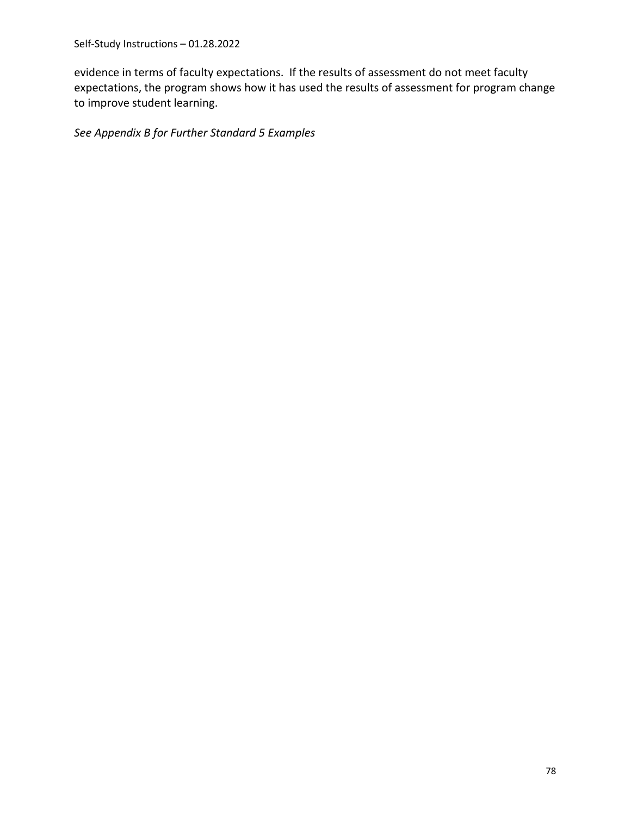evidence in terms of faculty expectations. If the results of assessment do not meet faculty expectations, the program shows how it has used the results of assessment for program change to improve student learning.

*See Appendix B for Further Standard 5 Examples*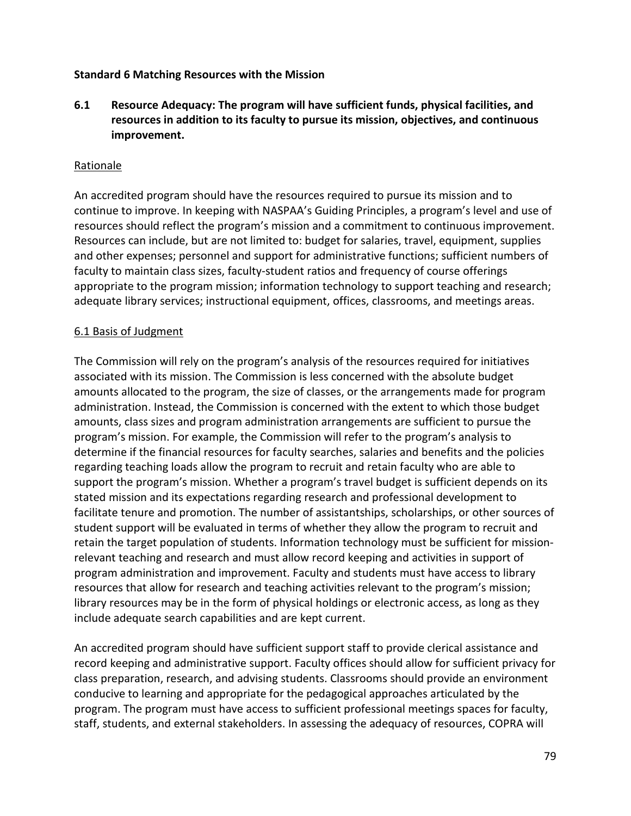#### **Standard 6 Matching Resources with the Mission**

**6.1 Resource Adequacy: The program will have sufficient funds, physical facilities, and resources in addition to its faculty to pursue its mission, objectives, and continuous improvement.**

#### Rationale

An accredited program should have the resources required to pursue its mission and to continue to improve. In keeping with NASPAA's Guiding Principles, a program's level and use of resources should reflect the program's mission and a commitment to continuous improvement. Resources can include, but are not limited to: budget for salaries, travel, equipment, supplies and other expenses; personnel and support for administrative functions; sufficient numbers of faculty to maintain class sizes, faculty-student ratios and frequency of course offerings appropriate to the program mission; information technology to support teaching and research; adequate library services; instructional equipment, offices, classrooms, and meetings areas.

#### 6.1 Basis of Judgment

The Commission will rely on the program's analysis of the resources required for initiatives associated with its mission. The Commission is less concerned with the absolute budget amounts allocated to the program, the size of classes, or the arrangements made for program administration. Instead, the Commission is concerned with the extent to which those budget amounts, class sizes and program administration arrangements are sufficient to pursue the program's mission. For example, the Commission will refer to the program's analysis to determine if the financial resources for faculty searches, salaries and benefits and the policies regarding teaching loads allow the program to recruit and retain faculty who are able to support the program's mission. Whether a program's travel budget is sufficient depends on its stated mission and its expectations regarding research and professional development to facilitate tenure and promotion. The number of assistantships, scholarships, or other sources of student support will be evaluated in terms of whether they allow the program to recruit and retain the target population of students. Information technology must be sufficient for missionrelevant teaching and research and must allow record keeping and activities in support of program administration and improvement. Faculty and students must have access to library resources that allow for research and teaching activities relevant to the program's mission; library resources may be in the form of physical holdings or electronic access, as long as they include adequate search capabilities and are kept current.

An accredited program should have sufficient support staff to provide clerical assistance and record keeping and administrative support. Faculty offices should allow for sufficient privacy for class preparation, research, and advising students. Classrooms should provide an environment conducive to learning and appropriate for the pedagogical approaches articulated by the program. The program must have access to sufficient professional meetings spaces for faculty, staff, students, and external stakeholders. In assessing the adequacy of resources, COPRA will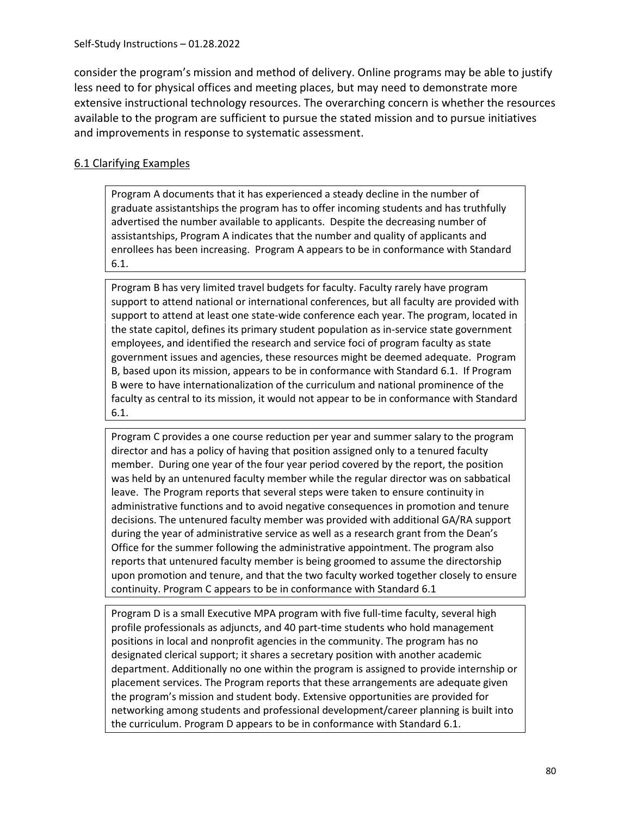consider the program's mission and method of delivery. Online programs may be able to justify less need to for physical offices and meeting places, but may need to demonstrate more extensive instructional technology resources. The overarching concern is whether the resources available to the program are sufficient to pursue the stated mission and to pursue initiatives and improvements in response to systematic assessment.

# 6.1 Clarifying Examples

Program A documents that it has experienced a steady decline in the number of graduate assistantships the program has to offer incoming students and has truthfully advertised the number available to applicants. Despite the decreasing number of assistantships, Program A indicates that the number and quality of applicants and enrollees has been increasing. Program A appears to be in conformance with Standard 6.1.

Program B has very limited travel budgets for faculty. Faculty rarely have program support to attend national or international conferences, but all faculty are provided with support to attend at least one state-wide conference each year. The program, located in the state capitol, defines its primary student population as in-service state government employees, and identified the research and service foci of program faculty as state government issues and agencies, these resources might be deemed adequate. Program B, based upon its mission, appears to be in conformance with Standard 6.1. If Program B were to have internationalization of the curriculum and national prominence of the faculty as central to its mission, it would not appear to be in conformance with Standard 6.1.

Program C provides a one course reduction per year and summer salary to the program director and has a policy of having that position assigned only to a tenured faculty member. During one year of the four year period covered by the report, the position was held by an untenured faculty member while the regular director was on sabbatical leave. The Program reports that several steps were taken to ensure continuity in administrative functions and to avoid negative consequences in promotion and tenure decisions. The untenured faculty member was provided with additional GA/RA support during the year of administrative service as well as a research grant from the Dean's Office for the summer following the administrative appointment. The program also reports that untenured faculty member is being groomed to assume the directorship upon promotion and tenure, and that the two faculty worked together closely to ensure continuity. Program C appears to be in conformance with Standard 6.1

Program D is a small Executive MPA program with five full-time faculty, several high profile professionals as adjuncts, and 40 part-time students who hold management positions in local and nonprofit agencies in the community. The program has no designated clerical support; it shares a secretary position with another academic department. Additionally no one within the program is assigned to provide internship or placement services. The Program reports that these arrangements are adequate given the program's mission and student body. Extensive opportunities are provided for networking among students and professional development/career planning is built into the curriculum. Program D appears to be in conformance with Standard 6.1.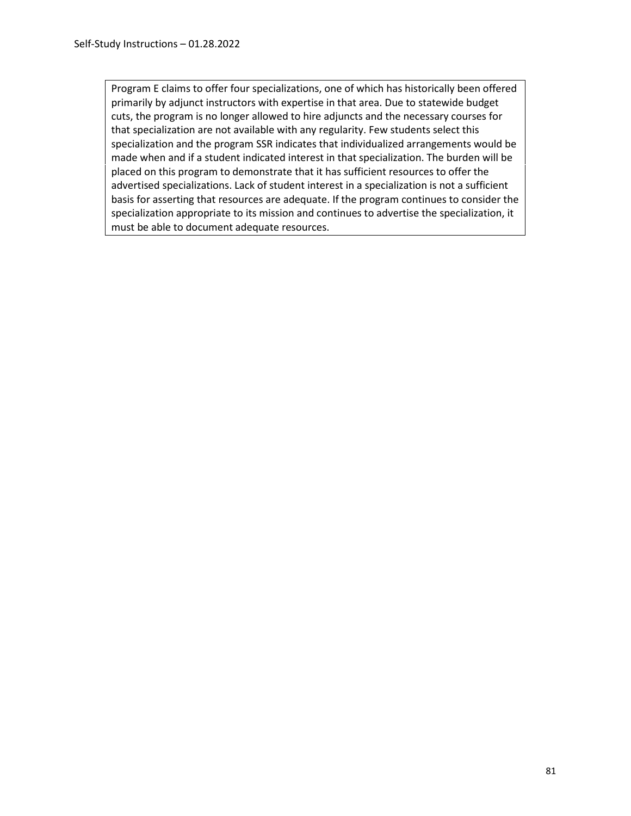Program E claims to offer four specializations, one of which has historically been offered primarily by adjunct instructors with expertise in that area. Due to statewide budget cuts, the program is no longer allowed to hire adjuncts and the necessary courses for that specialization are not available with any regularity. Few students select this specialization and the program SSR indicates that individualized arrangements would be made when and if a student indicated interest in that specialization. The burden will be placed on this program to demonstrate that it has sufficient resources to offer the advertised specializations. Lack of student interest in a specialization is not a sufficient basis for asserting that resources are adequate. If the program continues to consider the specialization appropriate to its mission and continues to advertise the specialization, it must be able to document adequate resources.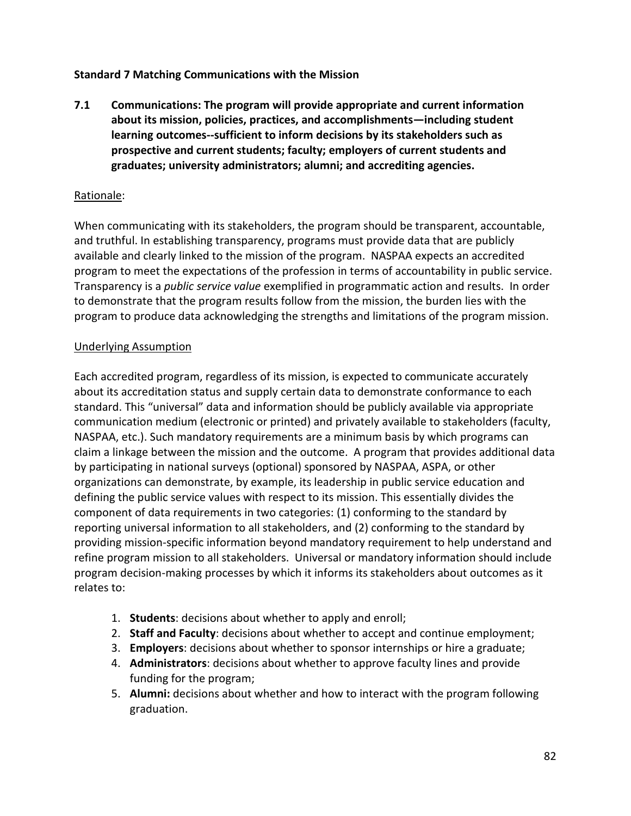## **Standard 7 Matching Communications with the Mission**

**7.1 Communications: The program will provide appropriate and current information about its mission, policies, practices, and accomplishments—including student learning outcomes--sufficient to inform decisions by its stakeholders such as prospective and current students; faculty; employers of current students and graduates; university administrators; alumni; and accrediting agencies.**

## Rationale:

When communicating with its stakeholders, the program should be transparent, accountable, and truthful. In establishing transparency, programs must provide data that are publicly available and clearly linked to the mission of the program. NASPAA expects an accredited program to meet the expectations of the profession in terms of accountability in public service. Transparency is a *public service value* exemplified in programmatic action and results. In order to demonstrate that the program results follow from the mission, the burden lies with the program to produce data acknowledging the strengths and limitations of the program mission.

#### Underlying Assumption

Each accredited program, regardless of its mission, is expected to communicate accurately about its accreditation status and supply certain data to demonstrate conformance to each standard. This "universal" data and information should be publicly available via appropriate communication medium (electronic or printed) and privately available to stakeholders (faculty, NASPAA, etc.). Such mandatory requirements are a minimum basis by which programs can claim a linkage between the mission and the outcome. A program that provides additional data by participating in national surveys (optional) sponsored by NASPAA, ASPA, or other organizations can demonstrate, by example, its leadership in public service education and defining the public service values with respect to its mission. This essentially divides the component of data requirements in two categories: (1) conforming to the standard by reporting universal information to all stakeholders, and (2) conforming to the standard by providing mission-specific information beyond mandatory requirement to help understand and refine program mission to all stakeholders. Universal or mandatory information should include program decision-making processes by which it informs its stakeholders about outcomes as it relates to:

- 1. **Students**: decisions about whether to apply and enroll;
- 2. **Staff and Faculty**: decisions about whether to accept and continue employment;
- 3. **Employers**: decisions about whether to sponsor internships or hire a graduate;
- 4. **Administrators**: decisions about whether to approve faculty lines and provide funding for the program;
- 5. **Alumni:** decisions about whether and how to interact with the program following graduation.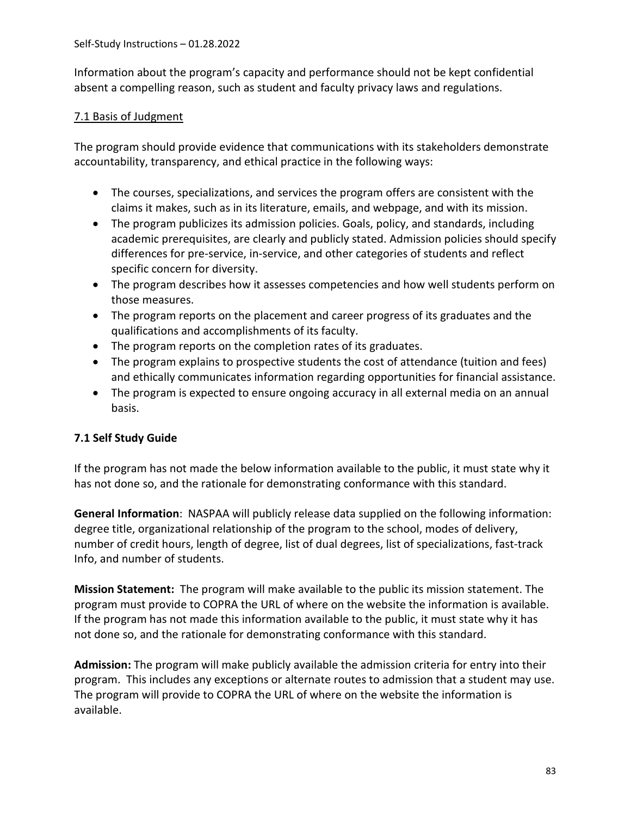Information about the program's capacity and performance should not be kept confidential absent a compelling reason, such as student and faculty privacy laws and regulations.

# 7.1 Basis of Judgment

The program should provide evidence that communications with its stakeholders demonstrate accountability, transparency, and ethical practice in the following ways:

- The courses, specializations, and services the program offers are consistent with the claims it makes, such as in its literature, emails, and webpage, and with its mission.
- The program publicizes its admission policies. Goals, policy, and standards, including academic prerequisites, are clearly and publicly stated. Admission policies should specify differences for pre-service, in-service, and other categories of students and reflect specific concern for diversity.
- The program describes how it assesses competencies and how well students perform on those measures.
- The program reports on the placement and career progress of its graduates and the qualifications and accomplishments of its faculty.
- The program reports on the completion rates of its graduates.
- The program explains to prospective students the cost of attendance (tuition and fees) and ethically communicates information regarding opportunities for financial assistance.
- The program is expected to ensure ongoing accuracy in all external media on an annual basis.

# **7.1 Self Study Guide**

If the program has not made the below information available to the public, it must state why it has not done so, and the rationale for demonstrating conformance with this standard.

**General Information**: NASPAA will publicly release data supplied on the following information: degree title, organizational relationship of the program to the school, modes of delivery, number of credit hours, length of degree, list of dual degrees, list of specializations, fast-track Info, and number of students.

**Mission Statement:** The program will make available to the public its mission statement. The program must provide to COPRA the URL of where on the website the information is available. If the program has not made this information available to the public, it must state why it has not done so, and the rationale for demonstrating conformance with this standard.

**Admission:** The program will make publicly available the admission criteria for entry into their program. This includes any exceptions or alternate routes to admission that a student may use. The program will provide to COPRA the URL of where on the website the information is available.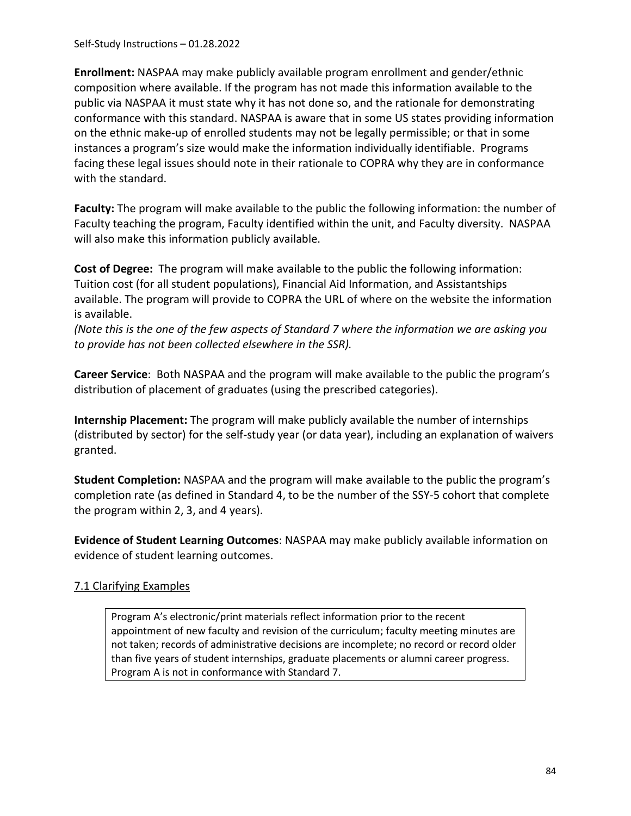Self-Study Instructions – 01.28.2022

**Enrollment:** NASPAA may make publicly available program enrollment and gender/ethnic composition where available. If the program has not made this information available to the public via NASPAA it must state why it has not done so, and the rationale for demonstrating conformance with this standard. NASPAA is aware that in some US states providing information on the ethnic make-up of enrolled students may not be legally permissible; or that in some instances a program's size would make the information individually identifiable. Programs facing these legal issues should note in their rationale to COPRA why they are in conformance with the standard.

**Faculty:** The program will make available to the public the following information: the number of Faculty teaching the program, Faculty identified within the unit, and Faculty diversity. NASPAA will also make this information publicly available.

**Cost of Degree:** The program will make available to the public the following information: Tuition cost (for all student populations), Financial Aid Information, and Assistantships available. The program will provide to COPRA the URL of where on the website the information is available.

*(Note this is the one of the few aspects of Standard 7 where the information we are asking you to provide has not been collected elsewhere in the SSR).*

**Career Service**: Both NASPAA and the program will make available to the public the program's distribution of placement of graduates (using the prescribed categories).

**Internship Placement:** The program will make publicly available the number of internships (distributed by sector) for the self-study year (or data year), including an explanation of waivers granted.

**Student Completion:** NASPAA and the program will make available to the public the program's completion rate (as defined in Standard 4, to be the number of the SSY-5 cohort that complete the program within 2, 3, and 4 years).

**Evidence of Student Learning Outcomes**: NASPAA may make publicly available information on evidence of student learning outcomes.

# 7.1 Clarifying Examples

Program A's electronic/print materials reflect information prior to the recent appointment of new faculty and revision of the curriculum; faculty meeting minutes are not taken; records of administrative decisions are incomplete; no record or record older than five years of student internships, graduate placements or alumni career progress. Program A is not in conformance with Standard 7.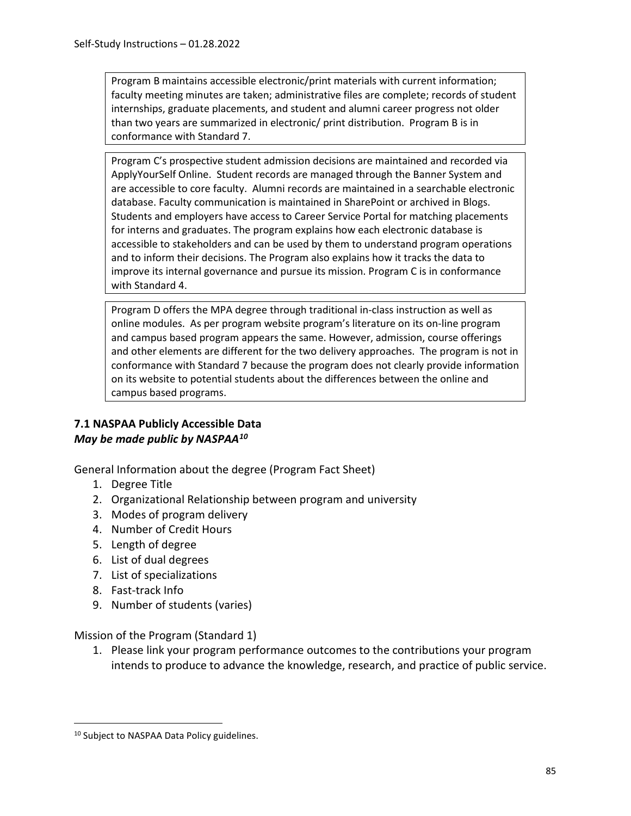Program B maintains accessible electronic/print materials with current information; faculty meeting minutes are taken; administrative files are complete; records of student internships, graduate placements, and student and alumni career progress not older than two years are summarized in electronic/ print distribution. Program B is in conformance with Standard 7.

Program C's prospective student admission decisions are maintained and recorded via ApplyYourSelf Online. Student records are managed through the Banner System and are accessible to core faculty. Alumni records are maintained in a searchable electronic database. Faculty communication is maintained in SharePoint or archived in Blogs. Students and employers have access to Career Service Portal for matching placements for interns and graduates. The program explains how each electronic database is accessible to stakeholders and can be used by them to understand program operations and to inform their decisions. The Program also explains how it tracks the data to improve its internal governance and pursue its mission. Program C is in conformance with Standard 4.

Program D offers the MPA degree through traditional in-class instruction as well as online modules. As per program website program's literature on its on-line program and campus based program appears the same. However, admission, course offerings and other elements are different for the two delivery approaches. The program is not in conformance with Standard 7 because the program does not clearly provide information on its website to potential students about the differences between the online and campus based programs.

# **7.1 NASPAA Publicly Accessible Data** *May be made public by NASPA[A10](#page-84-0)*

General Information about the degree (Program Fact Sheet)

- 1. Degree Title
- 2. Organizational Relationship between program and university
- 3. Modes of program delivery
- 4. Number of Credit Hours
- 5. Length of degree
- 6. List of dual degrees
- 7. List of specializations
- 8. Fast-track Info
- 9. Number of students (varies)

Mission of the Program (Standard 1)

1. Please link your program performance outcomes to the contributions your program intends to produce to advance the knowledge, research, and practice of public service.

<span id="page-84-0"></span><sup>&</sup>lt;sup>10</sup> Subject to NASPAA Data Policy guidelines.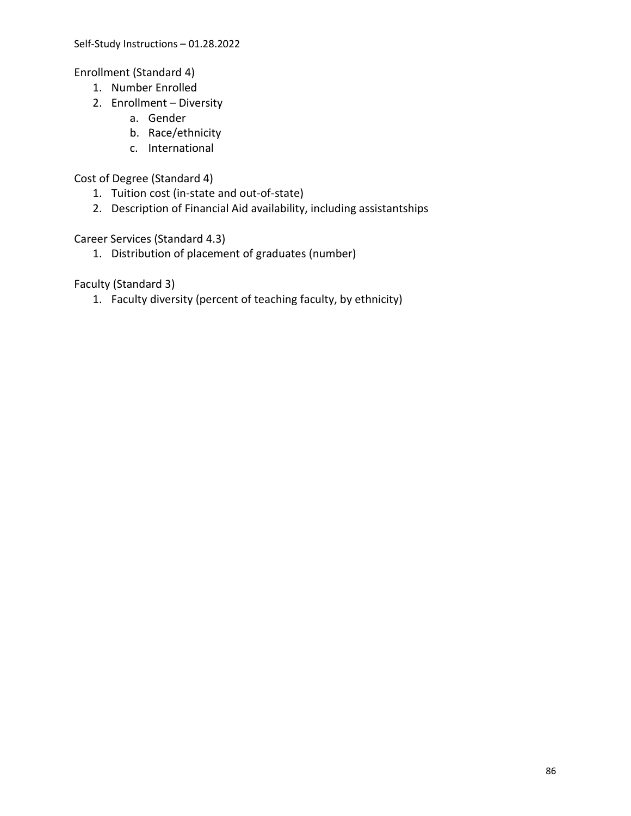Enrollment (Standard 4)

- 1. Number Enrolled
- 2. Enrollment Diversity
	- a. Gender
	- b. Race/ethnicity
	- c. International

Cost of Degree (Standard 4)

- 1. Tuition cost (in-state and out-of-state)
- 2. Description of Financial Aid availability, including assistantships

Career Services (Standard 4.3)

1. Distribution of placement of graduates (number)

Faculty (Standard 3)

1. Faculty diversity (percent of teaching faculty, by ethnicity)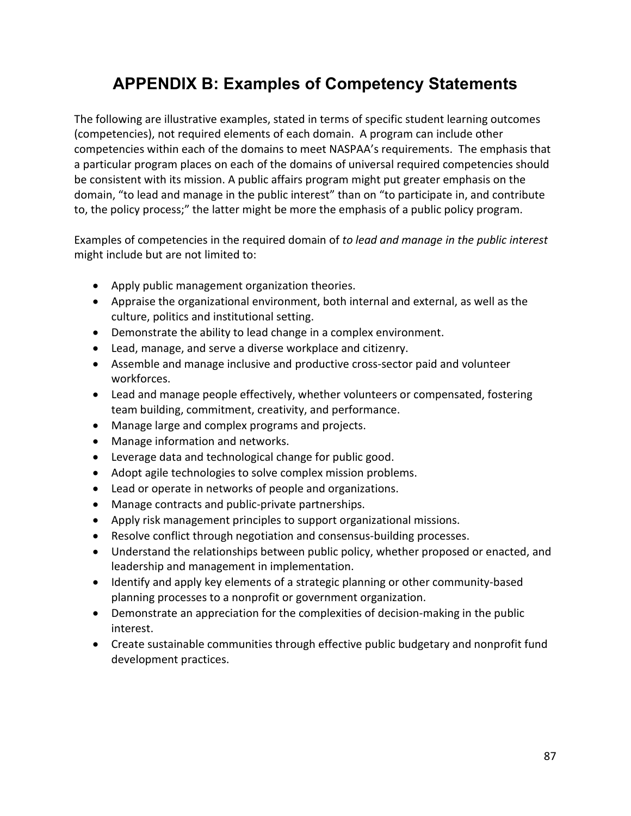# **APPENDIX B: Examples of Competency Statements**

The following are illustrative examples, stated in terms of specific student learning outcomes (competencies), not required elements of each domain. A program can include other competencies within each of the domains to meet NASPAA's requirements. The emphasis that a particular program places on each of the domains of universal required competencies should be consistent with its mission. A public affairs program might put greater emphasis on the domain, "to lead and manage in the public interest" than on "to participate in, and contribute to, the policy process;" the latter might be more the emphasis of a public policy program.

Examples of competencies in the required domain of *to lead and manage in the public interest* might include but are not limited to:

- Apply public management organization theories.
- Appraise the organizational environment, both internal and external, as well as the culture, politics and institutional setting.
- Demonstrate the ability to lead change in a complex environment.
- Lead, manage, and serve a diverse workplace and citizenry.
- Assemble and manage inclusive and productive cross-sector paid and volunteer workforces.
- Lead and manage people effectively, whether volunteers or compensated, fostering team building, commitment, creativity, and performance.
- Manage large and complex programs and projects.
- Manage information and networks.
- Leverage data and technological change for public good.
- Adopt agile technologies to solve complex mission problems.
- Lead or operate in networks of people and organizations.
- Manage contracts and public-private partnerships.
- Apply risk management principles to support organizational missions.
- Resolve conflict through negotiation and consensus-building processes.
- Understand the relationships between public policy, whether proposed or enacted, and leadership and management in implementation.
- Identify and apply key elements of a strategic planning or other community-based planning processes to a nonprofit or government organization.
- Demonstrate an appreciation for the complexities of decision-making in the public interest.
- Create sustainable communities through effective public budgetary and nonprofit fund development practices.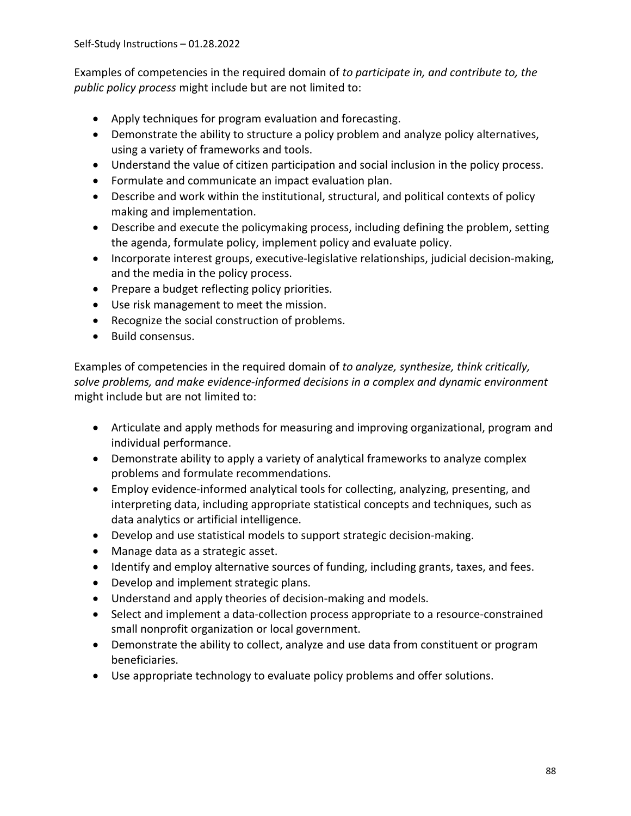Examples of competencies in the required domain of *to participate in, and contribute to, the public policy process* might include but are not limited to:

- Apply techniques for program evaluation and forecasting.
- Demonstrate the ability to structure a policy problem and analyze policy alternatives, using a variety of frameworks and tools.
- Understand the value of citizen participation and social inclusion in the policy process.
- Formulate and communicate an impact evaluation plan.
- Describe and work within the institutional, structural, and political contexts of policy making and implementation.
- Describe and execute the policymaking process, including defining the problem, setting the agenda, formulate policy, implement policy and evaluate policy.
- Incorporate interest groups, executive-legislative relationships, judicial decision-making, and the media in the policy process.
- Prepare a budget reflecting policy priorities.
- Use risk management to meet the mission.
- Recognize the social construction of problems.
- Build consensus.

Examples of competencies in the required domain of *to analyze, synthesize, think critically, solve problems, and make evidence-informed decisions in a complex and dynamic environment*  might include but are not limited to:

- Articulate and apply methods for measuring and improving organizational, program and individual performance.
- Demonstrate ability to apply a variety of analytical frameworks to analyze complex problems and formulate recommendations.
- Employ evidence-informed analytical tools for collecting, analyzing, presenting, and interpreting data, including appropriate statistical concepts and techniques, such as data analytics or artificial intelligence.
- Develop and use statistical models to support strategic decision-making.
- Manage data as a strategic asset.
- Identify and employ alternative sources of funding, including grants, taxes, and fees.
- Develop and implement strategic plans.
- Understand and apply theories of decision-making and models.
- Select and implement a data-collection process appropriate to a resource-constrained small nonprofit organization or local government.
- Demonstrate the ability to collect, analyze and use data from constituent or program beneficiaries.
- Use appropriate technology to evaluate policy problems and offer solutions.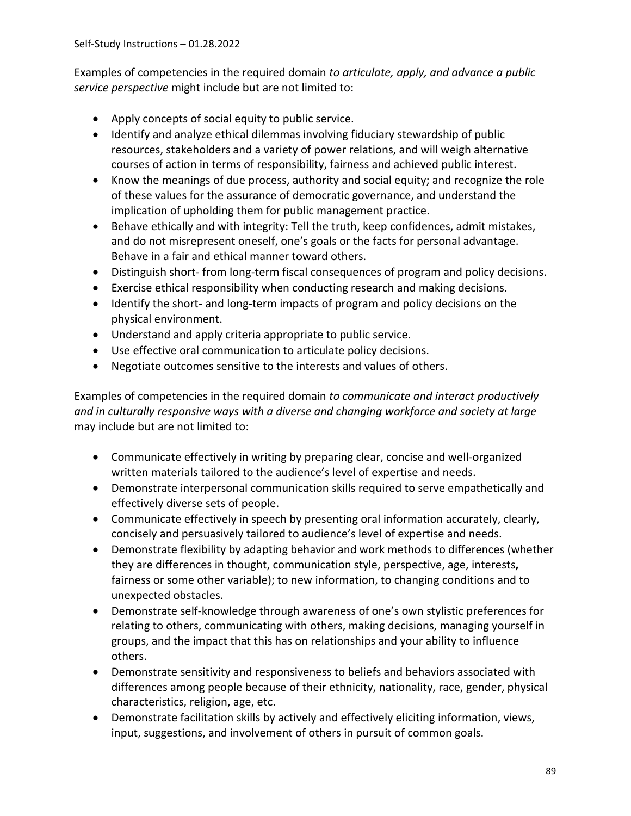Examples of competencies in the required domain *to articulate, apply, and advance a public service perspective* might include but are not limited to:

- Apply concepts of social equity to public service.
- Identify and analyze ethical dilemmas involving fiduciary stewardship of public resources, stakeholders and a variety of power relations, and will weigh alternative courses of action in terms of responsibility, fairness and achieved public interest.
- Know the meanings of due process, authority and social equity; and recognize the role of these values for the assurance of democratic governance, and understand the implication of upholding them for public management practice.
- Behave ethically and with integrity: Tell the truth, keep confidences, admit mistakes, and do not misrepresent oneself, one's goals or the facts for personal advantage. Behave in a fair and ethical manner toward others.
- Distinguish short- from long-term fiscal consequences of program and policy decisions.
- Exercise ethical responsibility when conducting research and making decisions.
- Identify the short- and long-term impacts of program and policy decisions on the physical environment.
- Understand and apply criteria appropriate to public service.
- Use effective oral communication to articulate policy decisions.
- Negotiate outcomes sensitive to the interests and values of others.

Examples of competencies in the required domain *to communicate and interact productively and in culturally responsive ways with a diverse and changing workforce and society at large*  may include but are not limited to:

- Communicate effectively in writing by preparing clear, concise and well-organized written materials tailored to the audience's level of expertise and needs.
- Demonstrate interpersonal communication skills required to serve empathetically and effectively diverse sets of people.
- Communicate effectively in speech by presenting oral information accurately, clearly, concisely and persuasively tailored to audience's level of expertise and needs.
- Demonstrate flexibility by adapting behavior and work methods to differences (whether they are differences in thought, communication style, perspective, age, interests**,**  fairness or some other variable); to new information, to changing conditions and to unexpected obstacles.
- Demonstrate self-knowledge through awareness of one's own stylistic preferences for relating to others, communicating with others, making decisions, managing yourself in groups, and the impact that this has on relationships and your ability to influence others.
- Demonstrate sensitivity and responsiveness to beliefs and behaviors associated with differences among people because of their ethnicity, nationality, race, gender, physical characteristics, religion, age, etc.
- Demonstrate facilitation skills by actively and effectively eliciting information, views, input, suggestions, and involvement of others in pursuit of common goals.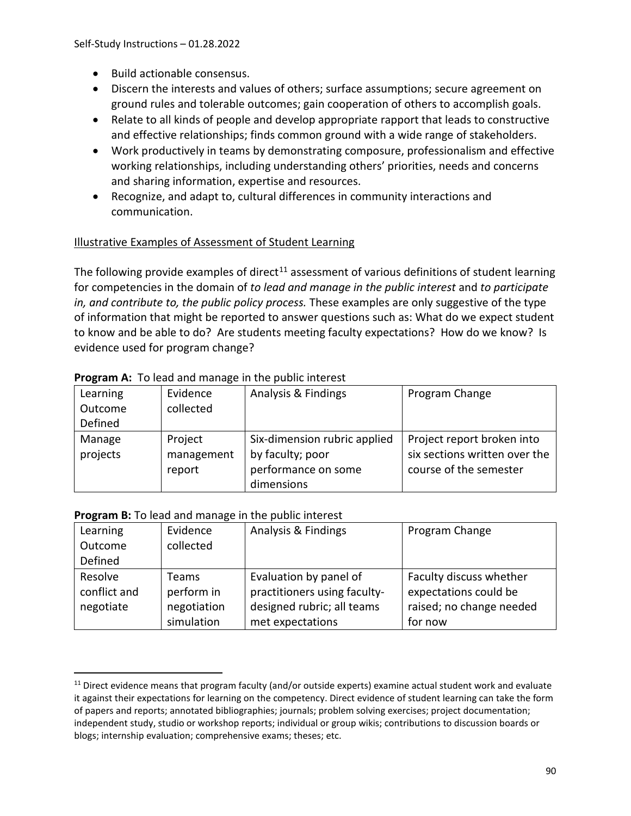- Build actionable consensus.
- Discern the interests and values of others; surface assumptions; secure agreement on ground rules and tolerable outcomes; gain cooperation of others to accomplish goals.
- Relate to all kinds of people and develop appropriate rapport that leads to constructive and effective relationships; finds common ground with a wide range of stakeholders.
- Work productively in teams by demonstrating composure, professionalism and effective working relationships, including understanding others' priorities, needs and concerns and sharing information, expertise and resources.
- Recognize, and adapt to, cultural differences in community interactions and communication.

# Illustrative Examples of Assessment of Student Learning

The following provide examples of direct<sup>[11](#page-89-0)</sup> assessment of various definitions of student learning for competencies in the domain of *to lead and manage in the public interest* and *to participate in, and contribute to, the public policy process.* These examples are only suggestive of the type of information that might be reported to answer questions such as: What do we expect student to know and be able to do? Are students meeting faculty expectations? How do we know? Is evidence used for program change?

| Learning | Evidence   | Analysis & Findings          | Program Change                |
|----------|------------|------------------------------|-------------------------------|
| Outcome  | collected  |                              |                               |
| Defined  |            |                              |                               |
| Manage   | Project    | Six-dimension rubric applied | Project report broken into    |
| projects | management | by faculty; poor             | six sections written over the |
|          | report     | performance on some          | course of the semester        |
|          |            | dimensions                   |                               |

#### **Program A:** To lead and manage in the public interest

#### **Program B:** To lead and manage in the public interest

| Learning     | Evidence    | Analysis & Findings          | Program Change           |
|--------------|-------------|------------------------------|--------------------------|
| Outcome      | collected   |                              |                          |
| Defined      |             |                              |                          |
| Resolve      | Teams       | Evaluation by panel of       | Faculty discuss whether  |
| conflict and | perform in  | practitioners using faculty- | expectations could be    |
| negotiate    | negotiation | designed rubric; all teams   | raised; no change needed |
|              | simulation  | met expectations             | for now                  |

<span id="page-89-0"></span> $11$  Direct evidence means that program faculty (and/or outside experts) examine actual student work and evaluate it against their expectations for learning on the competency. Direct evidence of student learning can take the form of papers and reports; annotated bibliographies; journals; problem solving exercises; project documentation; independent study, studio or workshop reports; individual or group wikis; contributions to discussion boards or blogs; internship evaluation; comprehensive exams; theses; etc.